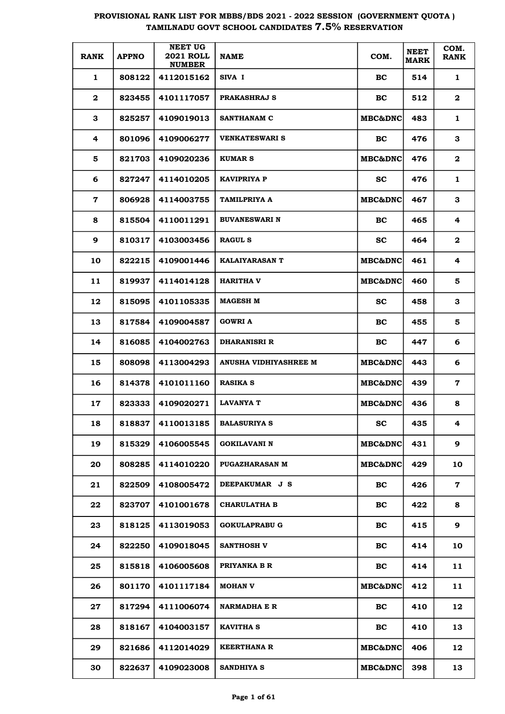| <b>RANK</b>  | <b>APPNO</b> | <b>NEET UG</b><br><b>2021 ROLL</b><br><b>NUMBER</b> | <b>NAME</b>           | COM.               | <b>NEET</b><br><b>MARK</b> | COM.<br><b>RANK</b> |
|--------------|--------------|-----------------------------------------------------|-----------------------|--------------------|----------------------------|---------------------|
| 1            | 808122       | 4112015162                                          | SIVA I                | BC                 | 514                        | 1                   |
| $\mathbf{2}$ | 823455       | 4101117057                                          | <b>PRAKASHRAJ S</b>   | BC                 | 512                        | $\mathbf{2}$        |
| 3            | 825257       | 4109019013                                          | <b>SANTHANAM C</b>    | MBC&DNC            | 483                        | 1                   |
| 4            | 801096       | 4109006277                                          | <b>VENKATESWARI S</b> | BC                 | 476                        | 3                   |
| 5            | 821703       | 4109020236                                          | <b>KUMAR S</b>        | MBC&DNC            | 476                        | $\mathbf{2}$        |
| 6            | 827247       | 4114010205                                          | <b>KAVIPRIYA P</b>    | <b>SC</b>          | 476                        | $\mathbf{1}$        |
| $\mathbf 7$  | 806928       | 4114003755                                          | TAMILPRIYA A          | <b>MBC&amp;DNC</b> | 467                        | 3                   |
| 8            | 815504       | 4110011291                                          | <b>BUVANESWARI N</b>  | BC                 | 465                        | 4                   |
| 9            | 810317       | 4103003456                                          | <b>RAGUL S</b>        | <b>SC</b>          | 464                        | $\mathbf{2}$        |
| 10           | 822215       | 4109001446                                          | <b>KALAIYARASAN T</b> | <b>MBC&amp;DNC</b> | 461                        | 4                   |
| 11           | 819937       | 4114014128                                          | <b>HARITHA V</b>      | <b>MBC&amp;DNC</b> | 460                        | 5                   |
| 12           | 815095       | 4101105335                                          | <b>MAGESH M</b>       | <b>SC</b>          | 458                        | 3                   |
| 13           | 817584       | 4109004587                                          | <b>GOWRI A</b>        | BC                 | 455                        | 5                   |
| 14           | 816085       | 4104002763                                          | <b>DHARANISRI R</b>   | BC                 | 447                        | 6                   |
| 15           | 808098       | 4113004293                                          | ANUSHA VIDHIYASHREE M | <b>MBC&amp;DNC</b> | 443                        | 6                   |
| 16           | 814378       | 4101011160                                          | <b>RASIKA S</b>       | <b>MBC&amp;DNC</b> | 439                        | $\mathbf 7$         |
| 17           | 823333       | 4109020271                                          | <b>LAVANYA T</b>      | MBC&DNC            | 436                        | 8                   |
| 18           | 818837       | 4110013185                                          | <b>BALASURIYA S</b>   | $\mathbf{SC}$      | 435                        | 4                   |
| 19           | 815329       | 4106005545                                          | <b>GOKILAVANI N</b>   | MBC&DNC            | 431                        | 9                   |
| 20           | 808285       | 4114010220                                          | <b>PUGAZHARASAN M</b> | MBC&DNC            | 429                        | 10                  |
| 21           | 822509       | 4108005472                                          | DEEPAKUMAR J S        | BC                 | 426                        | 7                   |
| 22           | 823707       | 4101001678                                          | <b>CHARULATHA B</b>   | BC                 | 422                        | 8                   |
| 23           | 818125       | 4113019053                                          | <b>GOKULAPRABU G</b>  | BC                 | 415                        | 9                   |
| 24           | 822250       | 4109018045                                          | <b>SANTHOSH V</b>     | BC                 | 414                        | 10                  |
| 25           | 815818       | 4106005608                                          | PRIYANKA B R          | <b>BC</b>          | 414                        | 11                  |
| 26           | 801170       | 4101117184                                          | <b>MOHAN V</b>        | MBC&DNC            | 412                        | 11                  |
| 27           | 817294       | 4111006074                                          | <b>NARMADHA E R</b>   | <b>BC</b>          | 410                        | 12                  |
| 28           | 818167       | 4104003157                                          | <b>KAVITHA S</b>      | <b>BC</b>          | 410                        | 13                  |
| 29           | 821686       | 4112014029                                          | <b>KEERTHANA R</b>    | MBC&DNC            | 406                        | 12                  |
| 30           | 822637       | 4109023008                                          | <b>SANDHIYA S</b>     | <b>MBC&amp;DNC</b> | 398                        | 13                  |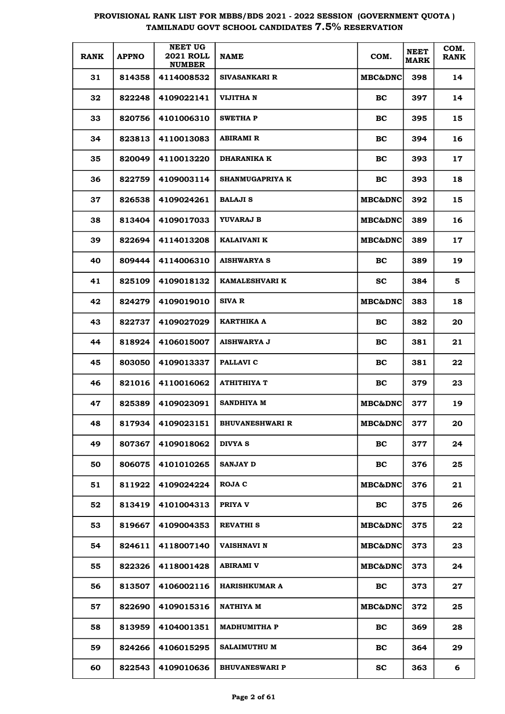| <b>RANK</b> | <b>APPNO</b> | <b>NEET UG</b><br><b>2021 ROLL</b><br><b>NUMBER</b> | <b>NAME</b>            | COM.               | <b>NEET</b><br><b>MARK</b> | COM.<br><b>RANK</b> |
|-------------|--------------|-----------------------------------------------------|------------------------|--------------------|----------------------------|---------------------|
| 31          | 814358       | 4114008532                                          | <b>SIVASANKARI R</b>   | MBC&DNC            | 398                        | 14                  |
| 32          | 822248       | 4109022141                                          | VIJITHA N              | BC                 | 397                        | 14                  |
| 33          | 820756       | 4101006310                                          | SWETHA P               | BC                 | 395                        | 15                  |
| 34          | 823813       | 4110013083                                          | ABIRAMI R              | BC                 | 394                        | 16                  |
| 35          | 820049       | 4110013220                                          | <b>DHARANIKA K</b>     | BC                 | 393                        | 17                  |
| 36          | 822759       | 4109003114                                          | <b>SHANMUGAPRIYA K</b> | BC                 | 393                        | 18                  |
| 37          | 826538       | 4109024261                                          | <b>BALAJI S</b>        | MBC&DNC            | 392                        | 15                  |
| 38          | 813404       | 4109017033                                          | YUVARAJ B              | <b>MBC&amp;DNC</b> | 389                        | 16                  |
| 39          | 822694       | 4114013208                                          | KALAIVANI K            | <b>MBC&amp;DNC</b> | 389                        | 17                  |
| 40          | 809444       | 4114006310                                          | <b>AISHWARYA S</b>     | BC                 | 389                        | 19                  |
| 41          | 825109       | 4109018132                                          | <b>KAMALESHVARI K</b>  | <b>SC</b>          | 384                        | 5                   |
| 42          | 824279       | 4109019010                                          | SIVA R                 | <b>MBC&amp;DNC</b> | 383                        | 18                  |
| 43          | 822737       | 4109027029                                          | KARTHIKA A             | BC                 | 382                        | 20                  |
| 44          | 818924       | 4106015007                                          | <b>AISHWARYA J</b>     | BC                 | 381                        | 21                  |
| 45          | 803050       | 4109013337                                          | <b>PALLAVI C</b>       | BC                 | 381                        | 22                  |
| 46          | 821016       | 4110016062                                          | <b>ATHITHIYA T</b>     | BC                 | 379                        | 23                  |
| 47          | 825389       | 4109023091                                          | <b>SANDHIYA M</b>      | MBC&DNC            | 377                        | 19                  |
| 48          | 817934       | 4109023151                                          | <b>BHUVANESHWARI R</b> | MBC&DNC            | 377                        | 20                  |
| 49          | 807367       | 4109018062                                          | <b>DIVYA S</b>         | BC                 | 377                        | 24                  |
| 50          | 806075       | 4101010265                                          | <b>SANJAY D</b>        | BC                 | 376                        | 25                  |
| 51          | 811922       | 4109024224                                          | ROJA C                 | <b>MBC&amp;DNC</b> | 376                        | 21                  |
| 52          | 813419       | 4101004313                                          | PRIYA V                | BC                 | 375                        | 26                  |
| 53          | 819667       | 4109004353                                          | <b>REVATHI S</b>       | <b>MBC&amp;DNC</b> | 375                        | 22                  |
| 54          | 824611       | 4118007140                                          | <b>VAISHNAVI N</b>     | <b>MBC&amp;DNC</b> | 373                        | 23                  |
| 55          | 822326       | 4118001428                                          | <b>ABIRAMI V</b>       | <b>MBC&amp;DNC</b> | 373                        | 24                  |
| 56          | 813507       | 4106002116                                          | <b>HARISHKUMAR A</b>   | BC                 | 373                        | 27                  |
| 57          | 822690       | 4109015316                                          | <b>NATHIYA M</b>       | <b>MBC&amp;DNC</b> | 372                        | 25                  |
| 58          | 813959       | 4104001351                                          | <b>MADHUMITHA P</b>    | BC                 | 369                        | 28                  |
| 59          | 824266       | 4106015295                                          | <b>SALAIMUTHU M</b>    | BC                 | 364                        | 29                  |
| 60          | 822543       | 4109010636                                          | <b>BHUVANESWARI P</b>  | <b>SC</b>          | 363                        | 6                   |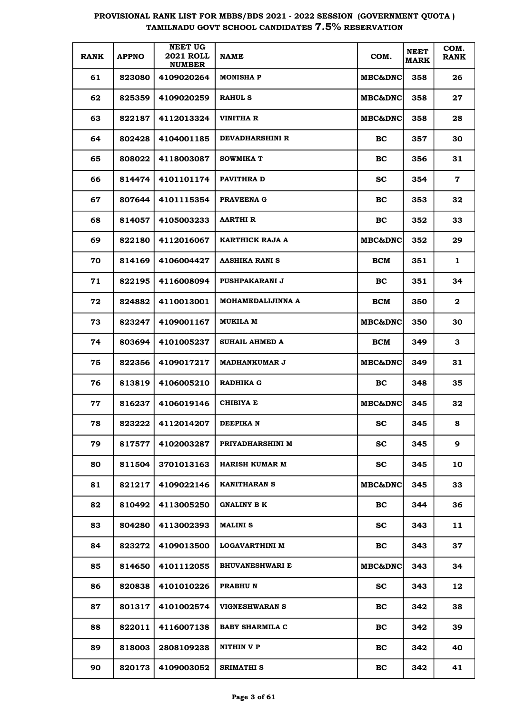| <b>RANK</b> | <b>APPNO</b> | <b>NEET UG</b><br><b>2021 ROLL</b><br><b>NUMBER</b> | <b>NAME</b>            | COM.               | <b>NEET</b><br><b>MARK</b> | COM.<br><b>RANK</b> |
|-------------|--------------|-----------------------------------------------------|------------------------|--------------------|----------------------------|---------------------|
| 61          | 823080       | 4109020264                                          | <b>MONISHAP</b>        | MBC&DNC            | 358                        | 26                  |
| 62          | 825359       | 4109020259                                          | <b>RAHUL S</b>         | MBC&DNC            | 358                        | 27                  |
| 63          | 822187       | 4112013324                                          | VINITHA R              | MBC&DNC            | 358                        | 28                  |
| 64          | 802428       | 4104001185                                          | <b>DEVADHARSHINI R</b> | BC                 | 357                        | 30                  |
| 65          | 808022       | 4118003087                                          | <b>SOWMIKA T</b>       | BC                 | 356                        | 31                  |
| 66          | 814474       | 4101101174                                          | <b>PAVITHRA D</b>      | <b>SC</b>          | 354                        | $\mathbf 7$         |
| 67          | 807644       | 4101115354                                          | PRAVEENA G             | BC                 | 353                        | 32                  |
| 68          | 814057       | 4105003233                                          | <b>AARTHIR</b>         | BC                 | 352                        | 33                  |
| 69          | 822180       | 4112016067                                          | KARTHICK RAJA A        | <b>MBC&amp;DNC</b> | 352                        | 29                  |
| 70          | 814169       | 4106004427                                          | AASHIKA RANI S         | <b>BCM</b>         | 351                        | $\mathbf{1}$        |
| 71          | 822195       | 4116008094                                          | PUSHPAKARANI J         | BC                 | 351                        | 34                  |
| 72          | 824882       | 4110013001                                          | MOHAMEDALIJINNA A      | <b>BCM</b>         | 350                        | $\mathbf{2}$        |
| 73          | 823247       | 4109001167                                          | MUKILA M               | <b>MBC&amp;DNC</b> | 350                        | 30                  |
| 74          | 803694       | 4101005237                                          | SUHAIL AHMED A         | <b>BCM</b>         | 349                        | 3                   |
| 75          | 822356       | 4109017217                                          | <b>MADHANKUMAR J</b>   | MBC&DNC            | 349                        | 31                  |
| 76          | 813819       | 4106005210                                          | <b>RADHIKA G</b>       | BC                 | 348                        | 35                  |
| 77          | 816237       | 4106019146                                          | <b>CHIBIYA E</b>       | MBC&DNC            | 345                        | 32                  |
| 78          | 823222       | 4112014207                                          | DEEPIKA N              | SC                 | 345                        | 8                   |
| 79          | 817577       | 4102003287                                          | PRIYADHARSHINI M       | <b>SC</b>          | 345                        | 9                   |
| 80          | 811504       | 3701013163                                          | <b>HARISH KUMAR M</b>  | <b>SC</b>          | 345                        | 10                  |
| 81          | 821217       | 4109022146                                          | <b>KANITHARAN S</b>    | <b>MBC&amp;DNC</b> | 345                        | 33                  |
| 82          | 810492       | 4113005250                                          | <b>GNALINY B K</b>     | BC                 | 344                        | 36                  |
| 83          | 804280       | 4113002393                                          | <b>MALINI S</b>        | <b>SC</b>          | 343                        | 11                  |
| 84          | 823272       | 4109013500                                          | LOGAVARTHINI M         | <b>BC</b>          | 343                        | 37                  |
| 85          | 814650       | 4101112055                                          | <b>BHUVANESHWARI E</b> | <b>MBC&amp;DNC</b> | 343                        | 34                  |
| 86          | 820838       | 4101010226                                          | PRABHU N               | <b>SC</b>          | 343                        | 12                  |
| 87          | 801317       | 4101002574                                          | <b>VIGNESHWARAN S</b>  | <b>BC</b>          | 342                        | 38                  |
| 88          | 822011       | 4116007138                                          | <b>BABY SHARMILA C</b> | <b>BC</b>          | 342                        | 39                  |
| 89          | 818003       | 2808109238                                          | NITHIN V P             | <b>BC</b>          | 342                        | 40                  |
| 90          | 820173       | 4109003052                                          | <b>SRIMATHI S</b>      | <b>BC</b>          | 342                        | 41                  |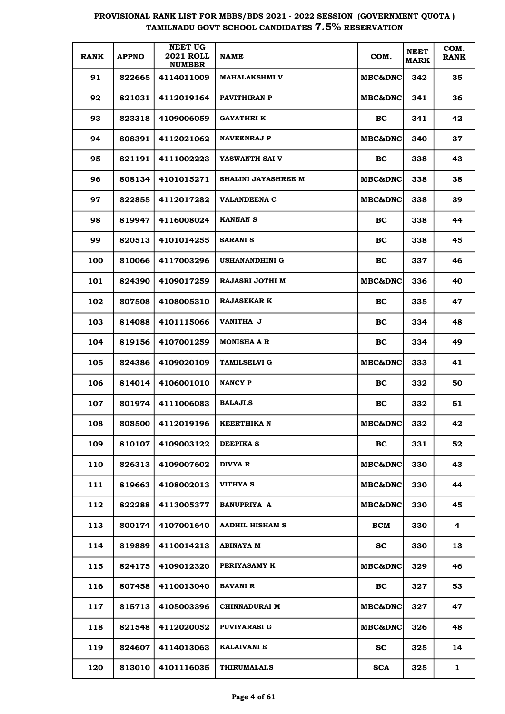| <b>RANK</b> | <b>APPNO</b> | <b>NEET UG</b><br><b>2021 ROLL</b><br><b>NUMBER</b> | <b>NAME</b>            | COM.               | <b>NEET</b><br><b>MARK</b> | COM.<br><b>RANK</b> |
|-------------|--------------|-----------------------------------------------------|------------------------|--------------------|----------------------------|---------------------|
| 91          | 822665       | 4114011009                                          | <b>MAHALAKSHMI V</b>   | <b>MBC&amp;DNC</b> | 342                        | 35                  |
| 92          | 821031       | 4112019164                                          | PAVITHIRAN P           | <b>MBC&amp;DNC</b> | 341                        | 36                  |
| 93          | 823318       | 4109006059                                          | <b>GAYATHRI K</b>      | BC                 | 341                        | 42                  |
| 94          | 808391       | 4112021062                                          | <b>NAVEENRAJ P</b>     | <b>MBC&amp;DNC</b> | 340                        | 37                  |
| 95          | 821191       | 4111002223                                          | YASWANTH SAI V         | BC                 | 338                        | 43                  |
| 96          | 808134       | 4101015271                                          | SHALINI JAYASHREE M    | <b>MBC&amp;DNC</b> | 338                        | 38                  |
| 97          | 822855       | 4112017282                                          | <b>VALANDEENA C</b>    | <b>MBC&amp;DNC</b> | 338                        | 39                  |
| 98          | 819947       | 4116008024                                          | <b>KANNAN S</b>        | BC                 | 338                        | 44                  |
| 99          | 820513       | 4101014255                                          | <b>SARANI S</b>        | BC                 | 338                        | 45                  |
| 100         | 810066       | 4117003296                                          | USHANANDHINI G         | BC                 | 337                        | 46                  |
| 101         | 824390       | 4109017259                                          | RAJASRI JOTHI M        | MBC&DNC            | 336                        | 40                  |
| 102         | 807508       | 4108005310                                          | <b>RAJASEKAR K</b>     | BC                 | 335                        | 47                  |
| 103         | 814088       | 4101115066                                          | <b>VANITHA J</b>       | BC                 | 334                        | 48                  |
| 104         | 819156       | 4107001259                                          | <b>MONISHA A R</b>     | BC                 | 334                        | 49                  |
| 105         | 824386       | 4109020109                                          | <b>TAMILSELVI G</b>    | MBC&DNC            | 333                        | 41                  |
| 106         | 814014       | 4106001010                                          | <b>NANCY P</b>         | BC                 | 332                        | 50                  |
| 107         | 801974       | 4111006083                                          | <b>BALAJI.S</b>        | BC                 | 332                        | 51                  |
| 108         | 808500       | 4112019196                                          | <b>KEERTHIKA N</b>     | MBC&DNC            | 332                        | 42                  |
| 109         | 810107       | 4109003122                                          | <b>DEEPIKA S</b>       | <b>BC</b>          | 331                        | 52                  |
| 110         | 826313       | 4109007602                                          | DIVYA R                | MBC&DNC            | 330                        | 43                  |
| 111         | 819663       | 4108002013                                          | VITHYA S               | <b>MBC&amp;DNC</b> | 330                        | 44                  |
| 112         | 822288       | 4113005377                                          | <b>BANUPRIYA A</b>     | <b>MBC&amp;DNC</b> | 330                        | 45                  |
| 113         | 800174       | 4107001640                                          | <b>AADHIL HISHAM S</b> | BCM                | 330                        | 4                   |
| 114         | 819889       | 4110014213                                          | <b>ABINAYA M</b>       | <b>SC</b>          | 330                        | 13                  |
| 115         | 824175       | 4109012320                                          | PERIYASAMY K           | MBC&DNC            | 329                        | 46                  |
| 116         | 807458       | 4110013040                                          | <b>BAVANI R</b>        | <b>BC</b>          | 327                        | 53                  |
| 117         | 815713       | 4105003396                                          | <b>CHINNADURAI M</b>   | <b>MBC&amp;DNC</b> | 327                        | 47                  |
| 118         | 821548       | 4112020052                                          | <b>PUVIYARASI G</b>    | <b>MBC&amp;DNC</b> | 326                        | 48                  |
| 119         | 824607       | 4114013063                                          | KALAIVANI E            | <b>SC</b>          | 325                        | 14                  |
| 120         | 813010       | 4101116035                                          | <b>THIRUMALAI.S</b>    | <b>SCA</b>         | 325                        | 1                   |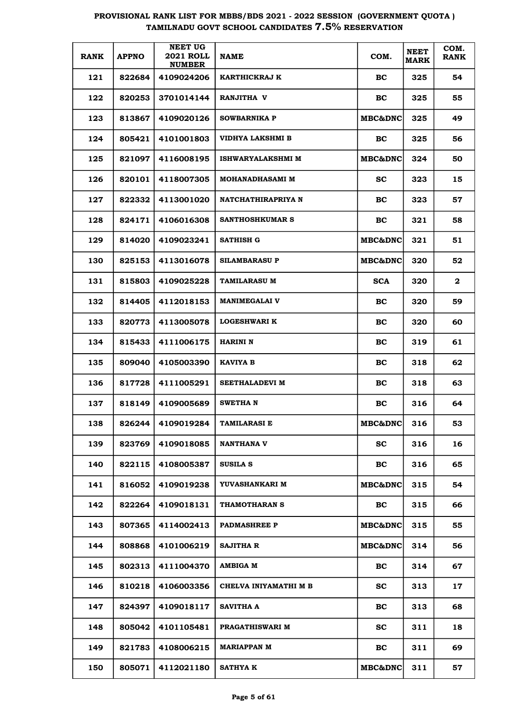| <b>RANK</b> | <b>APPNO</b> | <b>NEET UG</b><br><b>2021 ROLL</b><br><b>NUMBER</b> | <b>NAME</b>              | COM.               | <b>NEET</b><br><b>MARK</b> | COM.<br><b>RANK</b> |
|-------------|--------------|-----------------------------------------------------|--------------------------|--------------------|----------------------------|---------------------|
| 121         | 822684       | 4109024206                                          | KARTHICKRAJ K            | BC.                | 325                        | 54                  |
| 122         | 820253       | 3701014144                                          | RANJITHA V               | BC.                | 325                        | 55                  |
| 123         | 813867       | 4109020126                                          | <b>SOWBARNIKA P</b>      | <b>MBC&amp;DNC</b> | 325                        | 49                  |
| 124         | 805421       | 4101001803                                          | VIDHYA LAKSHMI B         | BC.                | 325                        | 56                  |
| 125         | 821097       | 4116008195                                          | <b>ISHWARYALAKSHMI M</b> | <b>MBC&amp;DNC</b> | 324                        | 50                  |
| 126         | 820101       | 4118007305                                          | <b>MOHANADHASAMI M</b>   | <b>SC</b>          | 323                        | 15                  |
| 127         | 822332       | 4113001020                                          | NATCHATHIRAPRIYA N       | BC.                | 323                        | 57                  |
| 128         | 824171       | 4106016308                                          | <b>SANTHOSHKUMAR S</b>   | BC.                | 321                        | 58                  |
| 129         | 814020       | 4109023241                                          | SATHISH G                | <b>MBC&amp;DNC</b> | 321                        | 51                  |
| 130         | 825153       | 4113016078                                          | <b>SILAMBARASU P</b>     | <b>MBC&amp;DNC</b> | 320                        | 52                  |
| 131         | 815803       | 4109025228                                          | <b>TAMILARASU M</b>      | <b>SCA</b>         | 320                        | $\mathbf{2}$        |
| 132         | 814405       | 4112018153                                          | <b>MANIMEGALAI V</b>     | BC.                | 320                        | 59                  |
| 133         | 820773       | 4113005078                                          | <b>LOGESHWARI K</b>      | BC.                | 320                        | 60                  |
| 134         | 815433       | 4111006175                                          | HARINI N                 | BC.                | 319                        | 61                  |
| 135         | 809040       | 4105003390                                          | KAVIYA B                 | BC.                | 318                        | 62                  |
| 136         | 817728       | 4111005291                                          | SEETHALADEVI M           | BC.                | 318                        | 63                  |
| 137         | 818149       | 4109005689                                          | <b>SWETHA N</b>          | <b>BC</b>          | 316                        | 64                  |
| 138         | 826244       | 4109019284                                          | TAMILARASI E             | <b>MBC&amp;DNC</b> | 316                        | 53                  |
| 139         | 823769       | 4109018085                                          | <b>NANTHANA V</b>        | <b>SC</b>          | 316                        | 16                  |
| 140         | 822115       | 4108005387                                          | <b>SUSILA S</b>          | BC                 | 316                        | 65                  |
| 141         | 816052       | 4109019238                                          | YUVASHANKARI M           | <b>MBC&amp;DNC</b> | 315                        | 54                  |
| 142         | 822264       | 4109018131                                          | THAMOTHARAN S            | BC                 | 315                        | 66                  |
| 143         | 807365       | 4114002413                                          | <b>PADMASHREE P</b>      | <b>MBC&amp;DNC</b> | 315                        | 55                  |
| 144         | 808868       | 4101006219                                          | <b>SAJITHA R</b>         | MBC&DNC            | 314                        | 56                  |
| 145         | 802313       | 4111004370                                          | AMBIGA M                 | BC                 | 314                        | 67                  |
| 146         | 810218       | 4106003356                                          | CHELVA INIYAMATHI M B    | <b>SC</b>          | 313                        | 17                  |
| 147         | 824397       | 4109018117                                          | <b>SAVITHA A</b>         | BC                 | 313                        | 68                  |
| 148         | 805042       | 4101105481                                          | <b>PRAGATHISWARI M</b>   | <b>SC</b>          | 311                        | 18                  |
| 149         | 821783       | 4108006215                                          | <b>MARIAPPAN M</b>       | BC                 | 311                        | 69                  |
| 150         | 805071       | 4112021180                                          | <b>SATHYA K</b>          | MBC&DNC            | 311                        | 57                  |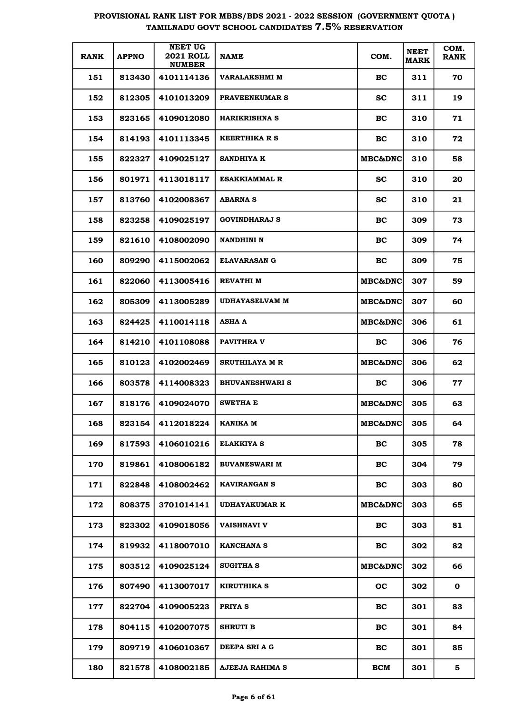| <b>RANK</b> | <b>APPNO</b> | <b>NEET UG</b><br><b>2021 ROLL</b><br><b>NUMBER</b> | <b>NAME</b>            | COM.               | <b>NEET</b><br><b>MARK</b> | COM.<br><b>RANK</b> |
|-------------|--------------|-----------------------------------------------------|------------------------|--------------------|----------------------------|---------------------|
| 151         | 813430       | 4101114136                                          | VARALAKSHMI M          | BC.                | 311                        | 70                  |
| 152         | 812305       | 4101013209                                          | <b>PRAVEENKUMAR S</b>  | <b>SC</b>          | 311                        | 19                  |
| 153         | 823165       | 4109012080                                          | <b>HARIKRISHNA S</b>   | <b>BC</b>          | 310                        | 71                  |
| 154         | 814193       | 4101113345                                          | <b>KEERTHIKA R S</b>   | <b>BC</b>          | 310                        | 72                  |
| 155         | 822327       | 4109025127                                          | <b>SANDHIYA K</b>      | <b>MBC&amp;DNC</b> | 310                        | 58                  |
| 156         | 801971       | 4113018117                                          | <b>ESAKKIAMMAL R</b>   | <b>SC</b>          | 310                        | 20                  |
| 157         | 813760       | 4102008367                                          | <b>ABARNA S</b>        | SC.                | 310                        | 21                  |
| 158         | 823258       | 4109025197                                          | <b>GOVINDHARAJ S</b>   | <b>BC</b>          | 309                        | 73                  |
| 159         | 821610       | 4108002090                                          | <b>NANDHINI N</b>      | <b>BC</b>          | 309                        | 74                  |
| 160         | 809290       | 4115002062                                          | <b>ELAVARASAN G</b>    | <b>BC</b>          | 309                        | 75                  |
| 161         | 822060       | 4113005416                                          | <b>REVATHI M</b>       | <b>MBC&amp;DNC</b> | 307                        | 59                  |
| 162         | 805309       | 4113005289                                          | <b>UDHAYASELVAM M</b>  | <b>MBC&amp;DNC</b> | 307                        | 60                  |
| 163         | 824425       | 4110014118                                          | <b>ASHA A</b>          | <b>MBC&amp;DNC</b> | 306                        | 61                  |
| 164         | 814210       | 4101108088                                          | <b>PAVITHRA V</b>      | BC.                | 306                        | 76                  |
| 165         | 810123       | 4102002469                                          | SRUTHILAYA M R         | <b>MBC&amp;DNC</b> | 306                        | 62                  |
| 166         | 803578       | 4114008323                                          | <b>BHUVANESHWARI S</b> | BC.                | 306                        | 77                  |
| 167         | 818176       | 4109024070                                          | <b>SWETHA E</b>        | MBC&DNC            | 305                        | 63                  |
| 168         | 823154       | 4112018224                                          | KANIKA M               | <b>MBC&amp;DNC</b> | 305                        | 64                  |
| 169         | 817593       | 4106010216                                          | <b>ELAKKIYA S</b>      | <b>BC</b>          | 305                        | 78                  |
| 170         | 819861       | 4108006182                                          | <b>BUVANESWARI M</b>   | BC                 | 304                        | 79                  |
| 171         | 822848       | 4108002462                                          | <b>KAVIRANGAN S</b>    | BC                 | 303                        | 80                  |
| 172         | 808375       | 3701014141                                          | <b>UDHAYAKUMAR K</b>   | MBC&DNC            | 303                        | 65                  |
| 173         | 823302       | 4109018056                                          | <b>VAISHNAVI V</b>     | BC                 | 303                        | 81                  |
| 174         | 819932       | 4118007010                                          | <b>KANCHANA S</b>      | BC                 | 302                        | 82                  |
| 175         | 803512       | 4109025124                                          | <b>SUGITHA S</b>       | MBC&DNC            | 302                        | 66                  |
| 176         | 807490       | 4113007017                                          | KIRUTHIKA S            | <b>OC</b>          | 302                        | 0                   |
| 177         | 822704       | 4109005223                                          | PRIYA S                | BC                 | 301                        | 83                  |
| 178         | 804115       | 4102007075                                          | <b>SHRUTI B</b>        | BC                 | 301                        | 84                  |
| 179         | 809719       | 4106010367                                          | DEEPA SRI A G          | BC                 | 301                        | 85                  |
| 180         | 821578       | 4108002185                                          | AJEEJA RAHIMA S        | <b>BCM</b>         | 301                        | 5                   |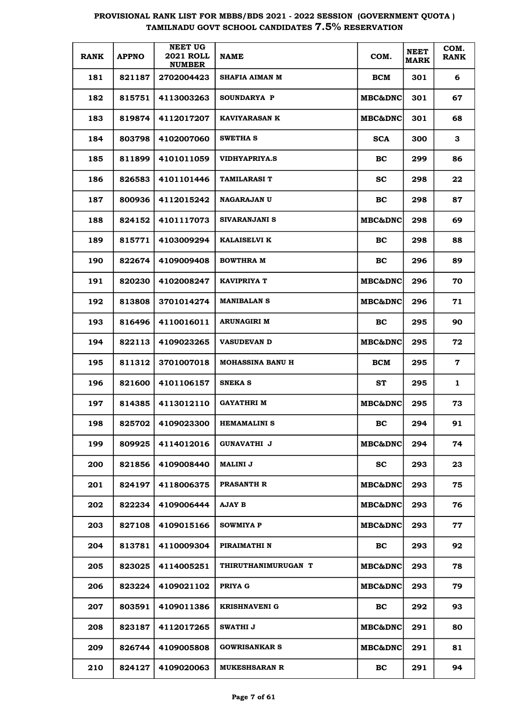| <b>RANK</b> | <b>APPNO</b> | <b>NEET UG</b><br><b>2021 ROLL</b><br><b>NUMBER</b> | <b>NAME</b>                | COM.                | <b>NEET</b><br><b>MARK</b> | COM.<br><b>RANK</b> |
|-------------|--------------|-----------------------------------------------------|----------------------------|---------------------|----------------------------|---------------------|
| 181         | 821187       | 2702004423                                          | SHAFIA AIMAN M             | <b>BCM</b>          | 301                        | 6                   |
| 182         | 815751       | 4113003263                                          | <b>SOUNDARYA P</b>         | MBC&DNC             | 301                        | 67                  |
| 183         | 819874       | 4112017207                                          | <b>KAVIYARASAN K</b>       | MBC&DNC             | 301                        | 68                  |
| 184         | 803798       | 4102007060                                          | <b>SWETHA S</b>            | <b>SCA</b>          | 300                        | 3                   |
| 185         | 811899       | 4101011059                                          | <b>VIDHYAPRIYA.S</b>       | BC                  | 299                        | 86                  |
| 186         | 826583       | 4101101446                                          | TAMILARASI T               | <b>SC</b>           | 298                        | 22                  |
| 187         | 800936       | 4112015242                                          | <b>NAGARAJAN U</b>         | BC                  | 298                        | 87                  |
| 188         | 824152       | 4101117073                                          | SIVARANJANI S              | <b>MBC&amp;DNC</b>  | 298                        | 69                  |
| 189         | 815771       | 4103009294                                          | <b>KALAISELVI K</b>        | BC                  | 298                        | 88                  |
| 190         | 822674       | 4109009408                                          | <b>BOWTHRA M</b>           | BC                  | 296                        | 89                  |
| 191         | 820230       | 4102008247                                          | <b>KAVIPRIYA T</b>         | <b>MBC&amp;DNC </b> | 296                        | 70                  |
| 192         | 813808       | 3701014274                                          | <b>MANIBALAN S</b>         | <b>MBC&amp;DNC</b>  | 296                        | 71                  |
| 193         | 816496       | 4110016011                                          | <b>ARUNAGIRI M</b>         | BC                  | 295                        | 90                  |
| 194         | 822113       | 4109023265                                          | <b>VASUDEVAN D</b>         | <b>MBC&amp;DNC</b>  | 295                        | 72                  |
| 195         | 811312       | 3701007018                                          | <b>MOHASSINA BANU H</b>    | <b>BCM</b>          | 295                        | $\mathbf 7$         |
| 196         | 821600       | 4101106157                                          | <b>SNEKA S</b>             | ST                  | 295                        | $\mathbf{1}$        |
| 197         | 814385       | 4113012110                                          | GAYATHRI M                 | MBC&DNC             | 295                        | 73                  |
| 198         | 825702       | 4109023300                                          | <b>HEMAMALINI S</b>        | BC                  | 294                        | 91                  |
| 199         | 809925       | 4114012016                                          | <b>GUNAVATHI J</b>         | <b>MBC&amp;DNC</b>  | 294                        | 74                  |
| 200         | 821856       | 4109008440                                          | <b>MALINI J</b>            | <b>SC</b>           | 293                        | 23                  |
| 201         | 824197       | 4118006375                                          | <b>PRASANTH R</b>          | <b>MBC&amp;DNC</b>  | 293                        | 75                  |
| 202         | 822234       | 4109006444                                          | <b>AJAY B</b>              | <b>MBC&amp;DNC</b>  | 293                        | 76                  |
| 203         | 827108       | 4109015166                                          | <b>SOWMIYA P</b>           | <b>MBC&amp;DNC</b>  | 293                        | 77                  |
| 204         | 813781       | 4110009304                                          | PIRAIMATHI N               | BC                  | 293                        | 92                  |
| 205         | 823025       | 4114005251                                          | <b>THIRUTHANIMURUGAN T</b> | <b>MBC&amp;DNC</b>  | 293                        | 78                  |
| 206         | 823224       | 4109021102                                          | PRIYA G                    | <b>MBC&amp;DNC</b>  | 293                        | 79                  |
| 207         | 803591       | 4109011386                                          | <b>KRISHNAVENI G</b>       | BC                  | 292                        | 93                  |
| 208         | 823187       | 4112017265                                          | SWATHI J                   | <b>MBC&amp;DNC</b>  | 291                        | 80                  |
| 209         | 826744       | 4109005808                                          | <b>GOWRISANKAR S</b>       | <b>MBC&amp;DNC</b>  | 291                        | 81                  |
| 210         | 824127       | 4109020063                                          | <b>MUKESHSARAN R</b>       | BC                  | 291                        | 94                  |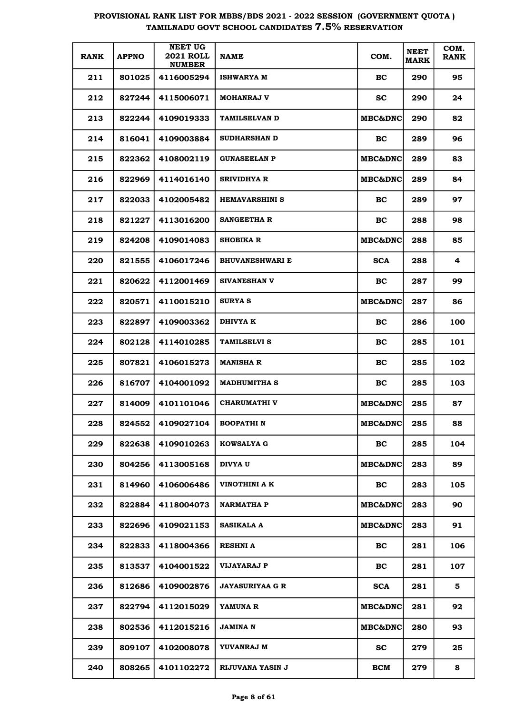| <b>RANK</b> | <b>APPNO</b> | <b>NEET UG</b><br><b>2021 ROLL</b><br><b>NUMBER</b> | <b>NAME</b>            | COM.               | <b>NEET</b><br><b>MARK</b> | COM.<br><b>RANK</b> |
|-------------|--------------|-----------------------------------------------------|------------------------|--------------------|----------------------------|---------------------|
| 211         | 801025       | 4116005294                                          | <b>ISHWARYA M</b>      | BС                 | 290                        | 95                  |
| 212         | 827244       | 4115006071                                          | <b>MOHANRAJ V</b>      | sc                 | 290                        | 24                  |
| 213         | 822244       | 4109019333                                          | <b>TAMILSELVAN D</b>   | <b>MBC&amp;DNC</b> | 290                        | 82                  |
| 214         | 816041       | 4109003884                                          | <b>SUDHARSHAN D</b>    | BC                 | 289                        | 96                  |
| 215         | 822362       | 4108002119                                          | <b>GUNASEELAN P</b>    | <b>MBC&amp;DNC</b> | 289                        | 83                  |
| 216         | 822969       | 4114016140                                          | <b>SRIVIDHYA R</b>     | <b>MBC&amp;DNC</b> | 289                        | 84                  |
| 217         | 822033       | 4102005482                                          | <b>HEMAVARSHINI S</b>  | <b>BC</b>          | 289                        | 97                  |
| 218         | 821227       | 4113016200                                          | <b>SANGEETHA R</b>     | BС                 | 288                        | 98                  |
| 219         | 824208       | 4109014083                                          | <b>SHOBIKA R</b>       | <b>MBC&amp;DNC</b> | 288                        | 85                  |
| 220         | 821555       | 4106017246                                          | <b>BHUVANESHWARI E</b> | <b>SCA</b>         | 288                        | 4                   |
| 221         | 820622       | 4112001469                                          | <b>SIVANESHAN V</b>    | BС                 | 287                        | 99                  |
| 222         | 820571       | 4110015210                                          | <b>SURYA S</b>         | <b>MBC&amp;DNC</b> | 287                        | 86                  |
| 223         | 822897       | 4109003362                                          | DHIVYA K               | <b>BC</b>          | 286                        | 100                 |
| 224         | 802128       | 4114010285                                          | <b>TAMILSELVI S</b>    | BС                 | 285                        | 101                 |
| 225         | 807821       | 4106015273                                          | <b>MANISHA R</b>       | BС                 | 285                        | 102                 |
| 226         | 816707       | 4104001092                                          | <b>MADHUMITHA S</b>    | BС                 | 285                        | 103                 |
| 227         | 814009       | 4101101046                                          | <b>CHARUMATHI V</b>    | <b>MBC&amp;DNC</b> | 285                        | 87                  |
| 228         | 824552       | 4109027104                                          | <b>BOOPATHIN</b>       | <b>MBC&amp;DNC</b> | 285                        | 88                  |
| 229         | 822638       | 4109010263                                          | <b>KOWSALYA G</b>      | <b>BC</b>          | 285                        | 104                 |
| 230         | 804256       | 4113005168                                          | DIVYA U                | <b>MBC&amp;DNC</b> | 283                        | 89                  |
| 231         | 814960       | 4106006486                                          | VINOTHINI A K          | <b>BC</b>          | 283                        | 105                 |
| 232         | 822884       | 4118004073                                          | <b>NARMATHA P</b>      | <b>MBC&amp;DNC</b> | 283                        | 90                  |
| 233         | 822696       | 4109021153                                          | SASIKALA A             | MBC&DNC            | 283                        | 91                  |
| 234         | 822833       | 4118004366                                          | <b>RESHNI A</b>        | BC                 | 281                        | 106                 |
| 235         | 813537       | 4104001522                                          | VIJAYARAJ P            | BC                 | 281                        | 107                 |
| 236         | 812686       | 4109002876                                          | <b>JAYASURIYAA G R</b> | <b>SCA</b>         | 281                        | 5                   |
| 237         | 822794       | 4112015029                                          | YAMUNA R               | <b>MBC&amp;DNC</b> | 281                        | 92                  |
| 238         | 802536       | 4112015216                                          | <b>JAMINA N</b>        | MBC&DNC            | 280                        | 93                  |
| 239         | 809107       | 4102008078                                          | YUVANRAJ M             | <b>SC</b>          | 279                        | 25                  |
| 240         | 808265       | 4101102272                                          | RIJUVANA YASIN J       | BCM                | 279                        | 8                   |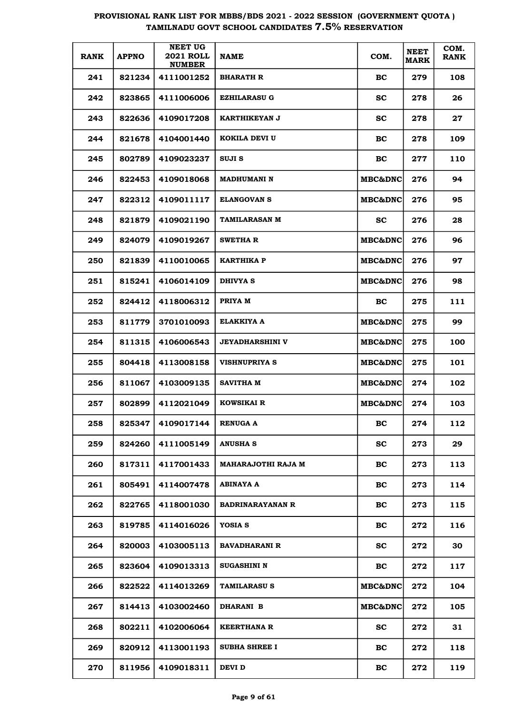| <b>RANK</b> | <b>APPNO</b> | <b>NEET UG</b><br><b>2021 ROLL</b><br><b>NUMBER</b> | <b>NAME</b>             | COM.               | <b>NEET</b><br><b>MARK</b> | COM.<br><b>RANK</b> |
|-------------|--------------|-----------------------------------------------------|-------------------------|--------------------|----------------------------|---------------------|
| 241         | 821234       | 4111001252                                          | <b>BHARATH R</b>        | BC.                | 279                        | 108                 |
| 242         | 823865       | 4111006006                                          | <b>EZHILARASU G</b>     | <b>SC</b>          | 278                        | 26                  |
| 243         | 822636       | 4109017208                                          | KARTHIKEYAN J           | SC.                | 278                        | 27                  |
| 244         | 821678       | 4104001440                                          | KOKILA DEVI U           | <b>BC</b>          | 278                        | 109                 |
| 245         | 802789       | 4109023237                                          | SUJI S                  | <b>BC</b>          | 277                        | 110                 |
| 246         | 822453       | 4109018068                                          | <b>MADHUMANI N</b>      | <b>MBC&amp;DNC</b> | 276                        | 94                  |
| 247         | 822312       | 4109011117                                          | <b>ELANGOVAN S</b>      | <b>MBC&amp;DNC</b> | 276                        | 95                  |
| 248         | 821879       | 4109021190                                          | <b>TAMILARASAN M</b>    | SС                 | 276                        | 28                  |
| 249         | 824079       | 4109019267                                          | <b>SWETHAR</b>          | <b>MBC&amp;DNC</b> | 276                        | 96                  |
| 250         | 821839       | 4110010065                                          | <b>KARTHIKA P</b>       | <b>MBC&amp;DNC</b> | 276                        | 97                  |
| 251         | 815241       | 4106014109                                          | DHIVYA S                | <b>MBC&amp;DNC</b> | 276                        | 98                  |
| 252         | 824412       | 4118006312                                          | PRIYA M                 | BC.                | 275                        | 111                 |
| 253         | 811779       | 3701010093                                          | ELAKKIYA A              | <b>MBC&amp;DNC</b> | 275                        | 99                  |
| 254         | 811315       | 4106006543                                          | <b>JEYADHARSHINI V</b>  | <b>MBC&amp;DNC</b> | 275                        | 100                 |
| 255         | 804418       | 4113008158                                          | <b>VISHNUPRIYA S</b>    | <b>MBC&amp;DNC</b> | 275                        | 101                 |
| 256         | 811067       | 4103009135                                          | <b>SAVITHA M</b>        | <b>MBC&amp;DNC</b> | 274                        | 102                 |
| 257         | 802899       | 4112021049                                          | <b>KOWSIKAI R</b>       | <b>MBC&amp;DNC</b> | 274                        | 103                 |
| 258         | 825347       | 4109017144                                          | <b>RENUGA A</b>         | BС                 | 274                        | 112                 |
| 259         | 824260       | 4111005149                                          | <b>ANUSHA S</b>         | <b>SC</b>          | 273                        | 29                  |
| 260         | 817311       | 4117001433                                          | MAHARAJOTHI RAJA M      | BC                 | 273                        | 113                 |
| 261         | 805491       | 4114007478                                          | ABINAYA A               | BC                 | 273                        | 114                 |
| 262         | 822765       | 4118001030                                          | <b>BADRINARAYANAN R</b> | BC.                | 273                        | 115                 |
| 263         | 819785       | 4114016026                                          | YOSIA S                 | BC                 | 272                        | 116                 |
| 264         | 820003       | 4103005113                                          | <b>BAVADHARANI R</b>    | <b>SC</b>          | 272                        | 30                  |
| 265         | 823604       | 4109013313                                          | <b>SUGASHINI N</b>      | BC                 | 272                        | 117                 |
| 266         | 822522       | 4114013269                                          | TAMILARASU S            | MBC&DNC            | 272                        | 104                 |
| 267         | 814413       | 4103002460                                          | <b>DHARANI B</b>        | MBC&DNC            | 272                        | 105                 |
| 268         | 802211       | 4102006064                                          | <b>KEERTHANA R</b>      | <b>SC</b>          | 272                        | 31                  |
| 269         | 820912       | 4113001193                                          | <b>SUBHA SHREE I</b>    | BC                 | 272                        | 118                 |
| 270         | 811956       | 4109018311                                          | DEVI D                  | BC                 | 272                        | 119                 |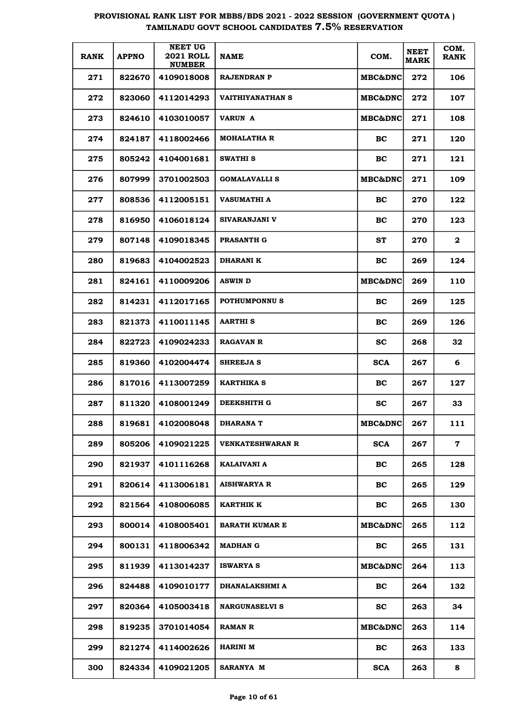| <b>RANK</b> | <b>APPNO</b> | <b>NEET UG</b><br><b>2021 ROLL</b><br><b>NUMBER</b> | NAME                    | COM.                | <b>NEET</b><br><b>MARK</b> | COM.<br><b>RANK</b> |
|-------------|--------------|-----------------------------------------------------|-------------------------|---------------------|----------------------------|---------------------|
| 271         | 822670       | 4109018008                                          | RAJENDRAN P             | MBC&DNC             | 272                        | 106                 |
| 272         | 823060       | 4112014293                                          | VAITHIYANATHAN S        | <b>MBC&amp;DNC </b> | 272                        | 107                 |
| 273         | 824610       | 4103010057                                          | <b>VARUN A</b>          | <b>MBC&amp;DNC</b>  | 271                        | 108                 |
| 274         | 824187       | 4118002466                                          | <b>MOHALATHA R</b>      | BC.                 | 271                        | 120                 |
| 275         | 805242       | 4104001681                                          | SWATHI S                | BC                  | 271                        | 121                 |
| 276         | 807999       | 3701002503                                          | <b>GOMALAVALLI S</b>    | MBC&DNC             | 271                        | 109                 |
| 277         | 808536       | 4112005151                                          | VASUMATHI A             | <b>BC</b>           | 270                        | 122                 |
| 278         | 816950       | 4106018124                                          | SIVARANJANI V           | BC                  | 270                        | 123                 |
| 279         | 807148       | 4109018345                                          | <b>PRASANTH G</b>       | ST                  | 270                        | $\mathbf{2}$        |
| 280         | 819683       | 4104002523                                          | DHARANI K               | BC                  | 269                        | 124                 |
| 281         | 824161       | 4110009206                                          | <b>ASWIN D</b>          | <b>MBC&amp;DNC</b>  | 269                        | 110                 |
| 282         | 814231       | 4112017165                                          | POTHUMPONNU S           | <b>BC</b>           | 269                        | 125                 |
| 283         | 821373       | 4110011145                                          | <b>AARTHIS</b>          | <b>BC</b>           | 269                        | 126                 |
| 284         | 822723       | 4109024233                                          | <b>RAGAVAN R</b>        | SC.                 | 268                        | 32                  |
| 285         | 819360       | 4102004474                                          | <b>SHREEJA S</b>        | <b>SCA</b>          | 267                        | 6                   |
| 286         | 817016       | 4113007259                                          | KARTHIKA S              | <b>BC</b>           | 267                        | 127                 |
| 287         | 811320       | 4108001249                                          | DEEKSHITH G             | $\mathbf{sc}$       | 267                        | 33                  |
| 288         | 819681       | 4102008048                                          | DHARANA T               | MBC&DNC             | 267                        | 111                 |
| 289         | 805206       | 4109021225                                          | <b>VENKATESHWARAN R</b> | <b>SCA</b>          | 267                        | $\mathbf 7$         |
| 290         | 821937       | 4101116268                                          | KALAIVANI A             | <b>BC</b>           | 265                        | 128                 |
| 291         | 820614       | 4113006181                                          | <b>AISHWARYA R</b>      | BC                  | 265                        | 129                 |
| 292         | 821564       | 4108006085                                          | <b>KARTHIK K</b>        | BC                  | 265                        | 130                 |
| 293         | 800014       | 4108005401                                          | <b>BARATH KUMAR E</b>   | <b>MBC&amp;DNC</b>  | 265                        | 112                 |
| 294         | 800131       | 4118006342                                          | MADHAN G                | <b>BC</b>           | 265                        | 131                 |
| 295         | 811939       | 4113014237                                          | <b>ISWARYA S</b>        | <b>MBC&amp;DNC</b>  | 264                        | 113                 |
| 296         | 824488       | 4109010177                                          | DHANALAKSHMI A          | BC                  | 264                        | 132                 |
| 297         | 820364       | 4105003418                                          | <b>NARGUNASELVI S</b>   | <b>SC</b>           | 263                        | 34                  |
| 298         | 819235       | 3701014054                                          | RAMAN R                 | MBC&DNC             | 263                        | 114                 |
| 299         | 821274       | 4114002626                                          | HARINI M                | BC                  | 263                        | 133                 |
| 300         | 824334       | 4109021205                                          | <b>SARANYA M</b>        | <b>SCA</b>          | 263                        | 8                   |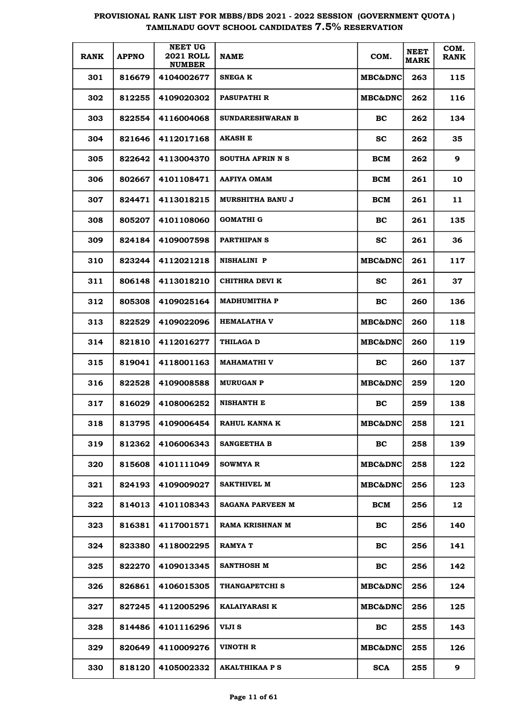| <b>RANK</b> | <b>APPNO</b> | <b>NEET UG</b><br><b>2021 ROLL</b><br><b>NUMBER</b> | <b>NAME</b>             | COM.               | <b>NEET</b><br><b>MARK</b> | COM.<br><b>RANK</b> |
|-------------|--------------|-----------------------------------------------------|-------------------------|--------------------|----------------------------|---------------------|
| 301         | 816679       | 4104002677                                          | <b>SNEGA K</b>          | <b>MBC&amp;DNC</b> | 263                        | 115                 |
| 302         | 812255       | 4109020302                                          | <b>PASUPATHIR</b>       | <b>MBC&amp;DNC</b> | 262                        | 116                 |
| 303         | 822554       | 4116004068                                          | <b>SUNDARESHWARAN B</b> | BC.                | 262                        | 134                 |
| 304         | 821646       | 4112017168                                          | <b>AKASH E</b>          | sc                 | 262                        | 35                  |
| 305         | 822642       | 4113004370                                          | SOUTHA AFRIN N S        | BCM                | 262                        | 9                   |
| 306         | 802667       | 4101108471                                          | <b>AAFIYA OMAM</b>      | BCM                | 261                        | 10                  |
| 307         | 824471       | 4113018215                                          | <b>MURSHITHA BANU J</b> | BCM                | 261                        | 11                  |
| 308         | 805207       | 4101108060                                          | GOMATHI G               | BC.                | 261                        | 135                 |
| 309         | 824184       | 4109007598                                          | <b>PARTHIPAN S</b>      | <b>SC</b>          | 261                        | 36                  |
| 310         | 823244       | 4112021218                                          | <b>NISHALINI P</b>      | <b>MBC&amp;DNC</b> | 261                        | 117                 |
| 311         | 806148       | 4113018210                                          | CHITHRA DEVI K          | SС                 | 261                        | 37                  |
| 312         | 805308       | 4109025164                                          | <b>MADHUMITHA P</b>     | BC.                | 260                        | 136                 |
| 313         | 822529       | 4109022096                                          | <b>HEMALATHA V</b>      | <b>MBC&amp;DNC</b> | 260                        | 118                 |
| 314         | 821810       | 4112016277                                          | <b>THILAGA D</b>        | <b>MBC&amp;DNC</b> | 260                        | 119                 |
| 315         | 819041       | 4118001163                                          | <b>MAHAMATHI V</b>      | BC.                | 260                        | 137                 |
| 316         | 822528       | 4109008588                                          | <b>MURUGAN P</b>        | <b>MBC&amp;DNC</b> | 259                        | 120                 |
| 317         | 816029       | 4108006252                                          | <b>NISHANTH E</b>       | BC                 | 259                        | 138                 |
| 318         | 813795       | 4109006454                                          | RAHUL KANNA K           | <b>MBC&amp;DNC</b> | 258                        | 121                 |
| 319         | 812362       | 4106006343                                          | SANGEETHA B             | <b>BC</b>          | 258                        | 139                 |
| 320         | 815608       | 4101111049                                          | SOWMYA R                | <b>MBC&amp;DNC</b> | 258                        | 122                 |
| 321         | 824193       | 4109009027                                          | SAKTHIVEL M             | <b>MBC&amp;DNC</b> | 256                        | 123                 |
| 322         | 814013       | 4101108343                                          | <b>SAGANA PARVEEN M</b> | BCM                | 256                        | 12                  |
| 323         | 816381       | 4117001571                                          | RAMA KRISHNAN M         | <b>BC</b>          | 256                        | 140                 |
| 324         | 823380       | 4118002295                                          | <b>RAMYA T</b>          | BC                 | 256                        | 141                 |
| 325         | 822270       | 4109013345                                          | SANTHOSH M              | BC                 | 256                        | 142                 |
| 326         | 826861       | 4106015305                                          | THANGAPETCHI S          | MBC&DNC            | 256                        | 124                 |
| 327         | 827245       | 4112005296                                          | <b>KALAIYARASI K</b>    | MBC&DNC            | 256                        | 125                 |
| 328         | 814486       | 4101116296                                          | VIJI S                  | <b>BC</b>          | 255                        | 143                 |
| 329         | 820649       | 4110009276                                          | VINOTH R                | MBC&DNC            | 255                        | 126                 |
| 330         | 818120       | 4105002332                                          | <b>AKALTHIKAA P S</b>   | <b>SCA</b>         | 255                        | 9                   |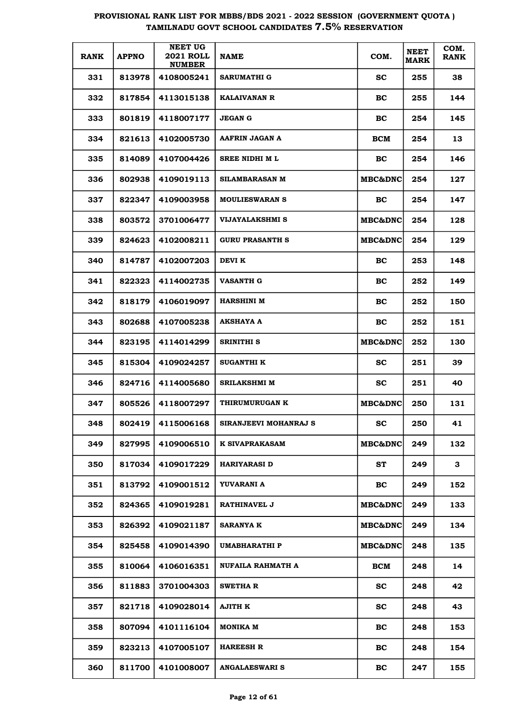| <b>RANK</b> | <b>APPNO</b> | <b>NEET UG</b><br><b>2021 ROLL</b><br><b>NUMBER</b> | <b>NAME</b>            | COM.               | <b>NEET</b><br><b>MARK</b> | COM.<br><b>RANK</b> |
|-------------|--------------|-----------------------------------------------------|------------------------|--------------------|----------------------------|---------------------|
| 331         | 813978       | 4108005241                                          | <b>SARUMATHI G</b>     | <b>SC</b>          | 255                        | 38                  |
| 332         | 817854       | 4113015138                                          | <b>KALAIVANAN R</b>    | BC                 | 255                        | 144                 |
| 333         | 801819       | 4118007177                                          | <b>JEGAN G</b>         | BC                 | 254                        | 145                 |
| 334         | 821613       | 4102005730                                          | AAFRIN JAGAN A         | BCM                | 254                        | 13                  |
| 335         | 814089       | 4107004426                                          | <b>SREE NIDHI ML</b>   | BC                 | 254                        | 146                 |
| 336         | 802938       | 4109019113                                          | SILAMBARASAN M         | <b>MBC&amp;DNC</b> | 254                        | 127                 |
| 337         | 822347       | 4109003958                                          | <b>MOULIESWARAN S</b>  | BC.                | 254                        | 147                 |
| 338         | 803572       | 3701006477                                          | <b>VIJAYALAKSHMI S</b> | <b>MBC&amp;DNC</b> | 254                        | 128                 |
| 339         | 824623       | 4102008211                                          | <b>GURU PRASANTH S</b> | <b>MBC&amp;DNC</b> | 254                        | 129                 |
| 340         | 814787       | 4102007203                                          | DEVI K                 | BC.                | 253                        | 148                 |
| 341         | 822323       | 4114002735                                          | <b>VASANTH G</b>       | BC                 | 252                        | 149                 |
| 342         | 818179       | 4106019097                                          | <b>HARSHINI M</b>      | BC                 | 252                        | 150                 |
| 343         | 802688       | 4107005238                                          | <b>AKSHAYA A</b>       | BC                 | 252                        | 151                 |
| 344         | 823195       | 4114014299                                          | SRINITHI S             | <b>MBC&amp;DNC</b> | 252                        | 130                 |
| 345         | 815304       | 4109024257                                          | <b>SUGANTHI K</b>      | SС                 | 251                        | 39                  |
| 346         | 824716       | 4114005680                                          | <b>SRILAKSHMI M</b>    | SС                 | 251                        | 40                  |
| 347         | 805526       | 4118007297                                          | THIRUMURUGAN K         | MBC&DNC            | 250                        | 131                 |
| 348         | 802419       | 4115006168                                          | SIRANJEEVI MOHANRAJ S  | SC.                | 250                        | 41                  |
| 349         | 827995       | 4109006510                                          | <b>K SIVAPRAKASAM</b>  | MBC&DNC            | 249                        | 132                 |
| 350         | 817034       | 4109017229                                          | <b>HARIYARASI D</b>    | ST                 | 249                        | 3                   |
| 351         | 813792       | 4109001512                                          | YUVARANI A             | BC                 | 249                        | 152                 |
| 352         | 824365       | 4109019281                                          | <b>RATHINAVEL J</b>    | <b>MBC&amp;DNC</b> | 249                        | 133                 |
| 353         | 826392       | 4109021187                                          | <b>SARANYA K</b>       | <b>MBC&amp;DNC</b> | 249                        | 134                 |
| 354         | 825458       | 4109014390                                          | UMABHARATHI P          | <b>MBC&amp;DNC</b> | 248                        | 135                 |
| 355         | 810064       | 4106016351                                          | NUFAILA RAHMATH A      | <b>BCM</b>         | 248                        | 14                  |
| 356         | 811883       | 3701004303                                          | <b>SWETHA R</b>        | <b>SC</b>          | 248                        | 42                  |
| 357         | 821718       | 4109028014                                          | AJITH K                | <b>SC</b>          | 248                        | 43                  |
| 358         | 807094       | 4101116104                                          | MONIKA M               | BC                 | 248                        | 153                 |
| 359         | 823213       | 4107005107                                          | <b>HAREESH R</b>       | BC                 | 248                        | 154                 |
| 360         | 811700       | 4101008007                                          | <b>ANGALAESWARI S</b>  | BC                 | 247                        | 155                 |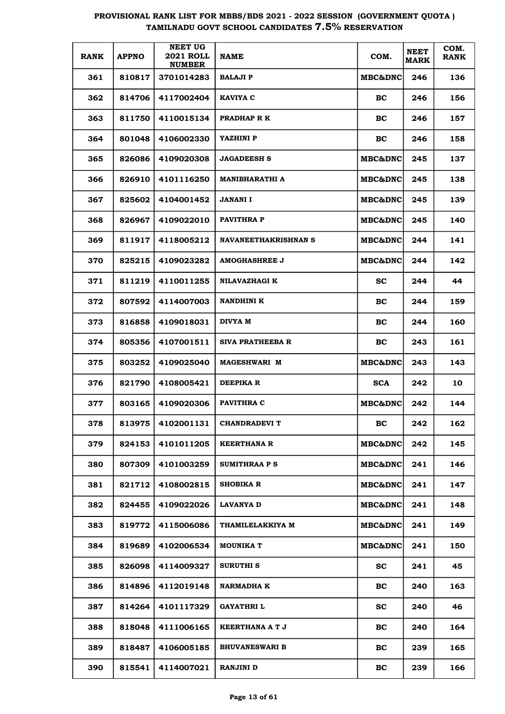| <b>RANK</b> | <b>APPNO</b> | <b>NEET UG</b><br><b>2021 ROLL</b><br><b>NUMBER</b> | <b>NAME</b>                 | COM.                | <b>NEET</b><br><b>MARK</b> | COM.<br><b>RANK</b> |
|-------------|--------------|-----------------------------------------------------|-----------------------------|---------------------|----------------------------|---------------------|
| 361         | 810817       | 3701014283                                          | <b>BALAJI P</b>             | <b>MBC&amp;DNC</b>  | 246                        | 136                 |
| 362         | 814706       | 4117002404                                          | KAVIYA C                    | BC                  | 246                        | 156                 |
| 363         | 811750       | 4110015134                                          | PRADHAP R K                 | BC                  | 246                        | 157                 |
| 364         | 801048       | 4106002330                                          | YAZHINI P                   | BC                  | 246                        | 158                 |
| 365         | 826086       | 4109020308                                          | <b>JAGADEESH S</b>          | MBC&DNC             | 245                        | 137                 |
| 366         | 826910       | 4101116250                                          | <b>MANIBHARATHI A</b>       | <b>MBC&amp;DNC </b> | 245                        | 138                 |
| 367         | 825602       | 4104001452                                          | JANANI I                    | MBC&DNC             | 245                        | 139                 |
| 368         | 826967       | 4109022010                                          | <b>PAVITHRAP</b>            | MBC&DNC             | 245                        | 140                 |
| 369         | 811917       | 4118005212                                          | <b>NAVANEETHAKRISHNAN S</b> | <b>MBC&amp;DNC</b>  | 244                        | 141                 |
| 370         | 825215       | 4109023282                                          | AMOGHASHREE J               | <b>MBC&amp;DNC</b>  | 244                        | 142                 |
| 371         | 811219       | 4110011255                                          | NILAVAZHAGI K               | <b>SC</b>           | 244                        | 44                  |
| 372         | 807592       | 4114007003                                          | <b>NANDHINI K</b>           | BC                  | 244                        | 159                 |
| 373         | 816858       | 4109018031                                          | DIVYA M                     | BC                  | 244                        | 160                 |
| 374         | 805356       | 4107001511                                          | SIVA PRATHEEBA R            | BC                  | 243                        | 161                 |
| 375         | 803252       | 4109025040                                          | <b>MAGESHWARI M</b>         | MBC&DNC             | 243                        | 143                 |
| 376         | 821790       | 4108005421                                          | DEEPIKA R                   | <b>SCA</b>          | 242                        | 10                  |
| 377         | 803165       | 4109020306                                          | PAVITHRA C                  | MBC&DNC             | 242                        | 144                 |
| 378         | 813975       | 4102001131                                          | <b>CHANDRADEVI T</b>        | BC                  | 242                        | 162                 |
| 379         | 824153       | 4101011205                                          | <b>KEERTHANA R</b>          | <b>MBC&amp;DNC</b>  | 242                        | 145                 |
| 380         | 807309       | 4101003259                                          | SUMITHRAA P S               | <b>MBC&amp;DNC</b>  | 241                        | 146                 |
| 381         | 821712       | 4108002815                                          | <b>SHOBIKA R</b>            | <b>MBC&amp;DNC</b>  | 241                        | 147                 |
| 382         | 824455       | 4109022026                                          | <b>LAVANYA D</b>            | <b>MBC&amp;DNC</b>  | 241                        | 148                 |
| 383         | 819772       | 4115006086                                          | THAMILELAKKIYA M            | <b>MBC&amp;DNC</b>  | 241                        | 149                 |
| 384         | 819689       | 4102006534                                          | <b>MOUNIKA T</b>            | <b>MBC&amp;DNC</b>  | 241                        | 150                 |
| 385         | 826098       | 4114009327                                          | <b>SURUTHI S</b>            | <b>SC</b>           | 241                        | 45                  |
| 386         | 814896       | 4112019148                                          | <b>NARMADHA K</b>           | BC                  | 240                        | 163                 |
| 387         | 814264       | 4101117329                                          | <b>GAYATHRI L</b>           | sc                  | 240                        | 46                  |
| 388         | 818048       | 4111006165                                          | KEERTHANA A T J             | BC                  | 240                        | 164                 |
| 389         | 818487       | 4106005185                                          | <b>BHUVANESWARI B</b>       | BC                  | 239                        | 165                 |
| 390         | 815541       | 4114007021                                          | <b>RANJINI D</b>            | BC                  | 239                        | 166                 |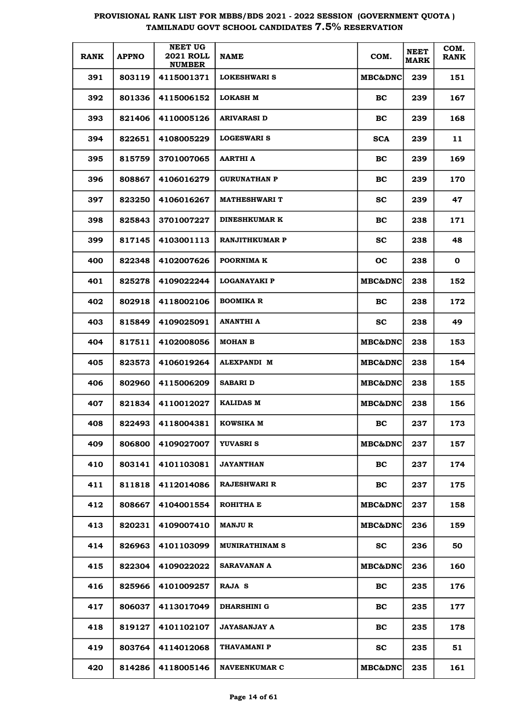| <b>RANK</b> | <b>APPNO</b> | <b>NEET UG</b><br><b>2021 ROLL</b><br><b>NUMBER</b> | <b>NAME</b>           | COM.                | <b>NEET</b><br><b>MARK</b> | COM.<br><b>RANK</b> |
|-------------|--------------|-----------------------------------------------------|-----------------------|---------------------|----------------------------|---------------------|
| 391         | 803119       | 4115001371                                          | <b>LOKESHWARI S</b>   | <b>MBC&amp;DNC</b>  | 239                        | 151                 |
| 392         | 801336       | 4115006152                                          | <b>LOKASH M</b>       | BC                  | 239                        | 167                 |
| 393         | 821406       | 4110005126                                          | <b>ARIVARASI D</b>    | BC                  | 239                        | 168                 |
| 394         | 822651       | 4108005229                                          | <b>LOGESWARI S</b>    | <b>SCA</b>          | 239                        | 11                  |
| 395         | 815759       | 3701007065                                          | <b>AARTHI A</b>       | BC                  | 239                        | 169                 |
| 396         | 808867       | 4106016279                                          | <b>GURUNATHAN P</b>   | BC                  | 239                        | 170                 |
| 397         | 823250       | 4106016267                                          | <b>MATHESHWARI T</b>  | <b>SC</b>           | 239                        | 47                  |
| 398         | 825843       | 3701007227                                          | <b>DINESHKUMAR K</b>  | BC                  | 238                        | 171                 |
| 399         | 817145       | 4103001113                                          | <b>RANJITHKUMAR P</b> | <b>SC</b>           | 238                        | 48                  |
| 400         | 822348       | 4102007626                                          | POORNIMA K            | <b>OC</b>           | 238                        | $\mathbf 0$         |
| 401         | 825278       | 4109022244                                          | <b>LOGANAYAKI P</b>   | <b>MBC&amp;DNC</b>  | 238                        | 152                 |
| 402         | 802918       | 4118002106                                          | <b>BOOMIKA R</b>      | BC                  | 238                        | 172                 |
| 403         | 815849       | 4109025091                                          | <b>ANANTHI A</b>      | <b>SC</b>           | 238                        | 49                  |
| 404         | 817511       | 4102008056                                          | <b>MOHAN B</b>        | <b>MBC&amp;DNC</b>  | 238                        | 153                 |
| 405         | 823573       | 4106019264                                          | <b>ALEXPANDI M</b>    | <b>MBC&amp;DNC</b>  | 238                        | 154                 |
| 406         | 802960       | 4115006209                                          | <b>SABARI D</b>       | <b>MBC&amp;DNC </b> | 238                        | 155                 |
| 407         | 821834       | 4110012027                                          | <b>KALIDAS M</b>      | <b>MBC&amp;DNC</b>  | 238                        | 156                 |
| 408         | 822493       | 4118004381                                          | <b>KOWSIKA M</b>      | BC                  | 237                        | 173                 |
| 409         | 806800       | 4109027007                                          | <b>YUVASRIS</b>       | <b>MBC&amp;DNC</b>  | 237                        | 157                 |
| 410         | 803141       | 4101103081                                          | <b>JAYANTHAN</b>      | BC                  | 237                        | 174                 |
| 411         | 811818       | 4112014086                                          | <b>RAJESHWARI R</b>   | BC                  | 237                        | 175                 |
| 412         | 808667       | 4104001554                                          | ROHITHA E             | <b>MBC&amp;DNC</b>  | 237                        | 158                 |
| 413         | 820231       | 4109007410                                          | <b>MANJU R</b>        | <b>MBC&amp;DNC</b>  | 236                        | 159                 |
| 414         | 826963       | 4101103099                                          | <b>MUNIRATHINAM S</b> | <b>SC</b>           | 236                        | 50                  |
| 415         | 822304       | 4109022022                                          | SARAVANAN A           | <b>MBC&amp;DNC</b>  | 236                        | 160                 |
| 416         | 825966       | 4101009257                                          | RAJA S                | BC                  | 235                        | 176                 |
| 417         | 806037       | 4113017049                                          | <b>DHARSHINI G</b>    | BC                  | 235                        | 177                 |
| 418         | 819127       | 4101102107                                          | <b>JAYASANJAY A</b>   | BC                  | 235                        | 178                 |
| 419         | 803764       | 4114012068                                          | THAVAMANI P           | <b>SC</b>           | 235                        | 51                  |
| 420         | 814286       | 4118005146                                          | <b>NAVEENKUMAR C</b>  | <b>MBC&amp;DNC</b>  | 235                        | 161                 |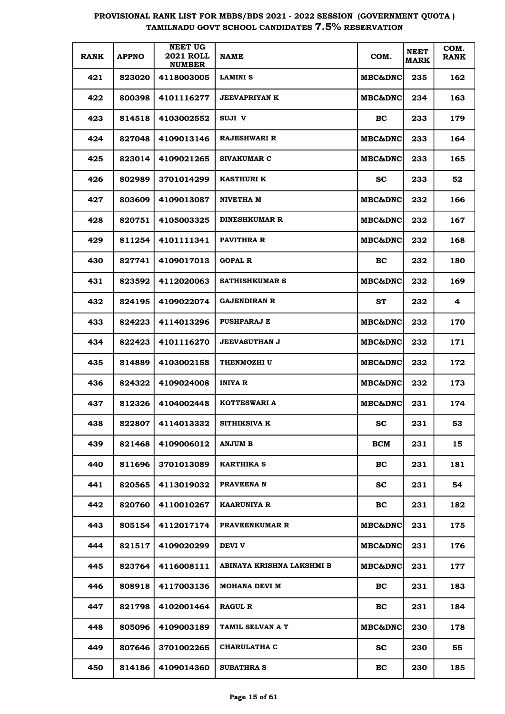| <b>RANK</b> | <b>APPNO</b> | <b>NEET UG</b><br><b>2021 ROLL</b><br><b>NUMBER</b> | <b>NAME</b>               | COM.               | <b>NEET</b><br><b>MARK</b> | COM.<br><b>RANK</b> |
|-------------|--------------|-----------------------------------------------------|---------------------------|--------------------|----------------------------|---------------------|
| 421         | 823020       | 4118003005                                          | <b>LAMINI S</b>           | <b>MBC&amp;DNC</b> | 235                        | 162                 |
| 422         | 800398       | 4101116277                                          | <b>JEEVAPRIYAN K</b>      | <b>MBC&amp;DNC</b> | 234                        | 163                 |
| 423         | 814518       | 4103002552                                          | SUJI V                    | BC.                | 233                        | 179                 |
| 424         | 827048       | 4109013146                                          | <b>RAJESHWARI R</b>       | <b>MBC&amp;DNC</b> | 233                        | 164                 |
| 425         | 823014       | 4109021265                                          | <b>SIVAKUMAR C</b>        | <b>MBC&amp;DNC</b> | 233                        | 165                 |
| 426         | 802989       | 3701014299                                          | <b>KASTHURI K</b>         | SС                 | 233                        | 52                  |
| 427         | 803609       | 4109013087                                          | NIVETHA M                 | MBC&DNC            | 232                        | 166                 |
| 428         | 820751       | 4105003325                                          | <b>DINESHKUMAR R</b>      | <b>MBC&amp;DNC</b> | 232                        | 167                 |
| 429         | 811254       | 4101111341                                          | PAVITHRA R                | <b>MBC&amp;DNC</b> | 232                        | 168                 |
| 430         | 827741       | 4109017013                                          | <b>GOPAL R</b>            | BC.                | 232                        | 180                 |
| 431         | 823592       | 4112020063                                          | <b>SATHISHKUMAR S</b>     | <b>MBC&amp;DNC</b> | 232                        | 169                 |
| 432         | 824195       | 4109022074                                          | GAJENDIRAN R              | ST                 | 232                        | 4                   |
| 433         | 824223       | 4114013296                                          | <b>PUSHPARAJ E</b>        | <b>MBC&amp;DNC</b> | 232                        | 170                 |
| 434         | 822423       | 4101116270                                          | <b>JEEVASUTHAN J</b>      | <b>MBC&amp;DNC</b> | 232                        | 171                 |
| 435         | 814889       | 4103002158                                          | <b>THENMOZHI U</b>        | <b>MBC&amp;DNC</b> | 232                        | 172                 |
| 436         | 824322       | 4109024008                                          | INIYA R                   | <b>MBC&amp;DNC</b> | 232                        | 173                 |
| 437         | 812326       | 4104002448                                          | KOTTESWARI A              | <b>MBC&amp;DNC</b> | 231                        | 174                 |
| 438         | 822807       | 4114013332                                          | SITHIKSIVA K              | SC                 | 231                        | 53                  |
| 439         | 821468       | 4109006012                                          | <b>ANJUM B</b>            | <b>BCM</b>         | 231                        | 15                  |
| 440         | 811696       | 3701013089                                          | <b>KARTHIKA S</b>         | BC                 | 231                        | 181                 |
| 441         | 820565       | 4113019032                                          | PRAVEENA N                | <b>SC</b>          | 231                        | 54                  |
| 442         | 820760       | 4110010267                                          | <b>KAARUNIYA R</b>        | BC                 | 231                        | 182                 |
| 443         | 805154       | 4112017174                                          | PRAVEENKUMAR R            | MBC&DNC            | 231                        | 175                 |
| 444         | 821517       | 4109020299                                          | <b>DEVI V</b>             | <b>MBC&amp;DNC</b> | 231                        | 176                 |
| 445         | 823764       | 4116008111                                          | ABINAYA KRISHNA LAKSHMI B | MBC&DNC            | 231                        | 177                 |
| 446         | 808918       | 4117003136                                          | MOHANA DEVI M             | BC                 | 231                        | 183                 |
| 447         | 821798       | 4102001464                                          | <b>RAGUL R</b>            | BC                 | 231                        | 184                 |
| 448         | 805096       | 4109003189                                          | TAMIL SELVAN A T          | MBC&DNC            | 230                        | 178                 |
| 449         | 807646       | 3701002265                                          | <b>CHARULATHA C</b>       | <b>SC</b>          | 230                        | 55                  |
| 450         | 814186       | 4109014360                                          | <b>SUBATHRA S</b>         | BC                 | 230                        | 185                 |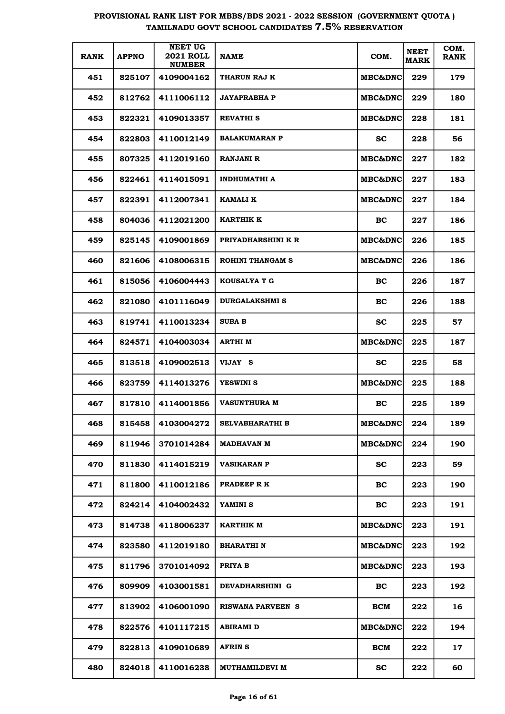|             |              | <b>NEET UG</b>                    |                         |                    |                            |                     |
|-------------|--------------|-----------------------------------|-------------------------|--------------------|----------------------------|---------------------|
| <b>RANK</b> | <b>APPNO</b> | <b>2021 ROLL</b><br><b>NUMBER</b> | <b>NAME</b>             | COM.               | <b>NEET</b><br><b>MARK</b> | COM.<br><b>RANK</b> |
| 451         | 825107       | 4109004162                        | THARUN RAJ K            | <b>MBC&amp;DNC</b> | 229                        | 179                 |
| 452         | 812762       | 4111006112                        | <b>JAYAPRABHA P</b>     | <b>MBC&amp;DNC</b> | 229                        | 180                 |
| 453         | 822321       | 4109013357                        | <b>REVATHI S</b>        | <b>MBC&amp;DNC</b> | 228                        | 181                 |
| 454         | 822803       | 4110012149                        | <b>BALAKUMARAN P</b>    | <b>SC</b>          | 228                        | 56                  |
| 455         | 807325       | 4112019160                        | RANJANI R               | <b>MBC&amp;DNC</b> | 227                        | 182                 |
| 456         | 822461       | 4114015091                        | <b>INDHUMATHI A</b>     | <b>MBC&amp;DNC</b> | 227                        | 183                 |
| 457         | 822391       | 4112007341                        | KAMALI K                | <b>MBC&amp;DNC</b> | 227                        | 184                 |
| 458         | 804036       | 4112021200                        | KARTHIK K               | <b>BC</b>          | 227                        | 186                 |
| 459         | 825145       | 4109001869                        | PRIYADHARSHINI K R      | <b>MBC&amp;DNC</b> | 226                        | 185                 |
| 460         | 821606       | 4108006315                        | <b>ROHINI THANGAM S</b> | <b>MBC&amp;DNC</b> | 226                        | 186                 |
| 461         | 815056       | 4106004443                        | KOUSALYA T G            | <b>BC</b>          | 226                        | 187                 |
| 462         | 821080       | 4101116049                        | <b>DURGALAKSHMI S</b>   | BC                 | 226                        | 188                 |
| 463         | 819741       | 4110013234                        | <b>SUBA B</b>           | <b>SC</b>          | 225                        | 57                  |
| 464         | 824571       | 4104003034                        | <b>ARTHIM</b>           | <b>MBC&amp;DNC</b> | 225                        | 187                 |
| 465         | 813518       | 4109002513                        | VIJAY S                 | <b>SC</b>          | 225                        | 58                  |
| 466         | 823759       | 4114013276                        | <b>YESWINI S</b>        | MBC&DNC            | 225                        | 188                 |
| 467         | 817810       | 4114001856                        | <b>VASUNTHURA M</b>     | BC                 | 225                        | 189                 |
| 468         | 815458       | 4103004272                        | <b>SELVABHARATHI B</b>  | MBC&DNC            | 224                        | 189                 |
| 469         | 811946       | 3701014284                        | <b>MADHAVAN M</b>       | MBC&DNC            | 224                        | 190                 |
| 470         | 811830       | 4114015219                        | <b>VASIKARAN P</b>      | <b>SC</b>          | 223                        | 59                  |
| 471         | 811800       | 4110012186                        | PRADEEP R K             | BC                 | 223                        | 190                 |
| 472         | 824214       | 4104002432                        | YAMINI S                | <b>BC</b>          | 223                        | 191                 |
| 473         | 814738       | 4118006237                        | KARTHIK M               | <b>MBC&amp;DNC</b> | 223                        | 191                 |
| 474         | 823580       | 4112019180                        | <b>BHARATHI N</b>       | <b>MBC&amp;DNC</b> | 223                        | 192                 |
| 475         | 811796       | 3701014092                        | PRIYA B                 | MBC&DNC            | 223                        | 193                 |
| 476         | 809909       | 4103001581                        | DEVADHARSHINI G         | <b>BC</b>          | 223                        | 192                 |
| 477         | 813902       | 4106001090                        | RISWANA PARVEEN S       | BCM                | 222                        | 16                  |
| 478         | 822576       | 4101117215                        | <b>ABIRAMI D</b>        | MBC&DNC            | 222                        | 194                 |
| 479         | 822813       | 4109010689                        | <b>AFRINS</b>           | BCM                | 222                        | 17                  |
| 480         | 824018       | 4110016238                        | <b>MUTHAMILDEVI M</b>   | <b>SC</b>          | 222                        | 60                  |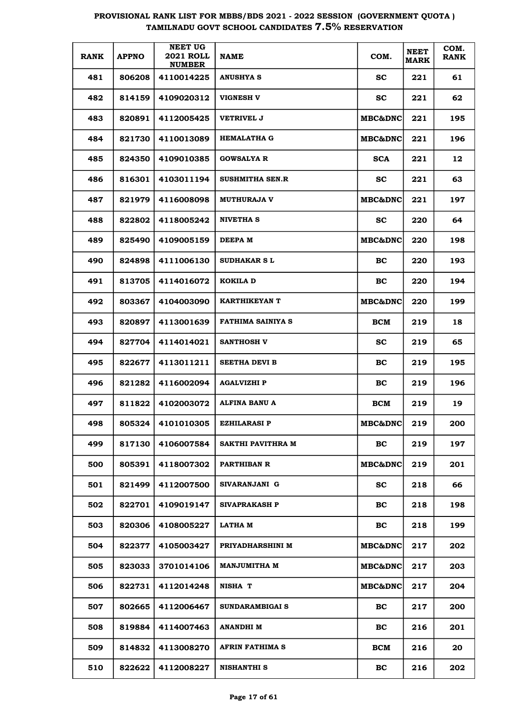| <b>RANK</b> | <b>APPNO</b> | <b>NEET UG</b><br><b>2021 ROLL</b><br><b>NUMBER</b> | <b>NAME</b>         | COM.               | <b>NEET</b><br><b>MARK</b> | COM.<br><b>RANK</b> |
|-------------|--------------|-----------------------------------------------------|---------------------|--------------------|----------------------------|---------------------|
| 481         | 806208       | 4110014225                                          | <b>ANUSHYA S</b>    | <b>SC</b>          | 221                        | 61                  |
| 482         | 814159       | 4109020312                                          | VIGNESH V           | <b>SC</b>          | 221                        | 62                  |
| 483         | 820891       | 4112005425                                          | <b>VETRIVEL J</b>   | MBC&DNC            | 221                        | 195                 |
| 484         | 821730       | 4110013089                                          | <b>HEMALATHA G</b>  | MBC&DNC            | 221                        | 196                 |
| 485         | 824350       | 4109010385                                          | <b>GOWSALYA R</b>   | <b>SCA</b>         | 221                        | 12                  |
| 486         | 816301       | 4103011194                                          | SUSHMITHA SEN.R     | <b>SC</b>          | 221                        | 63                  |
| 487         | 821979       | 4116008098                                          | <b>MUTHURAJA V</b>  | <b>MBC&amp;DNC</b> | 221                        | 197                 |
| 488         | 822802       | 4118005242                                          | NIVETHA S           | <b>SC</b>          | 220                        | 64                  |
| 489         | 825490       | 4109005159                                          | <b>DEEPAM</b>       | <b>MBC&amp;DNC</b> | 220                        | 198                 |
| 490         | 824898       | 4111006130                                          | <b>SUDHAKAR S L</b> | BC                 | 220                        | 193                 |
| 491         | 813705       | 4114016072                                          | KOKILA D            | BC                 | 220                        | 194                 |
| 492         | 803367       | 4104003090                                          | KARTHIKEYAN T       | MBC&DNC            | 220                        | 199                 |
| 493         | 820897       | 4113001639                                          | FATHIMA SAINIYA S   | <b>BCM</b>         | 219                        | 18                  |
| 494         | 827704       | 4114014021                                          | SANTHOSH V          | <b>SC</b>          | 219                        | 65                  |
| 495         | 822677       | 4113011211                                          | SEETHA DEVI B       | BC                 | 219                        | 195                 |
| 496         | 821282       | 4116002094                                          | AGALVIZHI P         | BC                 | 219                        | 196                 |
| 497         | 811822       | 4102003072                                          | ALFINA BANU A       | <b>BCM</b>         | 219                        | 19                  |
| 498         | 805324       | 4101010305                                          | <b>EZHILARASI P</b> | MBC&DNC            | 219                        | 200                 |
| 499         | 817130       | 4106007584                                          | SAKTHI PAVITHRA M   | <b>BC</b>          | 219                        | 197                 |
| 500         | 805391       | 4118007302                                          | PARTHIBAN R         | MBC&DNC            | 219                        | 201                 |
| 501         | 821499       | 4112007500                                          | SIVARANJANI G       | <b>SC</b>          | 218                        | 66                  |
| 502         | 822701       | 4109019147                                          | SIVAPRAKASH P       | BC                 | 218                        | 198                 |
| 503         | 820306       | 4108005227                                          | LATHA M             | BC                 | 218                        | 199                 |
| 504         | 822377       | 4105003427                                          | PRIYADHARSHINI M    | <b>MBC&amp;DNC</b> | 217                        | 202                 |
| 505         | 823033       | 3701014106                                          | MANJUMITHA M        | <b>MBC&amp;DNC</b> | 217                        | 203                 |
| 506         | 822731       | 4112014248                                          | NISHA T             | <b>MBC&amp;DNC</b> | 217                        | 204                 |
| 507         | 802665       | 4112006467                                          | SUNDARAMBIGAI S     | BC                 | 217                        | 200                 |
| 508         | 819884       | 4114007463                                          | ANANDHI M           | <b>BC</b>          | 216                        | 201                 |
| 509         | 814832       | 4113008270                                          | AFRIN FATHIMA S     | BCM                | 216                        | 20                  |
| 510         | 822622       | 4112008227                                          | <b>NISHANTHI S</b>  | <b>BC</b>          | 216                        | 202                 |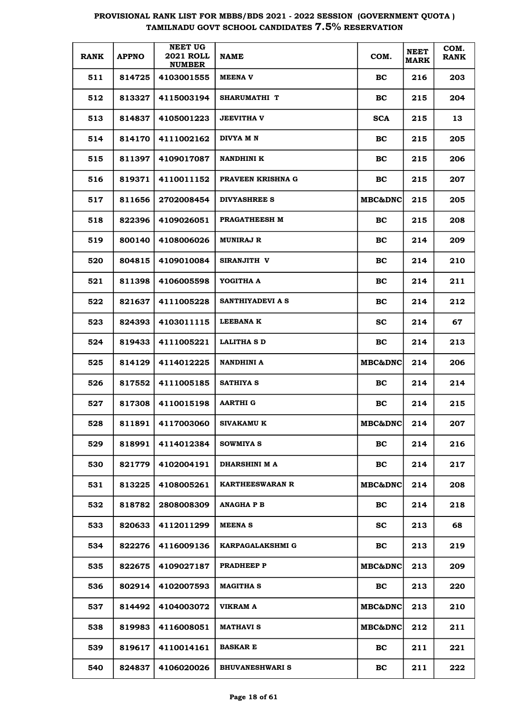| <b>RANK</b> | <b>APPNO</b> | <b>NEET UG</b><br><b>2021 ROLL</b><br><b>NUMBER</b> | <b>NAME</b>             | COM.               | <b>NEET</b><br><b>MARK</b> | COM.<br><b>RANK</b> |
|-------------|--------------|-----------------------------------------------------|-------------------------|--------------------|----------------------------|---------------------|
| 511         | 814725       | 4103001555                                          | <b>MEENAV</b>           | BC                 | 216                        | 203                 |
| 512         | 813327       | 4115003194                                          | SHARUMATHI T            | BC                 | 215                        | 204                 |
| 513         | 814837       | 4105001223                                          | <b>JEEVITHA V</b>       | <b>SCA</b>         | 215                        | 13                  |
| 514         | 814170       | 4111002162                                          | DIVYA M N               | BC                 | 215                        | 205                 |
| 515         | 811397       | 4109017087                                          | <b>NANDHINI K</b>       | BC                 | 215                        | 206                 |
| 516         | 819371       | 4110011152                                          | PRAVEEN KRISHNA G       | BC                 | 215                        | 207                 |
| 517         | 811656       | 2702008454                                          | DIVYASHREE S            | <b>MBC&amp;DNC</b> | 215                        | 205                 |
| 518         | 822396       | 4109026051                                          | PRAGATHEESH M           | <b>BC</b>          | 215                        | 208                 |
| 519         | 800140       | 4108006026                                          | <b>MUNIRAJ R</b>        | BC                 | 214                        | 209                 |
| 520         | 804815       | 4109010084                                          | SIRANJITH V             | BC                 | 214                        | 210                 |
| 521         | 811398       | 4106005598                                          | YOGITHA A               | BC                 | 214                        | 211                 |
| 522         | 821637       | 4111005228                                          | SANTHIYADEVI A S        | BC                 | 214                        | 212                 |
| 523         | 824393       | 4103011115                                          | <b>LEEBANAK</b>         | <b>SC</b>          | 214                        | 67                  |
| 524         | 819433       | 4111005221                                          | <b>LALITHA S D</b>      | BC                 | 214                        | 213                 |
| 525         | 814129       | 4114012225                                          | <b>NANDHINI A</b>       | <b>MBC&amp;DNC</b> | 214                        | 206                 |
| 526         | 817552       | 4111005185                                          | SATHIYA S               | BC.                | 214                        | 214                 |
| 527         | 817308       | 4110015198                                          | <b>AARTHI G</b>         | <b>BC</b>          | 214                        | 215                 |
| 528         | 811891       | 4117003060                                          | <b>SIVAKAMU K</b>       | <b>MBC&amp;DNC</b> | 214                        | 207                 |
| 529         | 818991       | 4114012384                                          | SOWMIYA S               | BC                 | 214                        | 216                 |
| 530         | 821779       | 4102004191                                          | DHARSHINI M A           | <b>BC</b>          | 214                        | 217                 |
| 531         | 813225       | 4108005261                                          | <b>KARTHEESWARAN R</b>  | <b>MBC&amp;DNC</b> | 214                        | 208                 |
| 532         | 818782       | 2808008309                                          | <b>ANAGHAPB</b>         | BC                 | 214                        | 218                 |
| 533         | 820633       | 4112011299                                          | <b>MEENAS</b>           | <b>SC</b>          | 213                        | 68                  |
| 534         | 822276       | 4116009136                                          | <b>KARPAGALAKSHMI G</b> | BC                 | 213                        | 219                 |
| 535         | 822675       | 4109027187                                          | PRADHEEP P              | MBC&DNC            | 213                        | 209                 |
| 536         | 802914       | 4102007593                                          | <b>MAGITHA S</b>        | BC                 | 213                        | 220                 |
| 537         | 814492       | 4104003072                                          | VIKRAM A                | MBC&DNC            | 213                        | 210                 |
| 538         | 819983       | 4116008051                                          | <b>MATHAVI S</b>        | MBC&DNC            | 212                        | 211                 |
| 539         | 819617       | 4110014161                                          | <b>BASKAR E</b>         | <b>BC</b>          | 211                        | 221                 |
| 540         | 824837       | 4106020026                                          | <b>BHUVANESHWARI S</b>  | BC                 | 211                        | 222                 |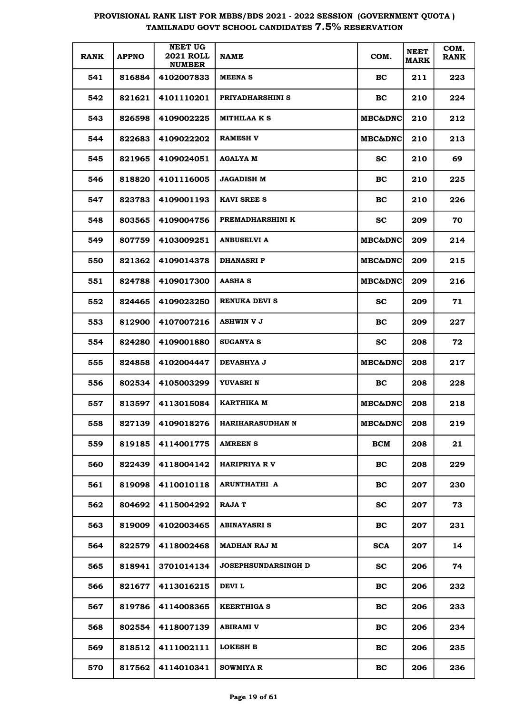| <b>RANK</b> | <b>APPNO</b> | <b>NEET UG</b><br><b>2021 ROLL</b><br><b>NUMBER</b> | <b>NAME</b>                | COM.               | <b>NEET</b><br><b>MARK</b> | COM.<br><b>RANK</b> |
|-------------|--------------|-----------------------------------------------------|----------------------------|--------------------|----------------------------|---------------------|
| 541         | 816884       | 4102007833                                          | <b>MEENAS</b>              | BC.                | 211                        | 223                 |
| 542         | 821621       | 4101110201                                          | PRIYADHARSHINI S           | BC                 | 210                        | 224                 |
| 543         | 826598       | 4109002225                                          | <b>MITHILAA K S</b>        | <b>MBC&amp;DNC</b> | 210                        | 212                 |
| 544         | 822683       | 4109022202                                          | <b>RAMESH V</b>            | <b>MBC&amp;DNC</b> | 210                        | 213                 |
| 545         | 821965       | 4109024051                                          | <b>AGALYA M</b>            | <b>SC</b>          | 210                        | 69                  |
| 546         | 818820       | 4101116005                                          | <b>JAGADISH M</b>          | BC                 | 210                        | 225                 |
| 547         | 823783       | 4109001193                                          | <b>KAVI SREE S</b>         | BC                 | 210                        | 226                 |
| 548         | 803565       | 4109004756                                          | PREMADHARSHINI K           | <b>SC</b>          | 209                        | 70                  |
| 549         | 807759       | 4103009251                                          | <b>ANBUSELVI A</b>         | <b>MBC&amp;DNC</b> | 209                        | 214                 |
| 550         | 821362       | 4109014378                                          | <b>DHANASRIP</b>           | <b>MBC&amp;DNC</b> | 209                        | 215                 |
| 551         | 824788       | 4109017300                                          | <b>AASHA S</b>             | <b>MBC&amp;DNC</b> | 209                        | 216                 |
| 552         | 824465       | 4109023250                                          | RENUKA DEVI S              | SC.                | 209                        | 71                  |
| 553         | 812900       | 4107007216                                          | <b>ASHWIN V J</b>          | BC                 | 209                        | 227                 |
| 554         | 824280       | 4109001880                                          | <b>SUGANYA S</b>           | <b>SC</b>          | 208                        | 72                  |
| 555         | 824858       | 4102004447                                          | <b>DEVASHYA J</b>          | <b>MBC&amp;DNC</b> | 208                        | 217                 |
| 556         | 802534       | 4105003299                                          | YUVASRI N                  | BC.                | 208                        | 228                 |
| 557         | 813597       | 4113015084                                          | KARTHIKA M                 | <b>MBC&amp;DNC</b> | 208                        | 218                 |
| 558         | 827139       | 4109018276                                          | HARIHARASUDHAN N           | <b>MBC&amp;DNC</b> | 208                        | 219                 |
| 559         | 819185       | 4114001775                                          | <b>AMREEN S</b>            | <b>BCM</b>         | 208                        | 21                  |
| 560         | 822439       | 4118004142                                          | <b>HARIPRIYA RV</b>        | <b>BC</b>          | 208                        | 229                 |
| 561         | 819098       | 4110010118                                          | <b>ARUNTHATHI A</b>        | <b>BC</b>          | 207                        | 230                 |
| 562         | 804692       | 4115004292                                          | <b>RAJA T</b>              | <b>SC</b>          | 207                        | 73                  |
| 563         | 819009       | 4102003465                                          | <b>ABINAYASRI S</b>        | BC                 | 207                        | 231                 |
| 564         | 822579       | 4118002468                                          | <b>MADHAN RAJ M</b>        | <b>SCA</b>         | 207                        | 14                  |
| 565         | 818941       | 3701014134                                          | <b>JOSEPHSUNDARSINGH D</b> | <b>SC</b>          | 206                        | 74                  |
| 566         | 821677       | 4113016215                                          | <b>DEVI L</b>              | BC                 | 206                        | 232                 |
| 567         | 819786       | 4114008365                                          | <b>KEERTHIGA S</b>         | BC                 | 206                        | 233                 |
| 568         | 802554       | 4118007139                                          | ABIRAMI V                  | BC                 | 206                        | 234                 |
| 569         | 818512       | 4111002111                                          | <b>LOKESH B</b>            | BC                 | 206                        | 235                 |
| 570         | 817562       | 4114010341                                          | <b>SOWMIYA R</b>           | BC                 | 206                        | 236                 |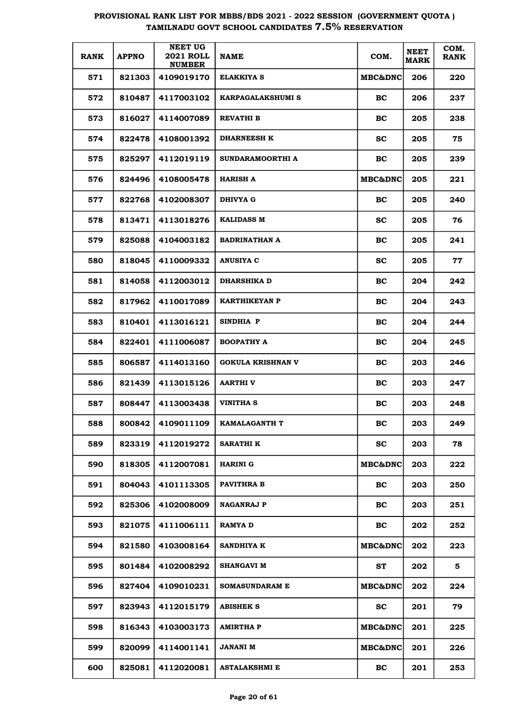| <b>RANK</b> | <b>APPNO</b> | <b>NEET UG</b><br><b>2021 ROLL</b><br><b>NUMBER</b> | <b>NAME</b>              | COM.               | <b>NEET</b><br><b>MARK</b> | COM.<br><b>RANK</b> |
|-------------|--------------|-----------------------------------------------------|--------------------------|--------------------|----------------------------|---------------------|
| 571         | 821303       | 4109019170                                          | ELAKKIYA S               | <b>MBC&amp;DNC</b> | 206                        | 220                 |
| 572         | 810487       | 4117003102                                          | KARPAGALAKSHUMI S        | <b>BC</b>          | 206                        | 237                 |
| 573         | 816027       | 4114007089                                          | REVATHI B                | <b>BC</b>          | 205                        | 238                 |
| 574         | 822478       | 4108001392                                          | <b>DHARNEESH K</b>       | <b>SC</b>          | 205                        | 75                  |
| 575         | 825297       | 4112019119                                          | SUNDARAMOORTHI A         | BC                 | 205                        | 239                 |
| 576         | 824496       | 4108005478                                          | <b>HARISH A</b>          | <b>MBC&amp;DNC</b> | 205                        | 221                 |
| 577         | 822768       | 4102008307                                          | DHIVYA G                 | <b>BC</b>          | 205                        | 240                 |
| 578         | 813471       | 4113018276                                          | <b>KALIDASS M</b>        | <b>SC</b>          | 205                        | 76                  |
| 579         | 825088       | 4104003182                                          | <b>BADRINATHAN A</b>     | <b>BC</b>          | 205                        | 241                 |
| 580         | 818045       | 4110009332                                          | <b>ANUSIYA C</b>         | <b>SC</b>          | 205                        | 77                  |
| 581         | 814058       | 4112003012                                          | <b>DHARSHIKA D</b>       | <b>BC</b>          | 204                        | 242                 |
| 582         | 817962       | 4110017089                                          | KARTHIKEYAN P            | <b>BC</b>          | 204                        | 243                 |
| 583         | 810401       | 4113016121                                          | SINDHIA P                | <b>BC</b>          | 204                        | 244                 |
| 584         | 822401       | 4111006087                                          | <b>BOOPATHY A</b>        | <b>BC</b>          | 204                        | 245                 |
| 585         | 806587       | 4114013160                                          | <b>GOKULA KRISHNAN V</b> | <b>BC</b>          | 203                        | 246                 |
| 586         | 821439       | 4113015126                                          | <b>AARTHIV</b>           | <b>BC</b>          | 203                        | 247                 |
| 587         | 808447       | 4113003438                                          | <b>VINITHA S</b>         | BC                 | 203                        | 248                 |
| 588         | 800842       | 4109011109                                          | <b>KAMALAGANTH T</b>     | BС                 | 203                        | 249                 |
| 589         | 823319       | 4112019272                                          | <b>SARATHI K</b>         | <b>SC</b>          | 203                        | 78                  |
| 590         | 818305       | 4112007081                                          | <b>HARINI G</b>          | <b>MBC&amp;DNC</b> | 203                        | 222                 |
| 591         | 804043       | 4101113305                                          | <b>PAVITHRA B</b>        | BC                 | 203                        | 250                 |
| 592         | 825306       | 4102008009                                          | <b>NAGANRAJ P</b>        | <b>BC</b>          | 203                        | 251                 |
| 593         | 821075       | 4111006111                                          | <b>RAMYA D</b>           | BC                 | 202                        | 252                 |
| 594         | 821580       | 4103008164                                          | <b>SANDHIYA K</b>        | MBC&DNC            | 202                        | 223                 |
| 595         | 801484       | 4102008292                                          | <b>SHANGAVI M</b>        | ST                 | 202                        | 5                   |
| 596         | 827404       | 4109010231                                          | <b>SOMASUNDARAM E</b>    | MBC&DNC            | 202                        | 224                 |
| 597         | 823943       | 4112015179                                          | <b>ABISHEK S</b>         | <b>SC</b>          | 201                        | 79                  |
| 598         | 816343       | 4103003173                                          | <b>AMIRTHA P</b>         | MBC&DNC            | 201                        | 225                 |
| 599         | 820099       | 4114001141                                          | <b>JANANI M</b>          | MBC&DNC            | 201                        | 226                 |
| 600         | 825081       | 4112020081                                          | <b>ASTALAKSHMI E</b>     | <b>BC</b>          | 201                        | 253                 |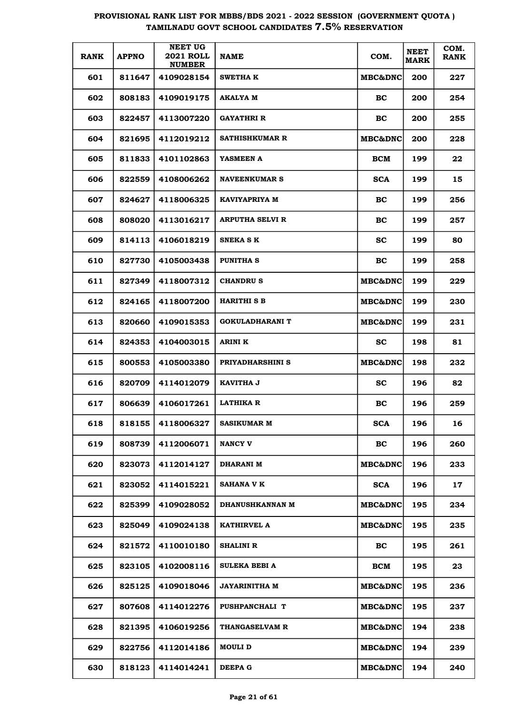| <b>RANK</b> | <b>APPNO</b> | <b>NEET UG</b><br><b>2021 ROLL</b><br><b>NUMBER</b> | <b>NAME</b>            | COM.               | <b>NEET</b><br><b>MARK</b> | COM.<br><b>RANK</b> |
|-------------|--------------|-----------------------------------------------------|------------------------|--------------------|----------------------------|---------------------|
| 601         | 811647       | 4109028154                                          | <b>SWETHA K</b>        | <b>MBC&amp;DNC</b> | 200                        | 227                 |
| 602         | 808183       | 4109019175                                          | AKALYA M               | BC                 | 200                        | 254                 |
| 603         | 822457       | 4113007220                                          | GAYATHRI R             | BC                 | 200                        | 255                 |
| 604         | 821695       | 4112019212                                          | SATHISHKUMAR R         | MBC&DNC            | 200                        | 228                 |
| 605         | 811833       | 4101102863                                          | YASMEEN A              | BCM                | 199                        | 22                  |
| 606         | 822559       | 4108006262                                          | <b>NAVEENKUMAR S</b>   | <b>SCA</b>         | 199                        | 15                  |
| 607         | 824627       | 4118006325                                          | KAVIYAPRIYA M          | BC                 | 199                        | 256                 |
| 608         | 808020       | 4113016217                                          | <b>ARPUTHA SELVI R</b> | BC                 | 199                        | 257                 |
| 609         | 814113       | 4106018219                                          | <b>SNEKA S K</b>       | <b>SC</b>          | 199                        | 80                  |
| 610         | 827730       | 4105003438                                          | PUNITHA S              | BC                 | 199                        | 258                 |
| 611         | 827349       | 4118007312                                          | <b>CHANDRUS</b>        | <b>MBC&amp;DNC</b> | 199                        | 229                 |
| 612         | 824165       | 4118007200                                          | <b>HARITHI S B</b>     | <b>MBC&amp;DNC</b> | 199                        | 230                 |
| 613         | 820660       | 4109015353                                          | <b>GOKULADHARANI T</b> | MBC&DNC            | 199                        | 231                 |
| 614         | 824353       | 4104003015                                          | <b>ARINI K</b>         | <b>SC</b>          | 198                        | 81                  |
| 615         | 800553       | 4105003380                                          | PRIYADHARSHINI S       | MBC&DNC            | 198                        | 232                 |
| 616         | 820709       | 4114012079                                          | KAVITHA J              | <b>SC</b>          | 196                        | 82                  |
| 617         | 806639       | 4106017261                                          | <b>LATHIKA R</b>       | BC                 | 196                        | 259                 |
| 618         | 818155       | 4118006327                                          | SASIKUMAR M            | <b>SCA</b>         | 196                        | 16                  |
| 619         | 808739       | 4112006071                                          | <b>NANCY V</b>         | <b>BC</b>          | 196                        | 260                 |
| 620         | 823073       | 4112014127                                          | DHARANI M              | <b>MBC&amp;DNC</b> | 196                        | 233                 |
| 621         | 823052       | 4114015221                                          | <b>SAHANA V K</b>      | <b>SCA</b>         | 196                        | 17                  |
| 622         | 825399       | 4109028052                                          | <b>DHANUSHKANNAN M</b> | <b>MBC&amp;DNC</b> | 195                        | 234                 |
| 623         | 825049       | 4109024138                                          | <b>KATHIRVEL A</b>     | <b>MBC&amp;DNC</b> | 195                        | 235                 |
| 624         | 821572       | 4110010180                                          | SHALINI R              | BC                 | 195                        | 261                 |
| 625         | 823105       | 4102008116                                          | SULEKA BEBI A          | BCM                | 195                        | 23                  |
| 626         | 825125       | 4109018046                                          | <b>JAYARINITHA M</b>   | <b>MBC&amp;DNC</b> | 195                        | 236                 |
| 627         | 807608       | 4114012276                                          | PUSHPANCHALI T         | <b>MBC&amp;DNC</b> | 195                        | 237                 |
| 628         | 821395       | 4106019256                                          | THANGASELVAM R         | <b>MBC&amp;DNC</b> | 194                        | 238                 |
| 629         | 822756       | 4112014186                                          | MOULI D                | <b>MBC&amp;DNC</b> | 194                        | 239                 |
| 630         | 818123       | 4114014241                                          | DEEPA G                | <b>MBC&amp;DNC</b> | 194                        | 240                 |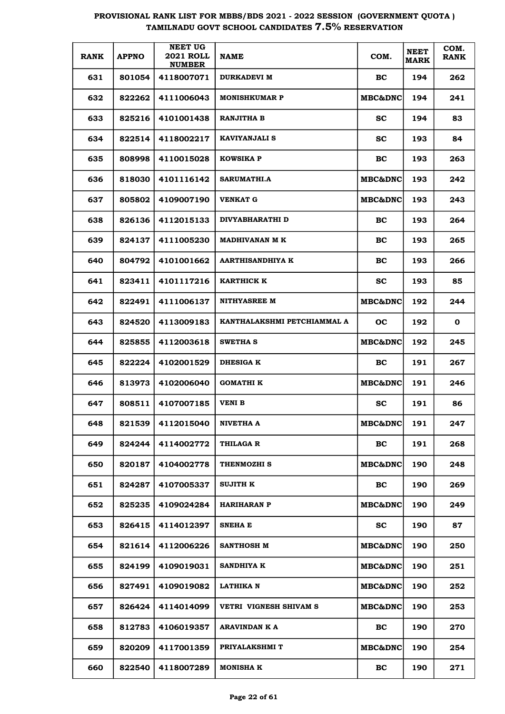| <b>RANK</b> | <b>APPNO</b> | <b>NEET UG</b><br><b>2021 ROLL</b><br><b>NUMBER</b> | <b>NAME</b>                 | COM.               | <b>NEET</b><br><b>MARK</b> | COM.<br><b>RANK</b> |
|-------------|--------------|-----------------------------------------------------|-----------------------------|--------------------|----------------------------|---------------------|
| 631         | 801054       | 4118007071                                          | <b>DURKADEVI M</b>          | BC.                | 194                        | 262                 |
| 632         | 822262       | 4111006043                                          | <b>MONISHKUMAR P</b>        | <b>MBC&amp;DNC</b> | 194                        | 241                 |
| 633         | 825216       | 4101001438                                          | <b>RANJITHA B</b>           | SC.                | 194                        | 83                  |
| 634         | 822514       | 4118002217                                          | <b>KAVIYANJALI S</b>        | SС                 | 193                        | 84                  |
| 635         | 808998       | 4110015028                                          | <b>KOWSIKA P</b>            | BC                 | 193                        | 263                 |
| 636         | 818030       | 4101116142                                          | SARUMATHI.A                 | <b>MBC&amp;DNC</b> | 193                        | 242                 |
| 637         | 805802       | 4109007190                                          | <b>VENKAT G</b>             | <b>MBC&amp;DNC</b> | 193                        | 243                 |
| 638         | 826136       | 4112015133                                          | DIVYABHARATHI D             | BC                 | 193                        | 264                 |
| 639         | 824137       | 4111005230                                          | <b>MADHIVANAN M K</b>       | BC                 | 193                        | 265                 |
| 640         | 804792       | 4101001662                                          | <b>AARTHISANDHIYA K</b>     | BC                 | 193                        | 266                 |
| 641         | 823411       | 4101117216                                          | <b>KARTHICK K</b>           | SС                 | 193                        | 85                  |
| 642         | 822491       | 4111006137                                          | <b>NITHYASREE M</b>         | <b>MBC&amp;DNC</b> | 192                        | 244                 |
| 643         | 824520       | 4113009183                                          | KANTHALAKSHMI PETCHIAMMAL A | OС                 | 192                        | 0                   |
| 644         | 825855       | 4112003618                                          | <b>SWETHA S</b>             | <b>MBC&amp;DNC</b> | 192                        | 245                 |
| 645         | 822224       | 4102001529                                          | <b>DHESIGA K</b>            | BC.                | 191                        | 267                 |
| 646         | 813973       | 4102006040                                          | GOMATHI K                   | <b>MBC&amp;DNC</b> | 191                        | 246                 |
| 647         | 808511       | 4107007185                                          | <b>VENI B</b>               | SС                 | 191                        | 86                  |
| 648         | 821539       | 4112015040                                          | NIVETHA A                   | <b>MBC&amp;DNC</b> | 191                        | 247                 |
| 649         | 824244       | 4114002772                                          | THILAGA R                   | <b>BC</b>          | 191                        | 268                 |
| 650         | 820187       | 4104002778                                          | THENMOZHI S                 | <b>MBC&amp;DNC</b> | 190                        | 248                 |
| 651         | 824287       | 4107005337                                          | <b>SUJITH K</b>             | <b>BC</b>          | 190                        | 269                 |
| 652         | 825235       | 4109024284                                          | <b>HARIHARAN P</b>          | <b>MBC&amp;DNC</b> | 190                        | 249                 |
| 653         | 826415       | 4114012397                                          | SNEHA E                     | <b>SC</b>          | 190                        | 87                  |
| 654         | 821614       | 4112006226                                          | SANTHOSH M                  | <b>MBC&amp;DNC</b> | 190                        | 250                 |
| 655         | 824199       | 4109019031                                          | <b>SANDHIYA K</b>           | MBC&DNC            | 190                        | 251                 |
| 656         | 827491       | 4109019082                                          | LATHIKA N                   | MBC&DNC            | 190                        | 252                 |
| 657         | 826424       | 4114014099                                          | VETRI VIGNESH SHIVAM S      | MBC&DNC            | 190                        | 253                 |
| 658         | 812783       | 4106019357                                          | ARAVINDAN K A               | BC                 | 190                        | 270                 |
| 659         | 820209       | 4117001359                                          | PRIYALAKSHMI T              | MBC&DNC            | 190                        | 254                 |
| 660         | 822540       | 4118007289                                          | MONISHA K                   | <b>BC</b>          | 190                        | 271                 |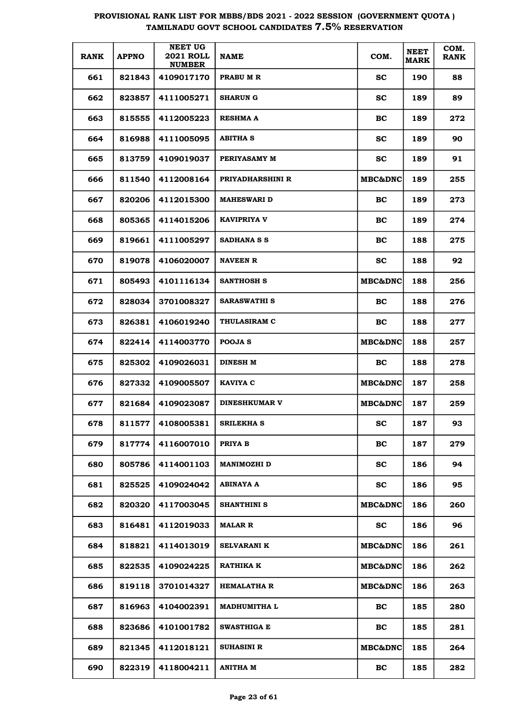| <b>RANK</b> | <b>APPNO</b> | <b>NEET UG</b><br><b>2021 ROLL</b><br><b>NUMBER</b> | <b>NAME</b>          | COM.               | <b>NEET</b><br><b>MARK</b> | COM.<br><b>RANK</b> |
|-------------|--------------|-----------------------------------------------------|----------------------|--------------------|----------------------------|---------------------|
| 661         | 821843       | 4109017170                                          | PRABU M R            | <b>SC</b>          | 190                        | 88                  |
| 662         | 823857       | 4111005271                                          | <b>SHARUN G</b>      | <b>SC</b>          | 189                        | 89                  |
| 663         | 815555       | 4112005223                                          | <b>RESHMA A</b>      | <b>BC</b>          | 189                        | 272                 |
| 664         | 816988       | 4111005095                                          | <b>ABITHA S</b>      | <b>SC</b>          | 189                        | 90                  |
| 665         | 813759       | 4109019037                                          | PERIYASAMY M         | <b>SC</b>          | 189                        | 91                  |
| 666         | 811540       | 4112008164                                          | PRIYADHARSHINI R     | <b>MBC&amp;DNC</b> | 189                        | 255                 |
| 667         | 820206       | 4112015300                                          | <b>MAHESWARI D</b>   | <b>BC</b>          | 189                        | 273                 |
| 668         | 805365       | 4114015206                                          | <b>KAVIPRIYA V</b>   | <b>BC</b>          | 189                        | 274                 |
| 669         | 819661       | 4111005297                                          | SADHANA S S          | <b>BC</b>          | 188                        | 275                 |
| 670         | 819078       | 4106020007                                          | <b>NAVEEN R</b>      | <b>SC</b>          | 188                        | 92                  |
| 671         | 805493       | 4101116134                                          | SANTHOSH S           | <b>MBC&amp;DNC</b> | 188                        | 256                 |
| 672         | 828034       | 3701008327                                          | <b>SARASWATHI S</b>  | BC.                | 188                        | 276                 |
| 673         | 826381       | 4106019240                                          | <b>THULASIRAM C</b>  | <b>BC</b>          | 188                        | 277                 |
| 674         | 822414       | 4114003770                                          | POOJA S              | <b>MBC&amp;DNC</b> | 188                        | 257                 |
| 675         | 825302       | 4109026031                                          | DINESH M             | BC.                | 188                        | 278                 |
| 676         | 827332       | 4109005507                                          | <b>KAVIYA C</b>      | <b>MBC&amp;DNC</b> | 187                        | 258                 |
| 677         | 821684       | 4109023087                                          | <b>DINESHKUMAR V</b> | <b>MBC&amp;DNC</b> | 187                        | 259                 |
| 678         | 811577       | 4108005381                                          | <b>SRILEKHA S</b>    | SС                 | 187                        | 93                  |
| 679         | 817774       | 4116007010                                          | PRIYA B              | BC                 | 187                        | 279                 |
| 680         | 805786       | 4114001103                                          | <b>MANIMOZHI D</b>   | <b>SC</b>          | 186                        | 94                  |
| 681         | 825525       | 4109024042                                          | ABINAYA A            | <b>SC</b>          | 186                        | 95                  |
| 682         | 820320       | 4117003045                                          | SHANTHINI S          | <b>MBC&amp;DNC</b> | 186                        | 260                 |
| 683         | 816481       | 4112019033                                          | <b>MALAR R</b>       | <b>SC</b>          | 186                        | 96                  |
| 684         | 818821       | 4114013019                                          | <b>SELVARANI K</b>   | <b>MBC&amp;DNC</b> | 186                        | 261                 |
| 685         | 822535       | 4109024225                                          | RATHIKA K            | MBC&DNC            | 186                        | 262                 |
| 686         | 819118       | 3701014327                                          | <b>HEMALATHA R</b>   | MBC&DNC            | 186                        | 263                 |
| 687         | 816963       | 4104002391                                          | <b>MADHUMITHA L</b>  | BC                 | 185                        | 280                 |
| 688         | 823686       | 4101001782                                          | <b>SWASTHIGA E</b>   | BC                 | 185                        | 281                 |
| 689         | 821345       | 4112018121                                          | <b>SUHASINI R</b>    | MBC&DNC            | 185                        | 264                 |
| 690         | 822319       | 4118004211                                          | ANITHA M             | BC                 | 185                        | 282                 |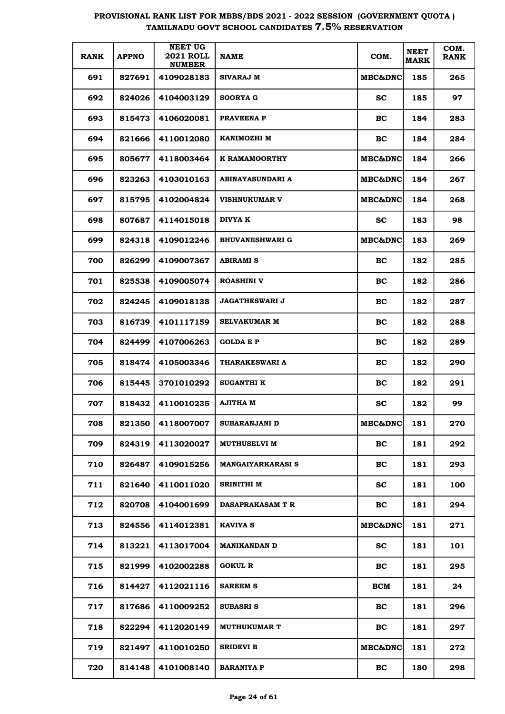| <b>RANK</b> | <b>APPNO</b> | <b>NEET UG</b><br><b>2021 ROLL</b><br><b>NUMBER</b> | <b>NAME</b>              | COM.                | <b>NEET</b><br><b>MARK</b> | COM.<br><b>RANK</b> |
|-------------|--------------|-----------------------------------------------------|--------------------------|---------------------|----------------------------|---------------------|
| 691         | 827691       | 4109028183                                          | SIVARAJ M                | <b>MBC&amp;DNC</b>  | 185                        | 265                 |
| 692         | 824026       | 4104003129                                          | <b>SOORYA G</b>          | <b>SC</b>           | 185                        | 97                  |
| 693         | 815473       | 4106020081                                          | PRAVEENA P               | BC                  | 184                        | 283                 |
| 694         | 821666       | 4110012080                                          | KANIMOZHI M              | BC                  | 184                        | 284                 |
| 695         | 805677       | 4118003464                                          | K RAMAMOORTHY            | <b>MBC&amp;DNC </b> | 184                        | 266                 |
| 696         | 823263       | 4103010163                                          | ABINAYASUNDARI A         | <b>MBC&amp;DNC</b>  | 184                        | 267                 |
| 697         | 815795       | 4102004824                                          | <b>VISHNUKUMAR V</b>     | <b>MBC&amp;DNC</b>  | 184                        | 268                 |
| 698         | 807687       | 4114015018                                          | <b>DIVYA K</b>           | <b>SC</b>           | 183                        | 98                  |
| 699         | 824318       | 4109012246                                          | <b>BHUVANESHWARI G</b>   | <b>MBC&amp;DNC</b>  | 183                        | 269                 |
| 700         | 826299       | 4109007367                                          | ABIRAMI S                | BC                  | 182                        | 285                 |
| 701         | 825538       | 4109005074                                          | <b>ROASHINI V</b>        | BC                  | 182                        | 286                 |
| 702         | 824245       | 4109018138                                          | <b>JAGATHESWARI J</b>    | BC                  | 182                        | 287                 |
| 703         | 816739       | 4101117159                                          | <b>SELVAKUMAR M</b>      | BC                  | 182                        | 288                 |
| 704         | 824499       | 4107006263                                          | <b>GOLDA E P</b>         | BC                  | 182                        | 289                 |
| 705         | 818474       | 4105003346                                          | THARAKESWARI A           | BC                  | 182                        | 290                 |
| 706         | 815445       | 3701010292                                          | <b>SUGANTHI K</b>        | BC                  | 182                        | 291                 |
| 707         | 818432       | 4110010235                                          | AJITHA M                 | <b>SC</b>           | 182                        | 99                  |
| 708         | 821350       | 4118007007                                          | <b>SUBARANJANI D</b>     | <b>MBC&amp;DNC</b>  | 181                        | 270                 |
| 709         | 824319       | 4113020027                                          | <b>MUTHUSELVI M</b>      | BC                  | 181                        | 292                 |
| 710         | 826487       | 4109015256                                          | <b>MANGAIYARKARASI S</b> | BC                  | 181                        | 293                 |
| 711         | 821640       | 4110011020                                          | SRINITHI M               | <b>SC</b>           | 181                        | 100                 |
| 712         | 820708       | 4104001699                                          | DASAPRAKASAM T R         | BC                  | 181                        | 294                 |
| 713         | 824556       | 4114012381                                          | <b>KAVIYA S</b>          | <b>MBC&amp;DNC</b>  | 181                        | 271                 |
| 714         | 813221       | 4113017004                                          | MANIKANDAN D             | <b>SC</b>           | 181                        | 101                 |
| 715         | 821999       | 4102002288                                          | <b>GOKUL R</b>           | BC                  | 181                        | 295                 |
| 716         | 814427       | 4112021116                                          | <b>SAREEM S</b>          | <b>BCM</b>          | 181                        | 24                  |
| 717         | 817686       | 4110009252                                          | SUBASRI S                | BC                  | 181                        | 296                 |
| 718         | 822294       | 4112020149                                          | <b>MUTHUKUMAR T</b>      | BC                  | 181                        | 297                 |
| 719         | 821497       | 4110010250                                          | <b>SRIDEVI B</b>         | <b>MBC&amp;DNC</b>  | 181                        | 272                 |
| 720         | 814148       | 4101008140                                          | <b>BARANIYA P</b>        | BC                  | 180                        | 298                 |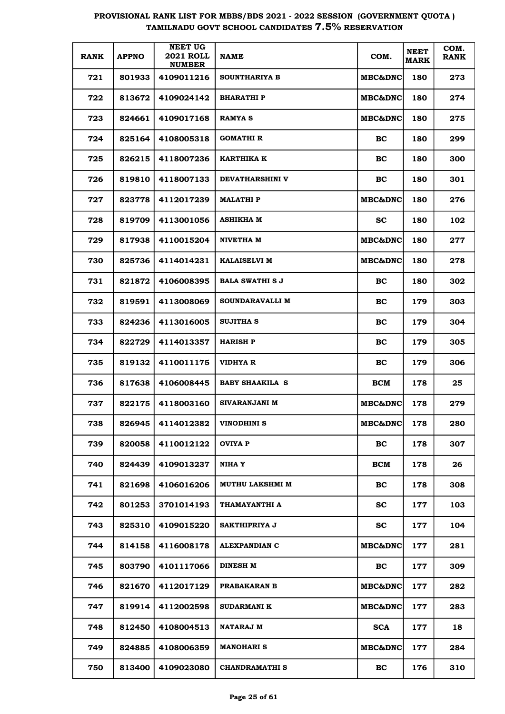| <b>RANK</b> | <b>APPNO</b> | <b>NEET UG</b><br><b>2021 ROLL</b><br><b>NUMBER</b> | <b>NAME</b>            | COM.               | <b>NEET</b><br><b>MARK</b> | COM.<br><b>RANK</b> |
|-------------|--------------|-----------------------------------------------------|------------------------|--------------------|----------------------------|---------------------|
| 721         | 801933       | 4109011216                                          | <b>SOUNTHARIYA B</b>   | <b>MBC&amp;DNC</b> | 180                        | 273                 |
| 722         | 813672       | 4109024142                                          | <b>BHARATHIP</b>       | MBC&DNC            | 180                        | 274                 |
| 723         | 824661       | 4109017168                                          | <b>RAMYA S</b>         | <b>MBC&amp;DNC</b> | 180                        | 275                 |
| 724         | 825164       | 4108005318                                          | GOMATHI R              | BC                 | 180                        | 299                 |
| 725         | 826215       | 4118007236                                          | KARTHIKA K             | BC                 | 180                        | 300                 |
| 726         | 819810       | 4118007133                                          | <b>DEVATHARSHINI V</b> | BC                 | 180                        | 301                 |
| 727         | 823778       | 4112017239                                          | <b>MALATHI P</b>       | <b>MBC&amp;DNC</b> | 180                        | 276                 |
| 728         | 819709       | 4113001056                                          | ASHIKHA M              | <b>SC</b>          | 180                        | 102                 |
| 729         | 817938       | 4110015204                                          | NIVETHA M              | <b>MBC&amp;DNC</b> | 180                        | 277                 |
| 730         | 825736       | 4114014231                                          | <b>KALAISELVI M</b>    | MBC&DNC            | 180                        | 278                 |
| 731         | 821872       | 4106008395                                          | <b>BALA SWATHI S J</b> | BC                 | 180                        | 302                 |
| 732         | 819591       | 4113008069                                          | SOUNDARAVALLI M        | BC                 | 179                        | 303                 |
| 733         | 824236       | 4113016005                                          | <b>SUJITHA S</b>       | BC                 | 179                        | 304                 |
| 734         | 822729       | 4114013357                                          | <b>HARISH P</b>        | BC                 | 179                        | 305                 |
| 735         | 819132       | 4110011175                                          | <b>VIDHYA R</b>        | BC                 | 179                        | 306                 |
| 736         | 817638       | 4106008445                                          | <b>BABY SHAAKILA S</b> | <b>BCM</b>         | 178                        | 25                  |
| 737         | 822175       | 4118003160                                          | <b>SIVARANJANI M</b>   | MBC&DNC            | 178                        | 279                 |
| 738         | 826945       | 4114012382                                          | VINODHINI S            | MBC&DNC            | 178                        | 280                 |
| 739         | 820058       | 4110012122                                          | <b>OVIYA P</b>         | BC                 | 178                        | 307                 |
| 740         | 824439       | 4109013237                                          | NIHA Y                 | <b>BCM</b>         | 178                        | 26                  |
| 741         | 821698       | 4106016206                                          | <b>MUTHU LAKSHMI M</b> | BC                 | 178                        | 308                 |
| 742         | 801253       | 3701014193                                          | THAMAYANTHI A          | <b>SC</b>          | 177                        | 103                 |
| 743         | 825310       | 4109015220                                          | SAKTHIPRIYA J          | <b>SC</b>          | 177                        | 104                 |
| 744         | 814158       | 4116008178                                          | ALEXPANDIAN C          | MBC&DNC            | 177                        | 281                 |
| 745         | 803790       | 4101117066                                          | <b>DINESH M</b>        | BC                 | 177                        | 309                 |
| 746         | 821670       | 4112017129                                          | <b>PRABAKARAN B</b>    | <b>MBC&amp;DNC</b> | 177                        | 282                 |
| 747         | 819914       | 4112002598                                          | <b>SUDARMANI K</b>     | <b>MBC&amp;DNC</b> | 177                        | 283                 |
| 748         | 812450       | 4108004513                                          | <b>NATARAJ M</b>       | <b>SCA</b>         | 177                        | 18                  |
| 749         | 824885       | 4108006359                                          | <b>MANOHARI S</b>      | <b>MBC&amp;DNC</b> | 177                        | 284                 |
| 750         | 813400       | 4109023080                                          | <b>CHANDRAMATHI S</b>  | BC                 | 176                        | 310                 |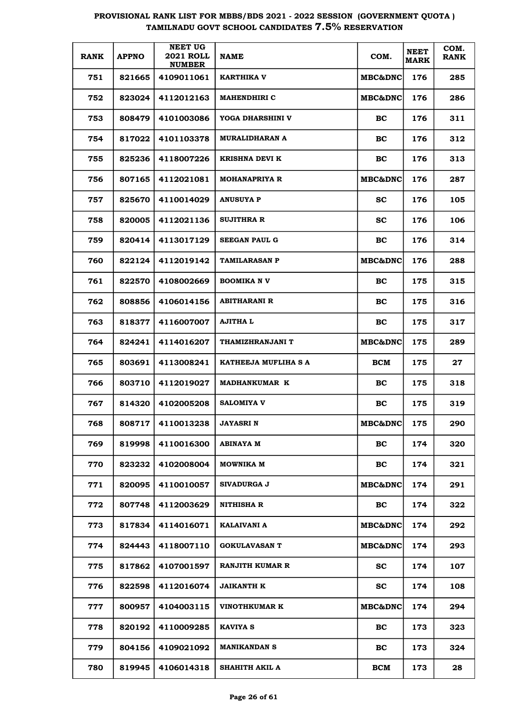| <b>RANK</b> | <b>APPNO</b> | <b>NEET UG</b><br><b>2021 ROLL</b><br><b>NUMBER</b> | <b>NAME</b>            | COM.               | <b>NEET</b><br><b>MARK</b> | COM.<br><b>RANK</b> |
|-------------|--------------|-----------------------------------------------------|------------------------|--------------------|----------------------------|---------------------|
| 751         | 821665       | 4109011061                                          | KARTHIKA V             | <b>MBC&amp;DNC</b> | 176                        | 285                 |
| 752         | 823024       | 4112012163                                          | <b>MAHENDHIRI C</b>    | <b>MBC&amp;DNC</b> | 176                        | 286                 |
| 753         | 808479       | 4101003086                                          | YOGA DHARSHINI V       | BC.                | 176                        | 311                 |
| 754         | 817022       | 4101103378                                          | <b>MURALIDHARAN A</b>  | BC                 | 176                        | 312                 |
| 755         | 825236       | 4118007226                                          | <b>KRISHNA DEVI K</b>  | BC                 | 176                        | 313                 |
| 756         | 807165       | 4112021081                                          | <b>MOHANAPRIYA R</b>   | <b>MBC&amp;DNC</b> | 176                        | 287                 |
| 757         | 825670       | 4110014029                                          | <b>ANUSUYA P</b>       | SC.                | 176                        | 105                 |
| 758         | 820005       | 4112021136                                          | <b>SUJITHRA R</b>      | SС                 | 176                        | 106                 |
| 759         | 820414       | 4113017129                                          | <b>SEEGAN PAUL G</b>   | BC.                | 176                        | 314                 |
| 760         | 822124       | 4112019142                                          | <b>TAMILARASAN P</b>   | <b>MBC&amp;DNC</b> | 176                        | 288                 |
| 761         | 822570       | 4108002669                                          | <b>BOOMIKA NV</b>      | BC.                | 175                        | 315                 |
| 762         | 808856       | 4106014156                                          | <b>ABITHARANI R</b>    | BC                 | 175                        | 316                 |
| 763         | 818377       | 4116007007                                          | <b>AJITHA L</b>        | <b>BC</b>          | 175                        | 317                 |
| 764         | 824241       | 4114016207                                          | THAMIZHRANJANI T       | <b>MBC&amp;DNC</b> | 175                        | 289                 |
| 765         | 803691       | 4113008241                                          | KATHEEJA MUFLIHA S A   | BCM                | 175                        | 27                  |
| 766         | 803710       | 4112019027                                          | <b>MADHANKUMAR K</b>   | BC.                | 175                        | 318                 |
| 767         | 814320       | 4102005208                                          | <b>SALOMIYA V</b>      | BC                 | 175                        | 319                 |
| 768         | 808717       | 4110013238                                          | JAYASRI N              | <b>MBC&amp;DNC</b> | 175                        | 290                 |
| 769         | 819998       | 4110016300                                          | ABINAYA M              | <b>BC</b>          | 174                        | 320                 |
| 770         | 823232       | 4102008004                                          | MOWNIKA M              | BC                 | 174                        | 321                 |
| 771         | 820095       | 4110010057                                          | <b>SIVADURGA J</b>     | <b>MBC&amp;DNC</b> | 174                        | 291                 |
| 772         | 807748       | 4112003629                                          | NITHISHA R             | <b>BC</b>          | 174                        | 322                 |
| 773         | 817834       | 4114016071                                          | <b>KALAIVANI A</b>     | <b>MBC&amp;DNC</b> | 174                        | 292                 |
| 774         | 824443       | 4118007110                                          | <b>GOKULAVASAN T</b>   | <b>MBC&amp;DNC</b> | 174                        | 293                 |
| 775         | 817862       | 4107001597                                          | <b>RANJITH KUMAR R</b> | <b>SC</b>          | 174                        | 107                 |
| 776         | 822598       | 4112016074                                          | <b>JAIKANTH K</b>      | <b>SC</b>          | 174                        | 108                 |
| 777         | 800957       | 4104003115                                          | VINOTHKUMAR K          | MBC&DNC            | 174                        | 294                 |
| 778         | 820192       | 4110009285                                          | <b>KAVIYA S</b>        | BC                 | 173                        | 323                 |
| 779         | 804156       | 4109021092                                          | <b>MANIKANDAN S</b>    | BC                 | 173                        | 324                 |
| 780         | 819945       | 4106014318                                          | SHAHITH AKIL A         | <b>BCM</b>         | 173                        | 28                  |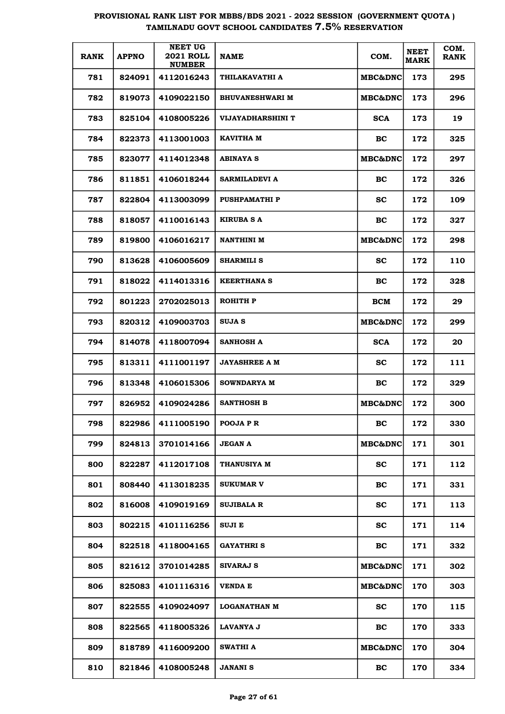| <b>RANK</b> | <b>APPNO</b> | <b>NEET UG</b><br><b>2021 ROLL</b><br><b>NUMBER</b> | <b>NAME</b>            | COM.               | <b>NEET</b><br><b>MARK</b> | COM.<br><b>RANK</b> |
|-------------|--------------|-----------------------------------------------------|------------------------|--------------------|----------------------------|---------------------|
| 781         | 824091       | 4112016243                                          | THILAKAVATHI A         | <b>MBC&amp;DNC</b> | 173                        | 295                 |
| 782         | 819073       | 4109022150                                          | <b>BHUVANESHWARI M</b> | <b>MBC&amp;DNC</b> | 173                        | 296                 |
| 783         | 825104       | 4108005226                                          | VIJAYADHARSHINI T      | <b>SCA</b>         | 173                        | 19                  |
| 784         | 822373       | 4113001003                                          | KAVITHA M              | BC.                | 172                        | 325                 |
| 785         | 823077       | 4114012348                                          | <b>ABINAYA S</b>       | <b>MBC&amp;DNC</b> | 172                        | 297                 |
| 786         | 811851       | 4106018244                                          | SARMILADEVI A          | <b>BC</b>          | 172                        | 326                 |
| 787         | 822804       | 4113003099                                          | <b>PUSHPAMATHIP</b>    | SС                 | 172                        | 109                 |
| 788         | 818057       | 4110016143                                          | <b>KIRUBA S A</b>      | <b>BC</b>          | 172                        | 327                 |
| 789         | 819800       | 4106016217                                          | <b>NANTHINI M</b>      | <b>MBC&amp;DNC</b> | 172                        | 298                 |
| 790         | 813628       | 4106005609                                          | <b>SHARMILI S</b>      | <b>SC</b>          | 172                        | 110                 |
| 791         | 818022       | 4114013316                                          | <b>KEERTHANA S</b>     | <b>BC</b>          | 172                        | 328                 |
| 792         | 801223       | 2702025013                                          | ROHITH P               | BCM                | 172                        | 29                  |
| 793         | 820312       | 4109003703                                          | SUJA S                 | <b>MBC&amp;DNC</b> | 172                        | 299                 |
| 794         | 814078       | 4118007094                                          | <b>SANHOSH A</b>       | <b>SCA</b>         | 172                        | 20                  |
| 795         | 813311       | 4111001197                                          | <b>JAYASHREE A M</b>   | SС                 | 172                        | 111                 |
| 796         | 813348       | 4106015306                                          | <b>SOWNDARYA M</b>     | <b>BC</b>          | 172                        | 329                 |
| 797         | 826952       | 4109024286                                          | <b>SANTHOSH B</b>      | <b>MBC&amp;DNC</b> | 172                        | 300                 |
| 798         | 822986       | 4111005190                                          | POOJA P R              | BC                 | 172                        | 330                 |
| 799         | 824813       | 3701014166                                          | <b>JEGAN A</b>         | MBC&DNC            | 171                        | 301                 |
| 800         | 822287       | 4112017108                                          | <b>THANUSIYA M</b>     | <b>SC</b>          | 171                        | 112                 |
| 801         | 808440       | 4113018235                                          | <b>SUKUMAR V</b>       | <b>BC</b>          | 171                        | 331                 |
| 802         | 816008       | 4109019169                                          | <b>SUJIBALA R</b>      | SС                 | 171                        | 113                 |
| 803         | 802215       | 4101116256                                          | <b>SUJIE</b>           | <b>SC</b>          | 171                        | 114                 |
| 804         | 822518       | 4118004165                                          | <b>GAYATHRIS</b>       | BC                 | 171                        | 332                 |
| 805         | 821612       | 3701014285                                          | <b>SIVARAJ S</b>       | MBC&DNC            | 171                        | 302                 |
| 806         | 825083       | 4101116316                                          | VENDA E                | MBC&DNC            | 170                        | 303                 |
| 807         | 822555       | 4109024097                                          | <b>LOGANATHAN M</b>    | SC                 | 170                        | 115                 |
| 808         | 822565       | 4118005326                                          | LAVANYA J              | BC                 | 170                        | 333                 |
| 809         | 818789       | 4116009200                                          | <b>SWATHI A</b>        | MBC&DNC            | 170                        | 304                 |
| 810         | 821846       | 4108005248                                          | <b>JANANI S</b>        | BC                 | 170                        | 334                 |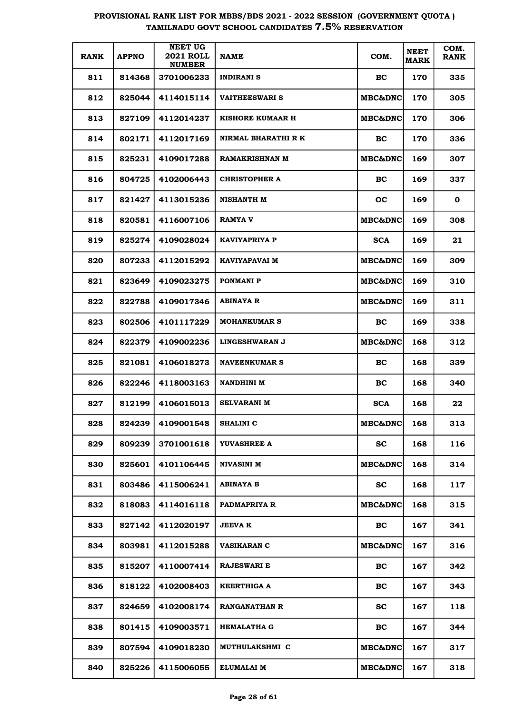| <b>RANK</b> | <b>APPNO</b> | <b>NEET UG</b><br><b>2021 ROLL</b><br><b>NUMBER</b> | <b>NAME</b>           | COM.               | <b>NEET</b><br><b>MARK</b> | COM.<br><b>RANK</b> |
|-------------|--------------|-----------------------------------------------------|-----------------------|--------------------|----------------------------|---------------------|
| 811         | 814368       | 3701006233                                          | <b>INDIRANI S</b>     | BC.                | 170                        | 335                 |
| 812         | 825044       | 4114015114                                          | <b>VAITHEESWARI S</b> | <b>MBC&amp;DNC</b> | 170                        | 305                 |
| 813         | 827109       | 4112014237                                          | KISHORE KUMAAR H      | <b>MBC&amp;DNC</b> | 170                        | 306                 |
| 814         | 802171       | 4112017169                                          | NIRMAL BHARATHI R K   | BC.                | 170                        | 336                 |
| 815         | 825231       | 4109017288                                          | <b>RAMAKRISHNAN M</b> | <b>MBC&amp;DNC</b> | 169                        | 307                 |
| 816         | 804725       | 4102006443                                          | <b>CHRISTOPHER A</b>  | BC.                | 169                        | 337                 |
| 817         | 821427       | 4113015236                                          | <b>NISHANTH M</b>     | <b>OC</b>          | 169                        | 0                   |
| 818         | 820581       | 4116007106                                          | <b>RAMYA V</b>        | <b>MBC&amp;DNC</b> | 169                        | 308                 |
| 819         | 825274       | 4109028024                                          | KAVIYAPRIYA P         | <b>SCA</b>         | 169                        | 21                  |
| 820         | 807233       | 4112015292                                          | KAVIYAPAVAI M         | <b>MBC&amp;DNC</b> | 169                        | 309                 |
| 821         | 823649       | 4109023275                                          | <b>PONMANI P</b>      | <b>MBC&amp;DNC</b> | 169                        | 310                 |
| 822         | 822788       | 4109017346                                          | <b>ABINAYA R</b>      | <b>MBC&amp;DNC</b> | 169                        | 311                 |
| 823         | 802506       | 4101117229                                          | <b>MOHANKUMAR S</b>   | BC.                | 169                        | 338                 |
| 824         | 822379       | 4109002236                                          | <b>LINGESHWARAN J</b> | <b>MBC&amp;DNC</b> | 168                        | 312                 |
| 825         | 821081       | 4106018273                                          | <b>NAVEENKUMAR S</b>  | BC.                | 168                        | 339                 |
| 826         | 822246       | 4118003163                                          | <b>NANDHINI M</b>     | BC.                | 168                        | 340                 |
| 827         | 812199       | 4106015013                                          | <b>SELVARANI M</b>    | <b>SCA</b>         | 168                        | 22                  |
| 828         | 824239       | 4109001548                                          | <b>SHALINI C</b>      | <b>MBC&amp;DNC</b> | 168                        | 313                 |
| 829         | 809239       | 3701001618                                          | YUVASHREE A           | <b>SC</b>          | 168                        | 116                 |
| 830         | 825601       | 4101106445                                          | <b>NIVASINI M</b>     | <b>MBC&amp;DNC</b> | 168                        | 314                 |
| 831         | 803486       | 4115006241                                          | <b>ABINAYA B</b>      | <b>SC</b>          | 168                        | 117                 |
| 832         | 818083       | 4114016118                                          | PADMAPRIYA R          | <b>MBC&amp;DNC</b> | 168                        | 315                 |
| 833         | 827142       | 4112020197                                          | <b>JEEVA K</b>        | BC                 | 167                        | 341                 |
| 834         | 803981       | 4112015288                                          | <b>VASIKARAN C</b>    | <b>MBC&amp;DNC</b> | 167                        | 316                 |
| 835         | 815207       | 4110007414                                          | <b>RAJESWARI E</b>    | BC                 | 167                        | 342                 |
| 836         | 818122       | 4102008403                                          | KEERTHIGA A           | <b>BC</b>          | 167                        | 343                 |
| 837         | 824659       | 4102008174                                          | <b>RANGANATHAN R</b>  | <b>SC</b>          | 167                        | 118                 |
| 838         | 801415       | 4109003571                                          | <b>HEMALATHA G</b>    | BC                 | 167                        | 344                 |
| 839         | 807594       | 4109018230                                          | MUTHULAKSHMI C        | <b>MBC&amp;DNC</b> | 167                        | 317                 |
| 840         | 825226       | 4115006055                                          | ELUMALAI M            | MBC&DNC            | 167                        | 318                 |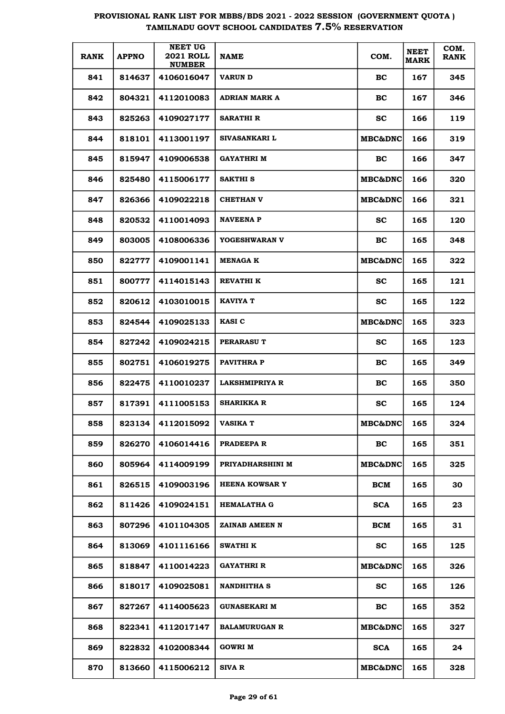| <b>RANK</b> | <b>APPNO</b> | <b>NEET UG</b><br><b>2021 ROLL</b><br><b>NUMBER</b> | <b>NAME</b>           | COM.               | <b>NEET</b><br><b>MARK</b> | COM.<br><b>RANK</b> |
|-------------|--------------|-----------------------------------------------------|-----------------------|--------------------|----------------------------|---------------------|
| 841         | 814637       | 4106016047                                          | <b>VARUN D</b>        | BC                 | 167                        | 345                 |
| 842         | 804321       | 4112010083                                          | <b>ADRIAN MARK A</b>  | BC                 | 167                        | 346                 |
| 843         | 825263       | 4109027177                                          | <b>SARATHI R</b>      | <b>SC</b>          | 166                        | 119                 |
| 844         | 818101       | 4113001197                                          | <b>SIVASANKARI L</b>  | <b>MBC&amp;DNC</b> | 166                        | 319                 |
| 845         | 815947       | 4109006538                                          | <b>GAYATHRI M</b>     | BC                 | 166                        | 347                 |
| 846         | 825480       | 4115006177                                          | <b>SAKTHI S</b>       | <b>MBC&amp;DNC</b> | 166                        | 320                 |
| 847         | 826366       | 4109022218                                          | <b>CHETHAN V</b>      | <b>MBC&amp;DNC</b> | 166                        | 321                 |
| 848         | 820532       | 4110014093                                          | <b>NAVEENA P</b>      | <b>SC</b>          | 165                        | 120                 |
| 849         | 803005       | 4108006336                                          | YOGESHWARAN V         | BC                 | 165                        | 348                 |
| 850         | 822777       | 4109001141                                          | <b>MENAGA K</b>       | <b>MBC&amp;DNC</b> | 165                        | 322                 |
| 851         | 800777       | 4114015143                                          | <b>REVATHIK</b>       | <b>SC</b>          | 165                        | 121                 |
| 852         | 820612       | 4103010015                                          | KAVIYA T              | <b>SC</b>          | 165                        | 122                 |
| 853         | 824544       | 4109025133                                          | <b>KASI C</b>         | <b>MBC&amp;DNC</b> | 165                        | 323                 |
| 854         | 827242       | 4109024215                                          | PERARASU T            | <b>SC</b>          | 165                        | 123                 |
| 855         | 802751       | 4106019275                                          | <b>PAVITHRAP</b>      | BC                 | 165                        | 349                 |
| 856         | 822475       | 4110010237                                          | <b>LAKSHMIPRIYA R</b> | BC                 | 165                        | 350                 |
| 857         | 817391       | 4111005153                                          | <b>SHARIKKA R</b>     | <b>SC</b>          | 165                        | 124                 |
| 858         | 823134       | 4112015092                                          | VASIKA T              | <b>MBC&amp;DNC</b> | 165                        | 324                 |
| 859         | 826270       | 4106014416                                          | PRADEEPA R            | BC                 | 165                        | 351                 |
| 860         | 805964       | 4114009199                                          | PRIYADHARSHINI M      | <b>MBC&amp;DNC</b> | 165                        | 325                 |
| 861         | 826515       | 4109003196                                          | <b>HEENA KOWSAR Y</b> | BCM                | 165                        | 30                  |
| 862         | 811426       | 4109024151                                          | <b>HEMALATHA G</b>    | <b>SCA</b>         | 165                        | 23                  |
| 863         | 807296       | 4101104305                                          | ZAINAB AMEEN N        | BCM                | 165                        | 31                  |
| 864         | 813069       | 4101116166                                          | <b>SWATHI K</b>       | <b>SC</b>          | 165                        | 125                 |
| 865         | 818847       | 4110014223                                          | GAYATHRI R            | MBC&DNC            | 165                        | 326                 |
| 866         | 818017       | 4109025081                                          | <b>NANDHITHA S</b>    | <b>SC</b>          | 165                        | 126                 |
| 867         | 827267       | 4114005623                                          | GUNASEKARI M          | BC                 | 165                        | 352                 |
| 868         | 822341       | 4112017147                                          | <b>BALAMURUGAN R</b>  | MBC&DNC            | 165                        | 327                 |
| 869         | 822832       | 4102008344                                          | GOWRI M               | <b>SCA</b>         | 165                        | 24                  |
| 870         | 813660       | 4115006212                                          | SIVA R                | <b>MBC&amp;DNC</b> | 165                        | 328                 |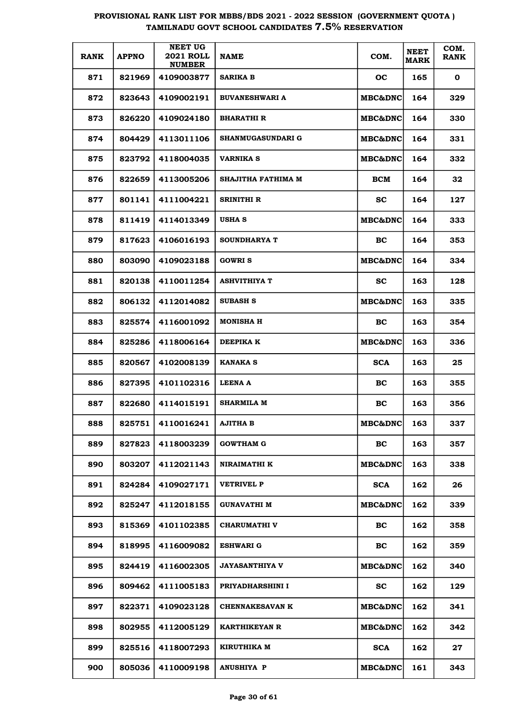| <b>RANK</b> | <b>APPNO</b> | <b>NEET UG</b><br><b>2021 ROLL</b><br><b>NUMBER</b> | <b>NAME</b>              | COM.               | <b>NEET</b><br><b>MARK</b> | COM.<br><b>RANK</b> |
|-------------|--------------|-----------------------------------------------------|--------------------------|--------------------|----------------------------|---------------------|
| 871         | 821969       | 4109003877                                          | SARIKA B                 | oc                 | 165                        | 0                   |
| 872         | 823643       | 4109002191                                          | <b>BUVANESHWARI A</b>    | <b>MBC&amp;DNC</b> | 164                        | 329                 |
| 873         | 826220       | 4109024180                                          | <b>BHARATHI R</b>        | <b>MBC&amp;DNC</b> | 164                        | 330                 |
| 874         | 804429       | 4113011106                                          | <b>SHANMUGASUNDARI G</b> | <b>MBC&amp;DNC</b> | 164                        | 331                 |
| 875         | 823792       | 4118004035                                          | <b>VARNIKA S</b>         | <b>MBC&amp;DNC</b> | 164                        | 332                 |
| 876         | 822659       | 4113005206                                          | SHAJITHA FATHIMA M       | BCM                | 164                        | 32                  |
| 877         | 801141       | 4111004221                                          | SRINITHI R               | sc                 | 164                        | 127                 |
| 878         | 811419       | 4114013349                                          | <b>USHA S</b>            | <b>MBC&amp;DNC</b> | 164                        | 333                 |
| 879         | 817623       | 4106016193                                          | <b>SOUNDHARYA T</b>      | BC.                | 164                        | 353                 |
| 880         | 803090       | 4109023188                                          | <b>GOWRIS</b>            | <b>MBC&amp;DNC</b> | 164                        | 334                 |
| 881         | 820138       | 4110011254                                          | <b>ASHVITHIYA T</b>      | SС                 | 163                        | 128                 |
| 882         | 806132       | 4112014082                                          | <b>SUBASH S</b>          | <b>MBC&amp;DNC</b> | 163                        | 335                 |
| 883         | 825574       | 4116001092                                          | MONISHA H                | BC.                | 163                        | 354                 |
| 884         | 825286       | 4118006164                                          | DEEPIKA K                | <b>MBC&amp;DNC</b> | 163                        | 336                 |
| 885         | 820567       | 4102008139                                          | <b>KANAKA S</b>          | <b>SCA</b>         | 163                        | 25                  |
| 886         | 827395       | 4101102316                                          | LEENA A                  | BC.                | 163                        | 355                 |
| 887         | 822680       | 4114015191                                          | <b>SHARMILA M</b>        | BC                 | 163                        | 356                 |
| 888         | 825751       | 4110016241                                          | AJITHA B                 | <b>MBC&amp;DNC</b> | 163                        | 337                 |
| 889         | 827823       | 4118003239                                          | <b>GOWTHAM G</b>         | <b>BC</b>          | 163                        | 357                 |
| 890         | 803207       | 4112021143                                          | NIRAIMATHI K             | <b>MBC&amp;DNC</b> | 163                        | 338                 |
| 891         | 824284       | 4109027171                                          | <b>VETRIVEL P</b>        | <b>SCA</b>         | 162                        | 26                  |
| 892         | 825247       | 4112018155                                          | GUNAVATHI M              | <b>MBC&amp;DNC</b> | 162                        | 339                 |
| 893         | 815369       | 4101102385                                          | <b>CHARUMATHI V</b>      | <b>BC</b>          | 162                        | 358                 |
| 894         | 818995       | 4116009082                                          | <b>ESHWARI G</b>         | BC                 | 162                        | 359                 |
| 895         | 824419       | 4116002305                                          | JAYASANTHIYA V           | MBC&DNC            | 162                        | 340                 |
| 896         | 809462       | 4111005183                                          | PRIYADHARSHINI I         | <b>SC</b>          | 162                        | 129                 |
| 897         | 822371       | 4109023128                                          | <b>CHENNAKESAVAN K</b>   | MBC&DNC            | 162                        | 341                 |
| 898         | 802955       | 4112005129                                          | KARTHIKEYAN R            | MBC&DNC            | 162                        | 342                 |
| 899         | 825516       | 4118007293                                          | <b>KIRUTHIKA M</b>       | <b>SCA</b>         | 162                        | 27                  |
| 900         | 805036       | 4110009198                                          | <b>ANUSHIYA P</b>        | MBC&DNC            | 161                        | 343                 |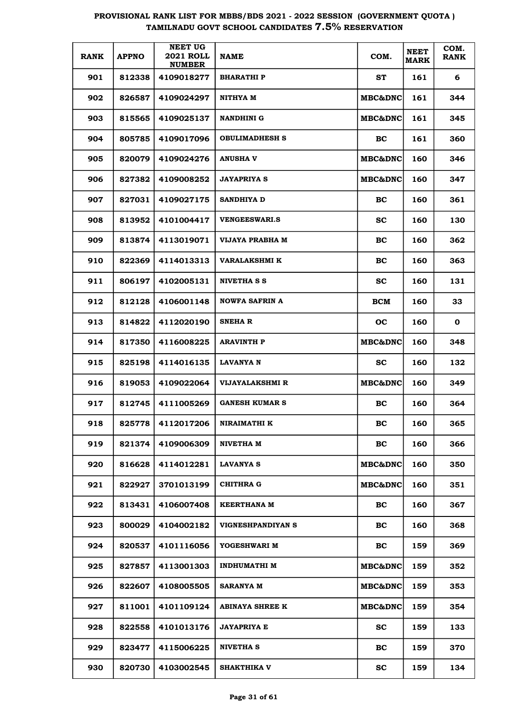| <b>RANK</b> | <b>APPNO</b> | <b>NEET UG</b><br><b>2021 ROLL</b><br><b>NUMBER</b> | <b>NAME</b>            | COM.               | <b>NEET</b><br><b>MARK</b> | COM.<br><b>RANK</b> |
|-------------|--------------|-----------------------------------------------------|------------------------|--------------------|----------------------------|---------------------|
| 901         | 812338       | 4109018277                                          | <b>BHARATHIP</b>       | ST                 | 161                        | 6                   |
| 902         | 826587       | 4109024297                                          | NITHYA M               | MBC&DNC            | 161                        | 344                 |
| 903         | 815565       | 4109025137                                          | <b>NANDHINI G</b>      | <b>MBC&amp;DNC</b> | 161                        | 345                 |
| 904         | 805785       | 4109017096                                          | <b>OBULIMADHESH S</b>  | BC                 | 161                        | 360                 |
| 905         | 820079       | 4109024276                                          | <b>ANUSHA V</b>        | <b>MBC&amp;DNC</b> | 160                        | 346                 |
| 906         | 827382       | 4109008252                                          | <b>JAYAPRIYA S</b>     | <b>MBC&amp;DNC</b> | 160                        | 347                 |
| 907         | 827031       | 4109027175                                          | SANDHIYA D             | BC                 | 160                        | 361                 |
| 908         | 813952       | 4101004417                                          | <b>VENGEESWARI.S</b>   | <b>SC</b>          | 160                        | 130                 |
| 909         | 813874       | 4113019071                                          | VIJAYA PRABHA M        | BC                 | 160                        | 362                 |
| 910         | 822369       | 4114013313                                          | VARALAKSHMI K          | BC                 | 160                        | 363                 |
| 911         | 806197       | 4102005131                                          | <b>NIVETHA S S</b>     | <b>SC</b>          | 160                        | 131                 |
| 912         | 812128       | 4106001148                                          | <b>NOWFA SAFRIN A</b>  | <b>BCM</b>         | 160                        | 33                  |
| 913         | 814822       | 4112020190                                          | <b>SNEHAR</b>          | oc                 | 160                        | $\mathbf 0$         |
| 914         | 817350       | 4116008225                                          | <b>ARAVINTH P</b>      | MBC&DNC            | 160                        | 348                 |
| 915         | 825198       | 4114016135                                          | <b>LAVANYA N</b>       | <b>SC</b>          | 160                        | 132                 |
| 916         | 819053       | 4109022064                                          | <b>VIJAYALAKSHMI R</b> | MBC&DNC            | 160                        | 349                 |
| 917         | 812745       | 4111005269                                          | <b>GANESH KUMAR S</b>  | BC                 | 160                        | 364                 |
| 918         | 825778       | 4112017206                                          | NIRAIMATHI K           | BC                 | 160                        | 365                 |
| 919         | 821374       | 4109006309                                          | NIVETHA M              | BC                 | 160                        | 366                 |
| 920         | 816628       | 4114012281                                          | <b>LAVANYA S</b>       | <b>MBC&amp;DNC</b> | 160                        | 350                 |
| 921         | 822927       | 3701013199                                          | CHITHRA G              | <b>MBC&amp;DNC</b> | 160                        | 351                 |
| 922         | 813431       | 4106007408                                          | <b>KEERTHANA M</b>     | BC                 | 160                        | 367                 |
| 923         | 800029       | 4104002182                                          | VIGNESHPANDIYAN S      | BC                 | 160                        | 368                 |
| 924         | 820537       | 4101116056                                          | YOGESHWARI M           | BC                 | 159                        | 369                 |
| 925         | 827857       | 4113001303                                          | <b>INDHUMATHI M</b>    | <b>MBC&amp;DNC</b> | 159                        | 352                 |
| 926         | 822607       | 4108005505                                          | <b>SARANYA M</b>       | <b>MBC&amp;DNC</b> | 159                        | 353                 |
| 927         | 811001       | 4101109124                                          | <b>ABINAYA SHREE K</b> | <b>MBC&amp;DNC</b> | 159                        | 354                 |
| 928         | 822558       | 4101013176                                          | <b>JAYAPRIYA E</b>     | <b>SC</b>          | 159                        | 133                 |
| 929         | 823477       | 4115006225                                          | <b>NIVETHA S</b>       | BC                 | 159                        | 370                 |
| 930         | 820730       | 4103002545                                          | SHAKTHIKA V            | <b>SC</b>          | 159                        | 134                 |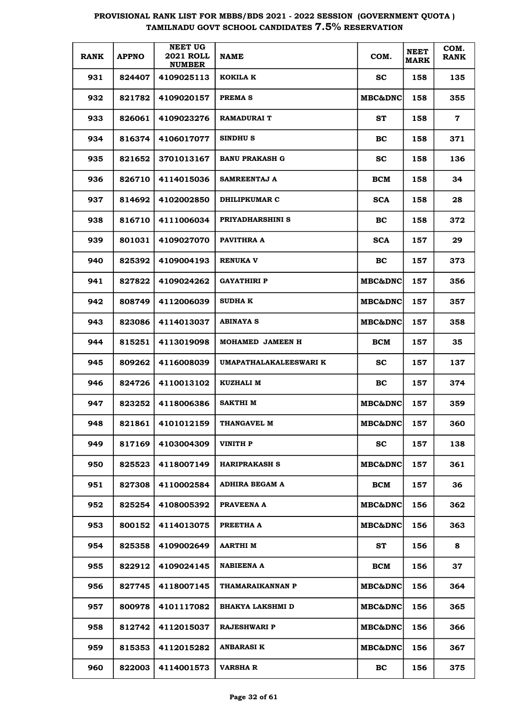| <b>RANK</b> | <b>APPNO</b> | <b>NEET UG</b><br><b>2021 ROLL</b><br><b>NUMBER</b> | <b>NAME</b>             | COM.               | <b>NEET</b><br><b>MARK</b> | COM.<br><b>RANK</b> |
|-------------|--------------|-----------------------------------------------------|-------------------------|--------------------|----------------------------|---------------------|
| 931         | 824407       | 4109025113                                          | KOKILA K                | SС                 | 158                        | 135                 |
| 932         | 821782       | 4109020157                                          | PREMA <sub>S</sub>      | <b>MBC&amp;DNC</b> | 158                        | 355                 |
| 933         | 826061       | 4109023276                                          | <b>RAMADURAI T</b>      | ST                 | 158                        | $\mathbf 7$         |
| 934         | 816374       | 4106017077                                          | <b>SINDHUS</b>          | BC                 | 158                        | 371                 |
| 935         | 821652       | 3701013167                                          | <b>BANU PRAKASH G</b>   | <b>SC</b>          | 158                        | 136                 |
| 936         | 826710       | 4114015036                                          | SAMREENTAJ A            | BCM                | 158                        | 34                  |
| 937         | 814692       | 4102002850                                          | DHILIPKUMAR C           | <b>SCA</b>         | 158                        | 28                  |
| 938         | 816710       | 4111006034                                          | PRIYADHARSHINI S        | <b>BC</b>          | 158                        | 372                 |
| 939         | 801031       | 4109027070                                          | PAVITHRA A              | <b>SCA</b>         | 157                        | 29                  |
| 940         | 825392       | 4109004193                                          | <b>RENUKA V</b>         | <b>BC</b>          | 157                        | 373                 |
| 941         | 827822       | 4109024262                                          | GAYATHIRI P             | <b>MBC&amp;DNC</b> | 157                        | 356                 |
| 942         | 808749       | 4112006039                                          | <b>SUDHA K</b>          | <b>MBC&amp;DNC</b> | 157                        | 357                 |
| 943         | 823086       | 4114013037                                          | <b>ABINAYA S</b>        | <b>MBC&amp;DNC</b> | 157                        | 358                 |
| 944         | 815251       | 4113019098                                          | MOHAMED JAMEEN H        | BCM                | 157                        | 35                  |
| 945         | 809262       | 4116008039                                          | UMAPATHALAKALEESWARI K  | SС                 | 157                        | 137                 |
| 946         | 824726       | 4110013102                                          | <b>KUZHALI M</b>        | BC                 | 157                        | 374                 |
| 947         | 823252       | 4118006386                                          | SAKTHI M                | <b>MBC&amp;DNC</b> | 157                        | 359                 |
| 948         | 821861       | 4101012159                                          | THANGAVEL M             | <b>MBC&amp;DNC</b> | 157                        | 360                 |
| 949         | 817169       | 4103004309                                          | VINITH P                | SC.                | 157                        | 138                 |
| 950         | 825523       | 4118007149                                          | <b>HARIPRAKASH S</b>    | <b>MBC&amp;DNC</b> | 157                        | 361                 |
| 951         | 827308       | 4110002584                                          | ADHIRA BEGAM A          | BCM                | 157                        | 36                  |
| 952         | 825254       | 4108005392                                          | PRAVEENA A              | <b>MBC&amp;DNC</b> | 156                        | 362                 |
| 953         | 800152       | 4114013075                                          | PREETHA A               | <b>MBC&amp;DNC</b> | 156                        | 363                 |
| 954         | 825358       | 4109002649                                          | AARTHI M                | ST                 | 156                        | 8                   |
| 955         | 822912       | 4109024145                                          | <b>NABIEENA A</b>       | <b>BCM</b>         | 156                        | 37                  |
| 956         | 827745       | 4118007145                                          | THAMARAIKANNAN P        | <b>MBC&amp;DNC</b> | 156                        | 364                 |
| 957         | 800978       | 4101117082                                          | <b>BHAKYA LAKSHMI D</b> | MBC&DNC            | 156                        | 365                 |
| 958         | 812742       | 4112015037                                          | <b>RAJESHWARI P</b>     | MBC&DNC            | 156                        | 366                 |
| 959         | 815353       | 4112015282                                          | ANBARASI K              | MBC&DNC            | 156                        | 367                 |
| 960         | 822003       | 4114001573                                          | <b>VARSHA R</b>         | <b>BC</b>          | 156                        | 375                 |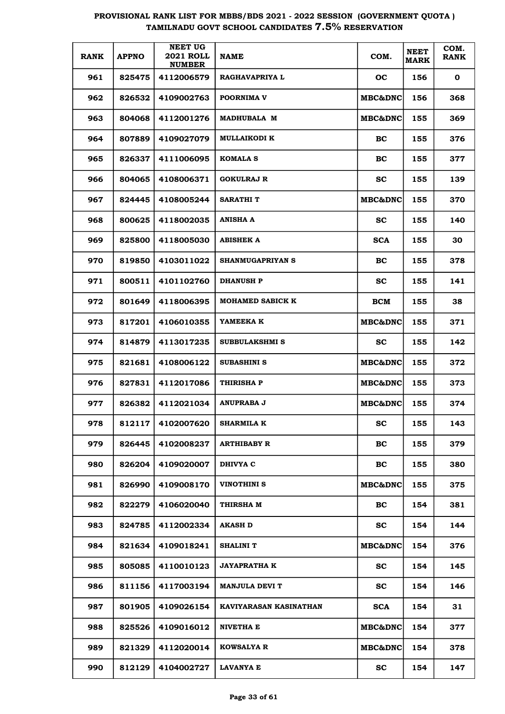| <b>RANK</b> | <b>APPNO</b> | <b>NEET UG</b><br><b>2021 ROLL</b><br><b>NUMBER</b> | <b>NAME</b>             | COM.               | <b>NEET</b><br><b>MARK</b> | COM.<br><b>RANK</b> |
|-------------|--------------|-----------------------------------------------------|-------------------------|--------------------|----------------------------|---------------------|
| 961         | 825475       | 4112006579                                          | <b>RAGHAVAPRIYA L</b>   | oc                 | 156                        | $\mathbf 0$         |
| 962         | 826532       | 4109002763                                          | POORNIMA V              | MBC&DNC            | 156                        | 368                 |
| 963         | 804068       | 4112001276                                          | <b>MADHUBALA M</b>      | MBC&DNC            | 155                        | 369                 |
| 964         | 807889       | 4109027079                                          | <b>MULLAIKODI K</b>     | BC                 | 155                        | 376                 |
| 965         | 826337       | 4111006095                                          | <b>KOMALA S</b>         | BC                 | 155                        | 377                 |
| 966         | 804065       | 4108006371                                          | <b>GOKULRAJ R</b>       | <b>SC</b>          | 155                        | 139                 |
| 967         | 824445       | 4108005244                                          | <b>SARATHIT</b>         | MBC&DNC            | 155                        | 370                 |
| 968         | 800625       | 4118002035                                          | <b>ANISHA A</b>         | <b>SC</b>          | 155                        | 140                 |
| 969         | 825800       | 4118005030                                          | <b>ABISHEK A</b>        | <b>SCA</b>         | 155                        | 30                  |
| 970         | 819850       | 4103011022                                          | <b>SHANMUGAPRIYAN S</b> | BC                 | 155                        | 378                 |
| 971         | 800511       | 4101102760                                          | <b>DHANUSH P</b>        | <b>SC</b>          | 155                        | 141                 |
| 972         | 801649       | 4118006395                                          | <b>MOHAMED SABICK K</b> | <b>BCM</b>         | 155                        | 38                  |
| 973         | 817201       | 4106010355                                          | YAMEEKA K               | MBC&DNC            | 155                        | 371                 |
| 974         | 814879       | 4113017235                                          | SUBBULAKSHMI S          | <b>SC</b>          | 155                        | 142                 |
| 975         | 821681       | 4108006122                                          | SUBASHINI S             | MBC&DNC            | 155                        | 372                 |
| 976         | 827831       | 4112017086                                          | <b>THIRISHA P</b>       | <b>MBC&amp;DNC</b> | 155                        | 373                 |
| 977         | 826382       | 4112021034                                          | ANUPRABA J              | <b>MBC&amp;DNC</b> | 155                        | 374                 |
| 978         | 812117       | 4102007620                                          | <b>SHARMILA K</b>       | <b>SC</b>          | 155                        | 143                 |
| 979         | 826445       | 4102008237                                          | <b>ARTHIBABY R</b>      | BC                 | 155                        | 379                 |
| 980         | 826204       | 4109020007                                          | DHIVYA C                | BC                 | 155                        | 380                 |
| 981         | 826990       | 4109008170                                          | VINOTHINI S             | <b>MBC&amp;DNC</b> | 155                        | 375                 |
| 982         | 822279       | 4106020040                                          | THIRSHA M               | BC                 | 154                        | 381                 |
| 983         | 824785       | 4112002334                                          | AKASH D                 | <b>SC</b>          | 154                        | 144                 |
| 984         | 821634       | 4109018241                                          | SHALINI T               | <b>MBC&amp;DNC</b> | 154                        | 376                 |
| 985         | 805085       | 4110010123                                          | <b>JAYAPRATHA K</b>     | <b>SC</b>          | 154                        | 145                 |
| 986         | 811156       | 4117003194                                          | <b>MANJULA DEVI T</b>   | <b>SC</b>          | 154                        | 146                 |
| 987         | 801905       | 4109026154                                          | KAVIYARASAN KASINATHAN  | <b>SCA</b>         | 154                        | 31                  |
| 988         | 825526       | 4109016012                                          | NIVETHA E               | <b>MBC&amp;DNC</b> | 154                        | 377                 |
| 989         | 821329       | 4112020014                                          | <b>KOWSALYA R</b>       | <b>MBC&amp;DNC</b> | 154                        | 378                 |
| 990         | 812129       | 4104002727                                          | <b>LAVANYA E</b>        | SС                 | 154                        | 147                 |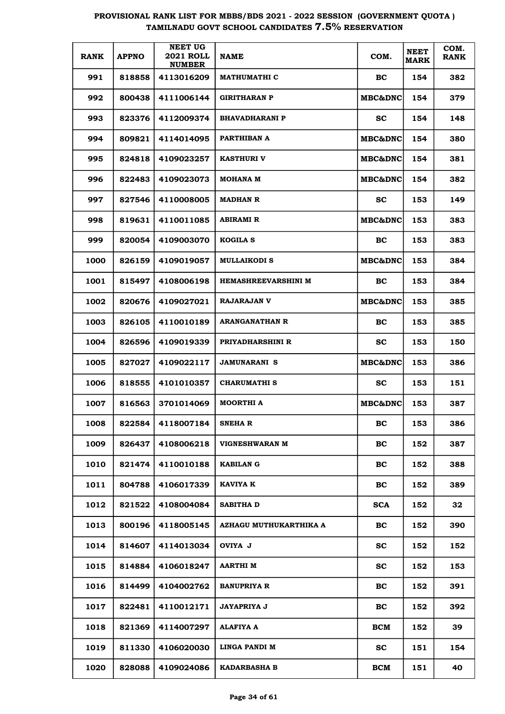| <b>RANK</b> | <b>APPNO</b> | <b>NEET UG</b><br><b>2021 ROLL</b><br><b>NUMBER</b> | <b>NAME</b>            | COM.               | <b>NEET</b><br><b>MARK</b> | COM.<br><b>RANK</b> |
|-------------|--------------|-----------------------------------------------------|------------------------|--------------------|----------------------------|---------------------|
| 991         | 818858       | 4113016209                                          | <b>MATHUMATHI C</b>    | BC                 | 154                        | 382                 |
| 992         | 800438       | 4111006144                                          | <b>GIRITHARAN P</b>    | <b>MBC&amp;DNC</b> | 154                        | 379                 |
| 993         | 823376       | 4112009374                                          | <b>BHAVADHARANI P</b>  | SC.                | 154                        | 148                 |
| 994         | 809821       | 4114014095                                          | PARTHIBAN A            | <b>MBC&amp;DNC</b> | 154                        | 380                 |
| 995         | 824818       | 4109023257                                          | <b>KASTHURI V</b>      | <b>MBC&amp;DNC</b> | 154                        | 381                 |
| 996         | 822483       | 4109023073                                          | <b>MOHANA M</b>        | <b>MBC&amp;DNC</b> | 154                        | 382                 |
| 997         | 827546       | 4110008005                                          | <b>MADHAN R</b>        | SC.                | 153                        | 149                 |
| 998         | 819631       | 4110011085                                          | <b>ABIRAMI R</b>       | <b>MBC&amp;DNC</b> | 153                        | 383                 |
| 999         | 820054       | 4109003070                                          | <b>KOGILA S</b>        | BC                 | 153                        | 383                 |
| 1000        | 826159       | 4109019057                                          | <b>MULLAIKODI S</b>    | <b>MBC&amp;DNC</b> | 153                        | 384                 |
| 1001        | 815497       | 4108006198                                          | HEMASHREEVARSHINI M    | BC                 | 153                        | 384                 |
| 1002        | 820676       | 4109027021                                          | <b>RAJARAJAN V</b>     | <b>MBC&amp;DNC</b> | 153                        | 385                 |
| 1003        | 826105       | 4110010189                                          | <b>ARANGANATHAN R</b>  | BC.                | 153                        | 385                 |
| 1004        | 826596       | 4109019339                                          | PRIYADHARSHINI R       | SС                 | 153                        | 150                 |
| 1005        | 827027       | 4109022117                                          | <b>JAMUNARANI S</b>    | <b>MBC&amp;DNC</b> | 153                        | 386                 |
| 1006        | 818555       | 4101010357                                          | <b>CHARUMATHI S</b>    | SС                 | 153                        | 151                 |
| 1007        | 816563       | 3701014069                                          | <b>MOORTHI A</b>       | <b>MBC&amp;DNC</b> | 153                        | 387                 |
| 1008        | 822584       | 4118007184                                          | SNEHA R                | BС                 | 153                        | 386                 |
| 1009        | 826437       | 4108006218                                          | <b>VIGNESHWARAN M</b>  | BC                 | 152                        | 387                 |
| 1010        | 821474       | 4110010188                                          | <b>KABILAN G</b>       | BC                 | 152                        | 388                 |
| 1011        | 804788       | 4106017339                                          | KAVIYA K               | BC                 | 152                        | 389                 |
| 1012        | 821522       | 4108004084                                          | <b>SABITHA D</b>       | <b>SCA</b>         | 152                        | 32                  |
| 1013        | 800196       | 4118005145                                          | AZHAGU MUTHUKARTHIKA A | BC                 | 152                        | 390                 |
| 1014        | 814607       | 4114013034                                          | OVIYA J                | <b>SC</b>          | 152                        | 152                 |
| 1015        | 814884       | 4106018247                                          | AARTHI M               | <b>SC</b>          | 152                        | 153                 |
| 1016        | 814499       | 4104002762                                          | <b>BANUPRIYA R</b>     | BC                 | 152                        | 391                 |
| 1017        | 822481       | 4110012171                                          | JAYAPRIYA J            | BC                 | 152                        | 392                 |
| 1018        | 821369       | 4114007297                                          | ALAFIYA A              | <b>BCM</b>         | 152                        | 39                  |
| 1019        | 811330       | 4106020030                                          | LINGA PANDI M          | <b>SC</b>          | 151                        | 154                 |
| 1020        | 828088       | 4109024086                                          | <b>KADARBASHA B</b>    | <b>BCM</b>         | 151                        | 40                  |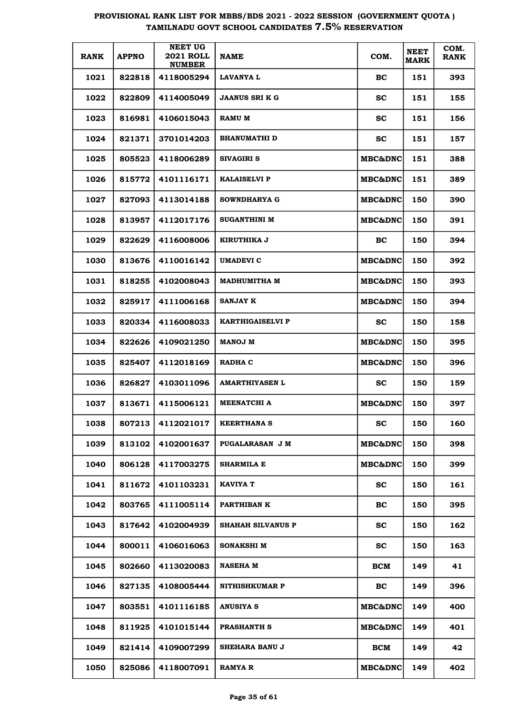| <b>RANK</b> | <b>APPNO</b> | <b>NEET UG</b><br><b>2021 ROLL</b><br><b>NUMBER</b> | <b>NAME</b>              | COM.               | <b>NEET</b><br><b>MARK</b> | COM.<br><b>RANK</b> |
|-------------|--------------|-----------------------------------------------------|--------------------------|--------------------|----------------------------|---------------------|
| 1021        | 822818       | 4118005294                                          | LAVANYA L                | BC                 | 151                        | 393                 |
| 1022        | 822809       | 4114005049                                          | <b>JAANUS SRI K G</b>    | sc                 | 151                        | 155                 |
| 1023        | 816981       | 4106015043                                          | <b>RAMU M</b>            | sc                 | 151                        | 156                 |
| 1024        | 821371       | 3701014203                                          | <b>BHANUMATHI D</b>      | <b>SC</b>          | 151                        | 157                 |
| 1025        | 805523       | 4118006289                                          | <b>SIVAGIRI S</b>        | <b>MBC&amp;DNC</b> | 151                        | 388                 |
| 1026        | 815772       | 4101116171                                          | <b>KALAISELVI P</b>      | <b>MBC&amp;DNC</b> | 151                        | 389                 |
| 1027        | 827093       | 4113014188                                          | <b>SOWNDHARYA G</b>      | <b>MBC&amp;DNC</b> | 150                        | 390                 |
| 1028        | 813957       | 4112017176                                          | SUGANTHINI M             | <b>MBC&amp;DNC</b> | 150                        | 391                 |
| 1029        | 822629       | 4116008006                                          | <b>KIRUTHIKA J</b>       | BC.                | 150                        | 394                 |
| 1030        | 813676       | 4110016142                                          | UMADEVI C                | <b>MBC&amp;DNC</b> | 150                        | 392                 |
| 1031        | 818255       | 4102008043                                          | <b>MADHUMITHA M</b>      | <b>MBC&amp;DNC</b> | 150                        | 393                 |
| 1032        | 825917       | 4111006168                                          | <b>SANJAY K</b>          | <b>MBC&amp;DNC</b> | 150                        | 394                 |
| 1033        | 820334       | 4116008033                                          | <b>KARTHIGAISELVI P</b>  | SС                 | 150                        | 158                 |
| 1034        | 822626       | 4109021250                                          | <b>MANOJ M</b>           | <b>MBC&amp;DNC</b> | 150                        | 395                 |
| 1035        | 825407       | 4112018169                                          | RADHA C                  | <b>MBC&amp;DNC</b> | 150                        | 396                 |
| 1036        | 826827       | 4103011096                                          | <b>AMARTHIYASEN L</b>    | SС                 | 150                        | 159                 |
| 1037        | 813671       | 4115006121                                          | <b>MEENATCHI A</b>       | <b>MBC&amp;DNC</b> | 150                        | 397                 |
| 1038        | 807213       | 4112021017                                          | <b>KEERTHANA S</b>       | SС                 | 150                        | 160                 |
| 1039        | 813102       | 4102001637                                          | PUGALARASAN J M          | <b>MBC&amp;DNC</b> | 150                        | 398                 |
| 1040        | 806128       | 4117003275                                          | SHARMILA E               | <b>MBC&amp;DNC</b> | 150                        | 399                 |
| 1041        | 811672       | 4101103231                                          | <b>KAVIYA T</b>          | <b>SC</b>          | 150                        | 161                 |
| 1042        | 803765       | 4111005114                                          | PARTHIBAN K              | BC.                | 150                        | 395                 |
| 1043        | 817642       | 4102004939                                          | <b>SHAHAH SILVANUS P</b> | <b>SC</b>          | 150                        | 162                 |
| 1044        | 800011       | 4106016063                                          | SONAKSHI M               | <b>SC</b>          | 150                        | 163                 |
| 1045        | 802660       | 4113020083                                          | <b>NASEHA M</b>          | <b>BCM</b>         | 149                        | 41                  |
| 1046        | 827135       | 4108005444                                          | <b>NITHISHKUMAR P</b>    | <b>BC</b>          | 149                        | 396                 |
| 1047        | 803551       | 4101116185                                          | ANUSIYA S                | MBC&DNC            | 149                        | 400                 |
| 1048        | 811925       | 4101015144                                          | <b>PRASHANTH S</b>       | MBC&DNC            | 149                        | 401                 |
| 1049        | 821414       | 4109007299                                          | <b>SHEHARA BANU J</b>    | <b>BCM</b>         | 149                        | 42                  |
| 1050        | 825086       | 4118007091                                          | RAMYA R                  | <b>MBC&amp;DNC</b> | 149                        | 402                 |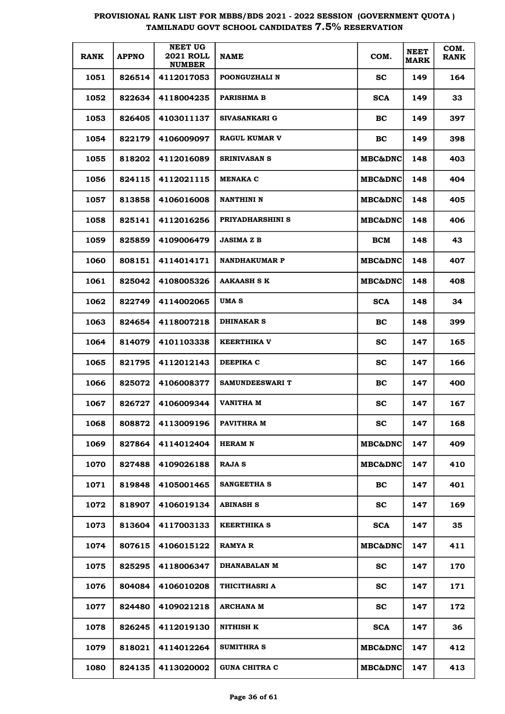| <b>RANK</b> | <b>APPNO</b> | <b>NEET UG</b><br><b>2021 ROLL</b><br><b>NUMBER</b> | <b>NAME</b>            | COM.               | <b>NEET</b><br><b>MARK</b> | COM.<br><b>RANK</b> |
|-------------|--------------|-----------------------------------------------------|------------------------|--------------------|----------------------------|---------------------|
| 1051        | 826514       | 4112017053                                          | POONGUZHALI N          | sc                 | 149                        | 164                 |
| 1052        | 822634       | 4118004235                                          | <b>PARISHMA B</b>      | <b>SCA</b>         | 149                        | 33                  |
| 1053        | 826405       | 4103011137                                          | SIVASANKARI G          | BC.                | 149                        | 397                 |
| 1054        | 822179       | 4106009097                                          | <b>RAGUL KUMAR V</b>   | BC                 | 149                        | 398                 |
| 1055        | 818202       | 4112016089                                          | <b>SRINIVASAN S</b>    | <b>MBC&amp;DNC</b> | 148                        | 403                 |
| 1056        | 824115       | 4112021115                                          | <b>MENAKA C</b>        | <b>MBC&amp;DNC</b> | 148                        | 404                 |
| 1057        | 813858       | 4106016008                                          | <b>NANTHINI N</b>      | <b>MBC&amp;DNC</b> | 148                        | 405                 |
| 1058        | 825141       | 4112016256                                          | PRIYADHARSHINI S       | <b>MBC&amp;DNC</b> | 148                        | 406                 |
| 1059        | 825859       | 4109006479                                          | <b>JASIMA Z B</b>      | BCM                | 148                        | 43                  |
| 1060        | 808151       | 4114014171                                          | <b>NANDHAKUMAR P</b>   | <b>MBC&amp;DNC</b> | 148                        | 407                 |
| 1061        | 825042       | 4108005326                                          | <b>AAKAASH S K</b>     | <b>MBC&amp;DNC</b> | 148                        | 408                 |
| 1062        | 822749       | 4114002065                                          | UMA S                  | <b>SCA</b>         | 148                        | 34                  |
| 1063        | 824654       | 4118007218                                          | <b>DHINAKAR S</b>      | BC.                | 148                        | 399                 |
| 1064        | 814079       | 4101103338                                          | <b>KEERTHIKA V</b>     | SС                 | 147                        | 165                 |
| 1065        | 821795       | 4112012143                                          | DEEPIKA C              | SС                 | 147                        | 166                 |
| 1066        | 825072       | 4106008377                                          | <b>SAMUNDEESWARI T</b> | BC                 | 147                        | 400                 |
| 1067        | 826727       | 4106009344                                          | VANITHA M              | SС                 | 147                        | 167                 |
| 1068        | 808872       | 4113009196                                          | PAVITHRA M             | SС                 | 147                        | 168                 |
| 1069        | 827864       | 4114012404                                          | <b>HERAMN</b>          | <b>MBC&amp;DNC</b> | 147                        | 409                 |
| 1070        | 827488       | 4109026188                                          | <b>RAJA S</b>          | <b>MBC&amp;DNC</b> | 147                        | 410                 |
| 1071        | 819848       | 4105001465                                          | <b>SANGEETHA S</b>     | <b>BC</b>          | 147                        | 401                 |
| 1072        | 818907       | 4106019134                                          | <b>ABINASH S</b>       | <b>SC</b>          | 147                        | 169                 |
| 1073        | 813604       | 4117003133                                          | <b>KEERTHIKA S</b>     | <b>SCA</b>         | 147                        | 35                  |
| 1074        | 807615       | 4106015122                                          | <b>RAMYA R</b>         | MBC&DNC            | 147                        | 411                 |
| 1075        | 825295       | 4118006347                                          | <b>DHANABALAN M</b>    | <b>SC</b>          | 147                        | 170                 |
| 1076        | 804084       | 4106010208                                          | THICITHASRI A          | <b>SC</b>          | 147                        | 171                 |
| 1077        | 824480       | 4109021218                                          | ARCHANA M              | <b>SC</b>          | 147                        | 172                 |
| 1078        | 826245       | 4112019130                                          | NITHISH K              | <b>SCA</b>         | 147                        | 36                  |
| 1079        | 818021       | 4114012264                                          | <b>SUMITHRA S</b>      | <b>MBC&amp;DNC</b> | 147                        | 412                 |
| 1080        | 824135       | 4113020002                                          | <b>GUNA CHITRA C</b>   | MBC&DNC            | 147                        | 413                 |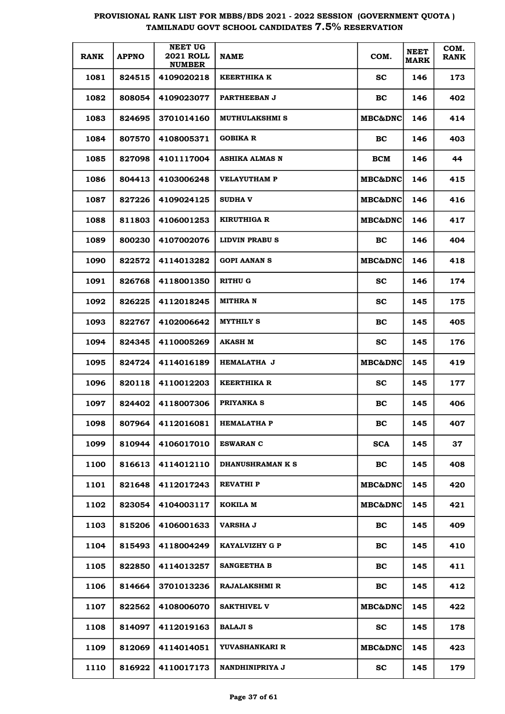| <b>RANK</b> | <b>APPNO</b> | <b>NEET UG</b><br><b>2021 ROLL</b><br><b>NUMBER</b> | <b>NAME</b>           | COM.               | <b>NEET</b><br><b>MARK</b> | COM.<br><b>RANK</b> |
|-------------|--------------|-----------------------------------------------------|-----------------------|--------------------|----------------------------|---------------------|
| 1081        | 824515       | 4109020218                                          | KEERTHIKA K           | SC.                | 146                        | 173                 |
| 1082        | 808054       | 4109023077                                          | PARTHEEBAN J          | <b>BC</b>          | 146                        | 402                 |
| 1083        | 824695       | 3701014160                                          | <b>MUTHULAKSHMI S</b> | <b>MBC&amp;DNC</b> | 146                        | 414                 |
| 1084        | 807570       | 4108005371                                          | <b>GOBIKA R</b>       | BC.                | 146                        | 403                 |
| 1085        | 827098       | 4101117004                                          | ASHIKA ALMAS N        | BCM                | 146                        | 44                  |
| 1086        | 804413       | 4103006248                                          | <b>VELAYUTHAM P</b>   | <b>MBC&amp;DNC</b> | 146                        | 415                 |
| 1087        | 827226       | 4109024125                                          | <b>SUDHA V</b>        | <b>MBC&amp;DNC</b> | 146                        | 416                 |
| 1088        | 811803       | 4106001253                                          | KIRUTHIGA R           | <b>MBC&amp;DNC</b> | 146                        | 417                 |
| 1089        | 800230       | 4107002076                                          | LIDVIN PRABU S        | <b>BC</b>          | 146                        | 404                 |
| 1090        | 822572       | 4114013282                                          | <b>GOPI AANAN S</b>   | <b>MBC&amp;DNC</b> | 146                        | 418                 |
| 1091        | 826768       | 4118001350                                          | RITHU G               | SС                 | 146                        | 174                 |
| 1092        | 826225       | 4112018245                                          | MITHRA N              | SС                 | 145                        | 175                 |
| 1093        | 822767       | 4102006642                                          | <b>MYTHILY S</b>      | <b>BC</b>          | 145                        | 405                 |
| 1094        | 824345       | 4110005269                                          | AKASH M               | <b>SC</b>          | 145                        | 176                 |
| 1095        | 824724       | 4114016189                                          | <b>HEMALATHA J</b>    | <b>MBC&amp;DNC</b> | 145                        | 419                 |
| 1096        | 820118       | 4110012203                                          | <b>KEERTHIKA R</b>    | <b>SC</b>          | 145                        | 177                 |
| 1097        | 824402       | 4118007306                                          | <b>PRIYANKA S</b>     | <b>BC</b>          | 145                        | 406                 |
| 1098        | 807964       | 4112016081                                          | HEMALATHA P           | <b>BC</b>          | 145                        | 407                 |
| 1099        | 810944       | 4106017010                                          | <b>ESWARAN C</b>      | <b>SCA</b>         | 145                        | 37                  |
| 1100        | 816613       | 4114012110                                          | DHANUSHRAMAN K S      | <b>BC</b>          | 145                        | 408                 |
| 1101        | 821648       | 4112017243                                          | REVATHI P             | <b>MBC&amp;DNC</b> | 145                        | 420                 |
| 1102        | 823054       | 4104003117                                          | KOKILA M              | <b>MBC&amp;DNC</b> | 145                        | 421                 |
| 1103        | 815206       | 4106001633                                          | <b>VARSHA J</b>       | <b>BC</b>          | 145                        | 409                 |
| 1104        | 815493       | 4118004249                                          | KAYALVIZHY G P        | BC.                | 145                        | 410                 |
| 1105        | 822850       | 4114013257                                          | <b>SANGEETHA B</b>    | BC                 | 145                        | 411                 |
| 1106        | 814664       | 3701013236                                          | <b>RAJALAKSHMI R</b>  | BC                 | 145                        | 412                 |
| 1107        | 822562       | 4108006070                                          | <b>SAKTHIVEL V</b>    | MBC&DNC            | 145                        | 422                 |
| 1108        | 814097       | 4112019163                                          | <b>BALAJI S</b>       | <b>SC</b>          | 145                        | 178                 |
| 1109        | 812069       | 4114014051                                          | YUVASHANKARI R        | <b>MBC&amp;DNC</b> | 145                        | 423                 |
| 1110        | 816922       | 4110017173                                          | NANDHINIPRIYA J       | $\mathbf{sc}$      | 145                        | 179                 |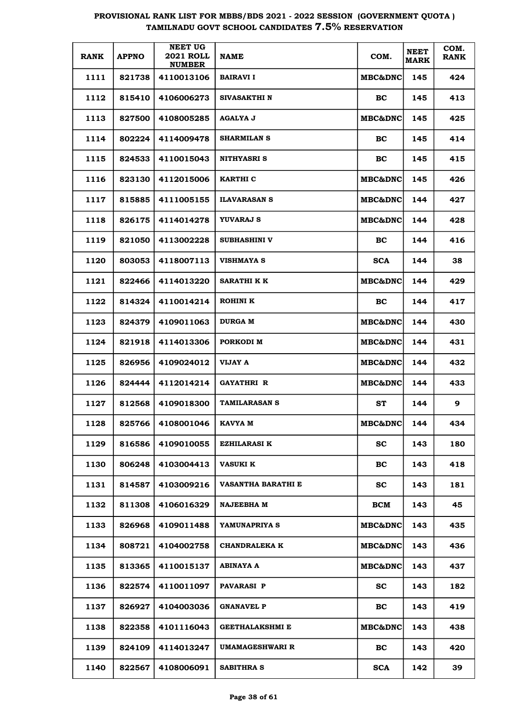| <b>RANK</b> | <b>APPNO</b> | <b>NEET UG</b><br><b>2021 ROLL</b><br><b>NUMBER</b> | <b>NAME</b>               | COM.               | <b>NEET</b><br><b>MARK</b> | COM.<br><b>RANK</b> |
|-------------|--------------|-----------------------------------------------------|---------------------------|--------------------|----------------------------|---------------------|
| 1111        | 821738       | 4110013106                                          | <b>BAIRAVI I</b>          | <b>MBC&amp;DNC</b> | 145                        | 424                 |
| 1112        | 815410       | 4106006273                                          | <b>SIVASAKTHI N</b>       | BC                 | 145                        | 413                 |
| 1113        | 827500       | 4108005285                                          | <b>AGALYA J</b>           | <b>MBC&amp;DNC</b> | 145                        | 425                 |
| 1114        | 802224       | 4114009478                                          | <b>SHARMILAN S</b>        | BC                 | 145                        | 414                 |
| 1115        | 824533       | 4110015043                                          | <b>NITHYASRI S</b>        | BC                 | 145                        | 415                 |
| 1116        | 823130       | 4112015006                                          | KARTHI C                  | <b>MBC&amp;DNC</b> | 145                        | 426                 |
| 1117        | 815885       | 4111005155                                          | <b>ILAVARASAN S</b>       | <b>MBC&amp;DNC</b> | 144                        | 427                 |
| 1118        | 826175       | 4114014278                                          | <b>YUVARAJ S</b>          | <b>MBC&amp;DNC</b> | 144                        | 428                 |
| 1119        | 821050       | 4113002228                                          | <b>SUBHASHINI V</b>       | BC                 | 144                        | 416                 |
| 1120        | 803053       | 4118007113                                          | <b>VISHMAYA S</b>         | <b>SCA</b>         | 144                        | 38                  |
| 1121        | 822466       | 4114013220                                          | <b>SARATHI K K</b>        | <b>MBC&amp;DNC</b> | 144                        | 429                 |
| 1122        | 814324       | 4110014214                                          | <b>ROHINI K</b>           | BC                 | 144                        | 417                 |
| 1123        | 824379       | 4109011063                                          | <b>DURGA M</b>            | <b>MBC&amp;DNC</b> | 144                        | 430                 |
| 1124        | 821918       | 4114013306                                          | PORKODI M                 | <b>MBC&amp;DNC</b> | 144                        | 431                 |
| 1125        | 826956       | 4109024012                                          | VIJAY A                   | <b>MBC&amp;DNC</b> | 144                        | 432                 |
| 1126        | 824444       | 4112014214                                          | <b>GAYATHRI R</b>         | <b>MBC&amp;DNC</b> | 144                        | 433                 |
| 1127        | 812568       | 4109018300                                          | <b>TAMILARASAN S</b>      | <b>ST</b>          | 144                        | 9                   |
| 1128        | 825766       | 4108001046                                          | KAVYA M                   | <b>MBC&amp;DNC</b> | 144                        | 434                 |
| 1129        | 816586       | 4109010055                                          | <b>EZHILARASI K</b>       | <b>SC</b>          | 143                        | 180                 |
| 1130        | 806248       | 4103004413                                          | <b>VASUKI K</b>           | BC                 | 143                        | 418                 |
| 1131        | 814587       | 4103009216                                          | <b>VASANTHA BARATHI E</b> | <b>SC</b>          | 143                        | 181                 |
| 1132        | 811308       | 4106016329                                          | <b>NAJEEBHA M</b>         | BCM                | 143                        | 45                  |
| 1133        | 826968       | 4109011488                                          | YAMUNAPRIYA S             | <b>MBC&amp;DNC</b> | 143                        | 435                 |
| 1134        | 808721       | 4104002758                                          | <b>CHANDRALEKA K</b>      | <b>MBC&amp;DNC</b> | 143                        | 436                 |
| 1135        | 813365       | 4110015137                                          | ABINAYA A                 | MBC&DNC            | 143                        | 437                 |
| 1136        | 822574       | 4110011097                                          | <b>PAVARASI P</b>         | <b>SC</b>          | 143                        | 182                 |
| 1137        | 826927       | 4104003036                                          | <b>GNANAVEL P</b>         | BC                 | 143                        | 419                 |
| 1138        | 822358       | 4101116043                                          | <b>GEETHALAKSHMI E</b>    | <b>MBC&amp;DNC</b> | 143                        | 438                 |
| 1139        | 824109       | 4114013247                                          | UMAMAGESHWARI R           | BC                 | 143                        | 420                 |
| 1140        | 822567       | 4108006091                                          | <b>SABITHRA S</b>         | <b>SCA</b>         | 142                        | 39                  |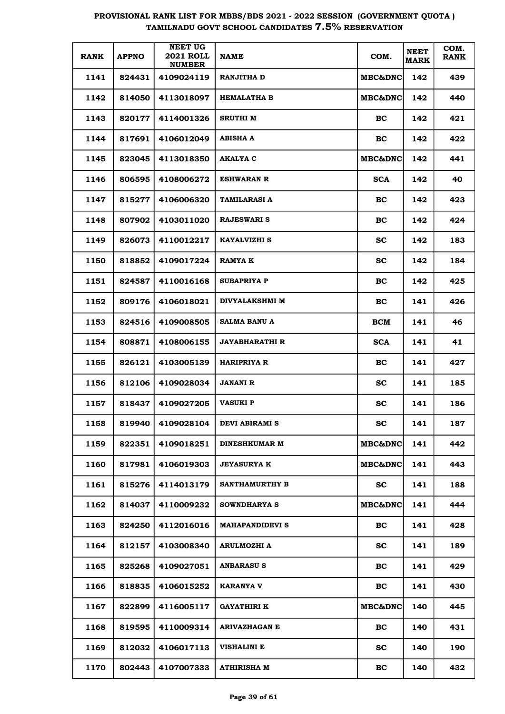| <b>RANK</b> | <b>APPNO</b> | <b>NEET UG</b><br><b>2021 ROLL</b><br><b>NUMBER</b> | <b>NAME</b>            | COM.               | <b>NEET</b><br><b>MARK</b> | COM.<br><b>RANK</b> |
|-------------|--------------|-----------------------------------------------------|------------------------|--------------------|----------------------------|---------------------|
| 1141        | 824431       | 4109024119                                          | <b>RANJITHA D</b>      | <b>MBC&amp;DNC</b> | 142                        | 439                 |
| 1142        | 814050       | 4113018097                                          | <b>HEMALATHA B</b>     | MBC&DNC            | 142                        | 440                 |
| 1143        | 820177       | 4114001326                                          | <b>SRUTHI M</b>        | BC                 | 142                        | 421                 |
| 1144        | 817691       | 4106012049                                          | <b>ABISHA A</b>        | BC                 | 142                        | 422                 |
| 1145        | 823045       | 4113018350                                          | <b>AKALYA C</b>        | MBC&DNC            | 142                        | 441                 |
| 1146        | 806595       | 4108006272                                          | <b>ESHWARAN R</b>      | <b>SCA</b>         | 142                        | 40                  |
| 1147        | 815277       | 4106006320                                          | <b>TAMILARASI A</b>    | BC                 | 142                        | 423                 |
| 1148        | 807902       | 4103011020                                          | <b>RAJESWARI S</b>     | BC                 | 142                        | 424                 |
| 1149        | 826073       | 4110012217                                          | <b>KAYALVIZHI S</b>    | <b>SC</b>          | 142                        | 183                 |
| 1150        | 818852       | 4109017224                                          | <b>RAMYAK</b>          | <b>SC</b>          | 142                        | 184                 |
| 1151        | 824587       | 4110016168                                          | <b>SUBAPRIYA P</b>     | BC                 | 142                        | 425                 |
| 1152        | 809176       | 4106018021                                          | <b>DIVYALAKSHMI M</b>  | BC                 | 141                        | 426                 |
| 1153        | 824516       | 4109008505                                          | <b>SALMA BANU A</b>    | <b>BCM</b>         | 141                        | 46                  |
| 1154        | 808871       | 4108006155                                          | <b>JAYABHARATHI R</b>  | <b>SCA</b>         | 141                        | 41                  |
| 1155        | 826121       | 4103005139                                          | <b>HARIPRIYA R</b>     | BC                 | 141                        | 427                 |
| 1156        | 812106       | 4109028034                                          | <b>JANANI R</b>        | <b>SC</b>          | 141                        | 185                 |
| 1157        | 818437       | 4109027205                                          | <b>VASUKI P</b>        | <b>SC</b>          | 141                        | 186                 |
| 1158        | 819940       | 4109028104                                          | DEVI ABIRAMI S         | $\mathbf{SC}$      | 141                        | 187                 |
| 1159        | 822351       | 4109018251                                          | <b>DINESHKUMAR M</b>   | <b>MBC&amp;DNC</b> | 141                        | 442                 |
| 1160        | 817981       | 4106019303                                          | <b>JEYASURYA K</b>     | MBC&DNC            | 141                        | 443                 |
| 1161        | 815276       | 4114013179                                          | <b>SANTHAMURTHY B</b>  | <b>SC</b>          | 141                        | 188                 |
| 1162        | 814037       | 4110009232                                          | <b>SOWNDHARYA S</b>    | MBC&DNC            | 141                        | 444                 |
| 1163        | 824250       | 4112016016                                          | <b>MAHAPANDIDEVI S</b> | BC                 | 141                        | 428                 |
| 1164        | 812157       | 4103008340                                          | <b>ARULMOZHI A</b>     | <b>SC</b>          | 141                        | 189                 |
| 1165        | 825268       | 4109027051                                          | <b>ANBARASUS</b>       | BC                 | 141                        | 429                 |
| 1166        | 818835       | 4106015252                                          | <b>KARANYA V</b>       | BC                 | 141                        | 430                 |
| 1167        | 822899       | 4116005117                                          | <b>GAYATHIRI K</b>     | MBC&DNC            | 140                        | 445                 |
| 1168        | 819595       | 4110009314                                          | <b>ARIVAZHAGAN E</b>   | BC                 | 140                        | 431                 |
| 1169        | 812032       | 4106017113                                          | <b>VISHALINI E</b>     | <b>SC</b>          | 140                        | 190                 |
| 1170        | 802443       | 4107007333                                          | <b>ATHIRISHA M</b>     | BC                 | 140                        | 432                 |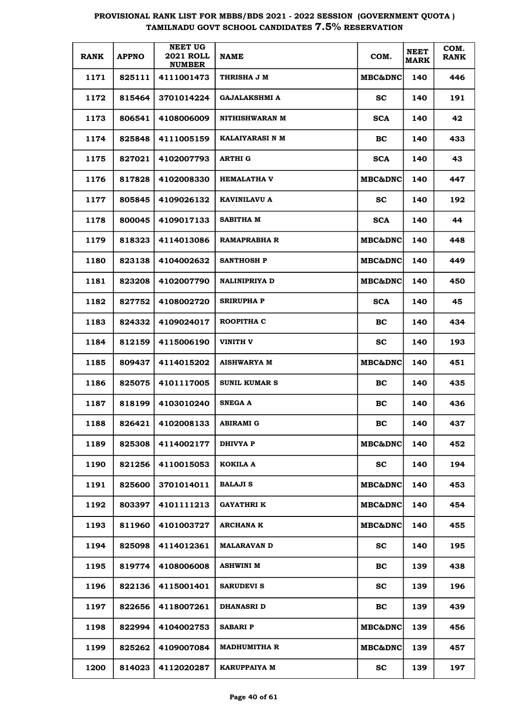| <b>RANK</b> | <b>APPNO</b> | <b>NEET UG</b><br><b>2021 ROLL</b><br><b>NUMBER</b> | <b>NAME</b>           | COM.               | <b>NEET</b><br><b>MARK</b> | COM.<br><b>RANK</b> |
|-------------|--------------|-----------------------------------------------------|-----------------------|--------------------|----------------------------|---------------------|
| 1171        | 825111       | 4111001473                                          | THRISHA J M           | <b>MBC&amp;DNC</b> | 140                        | 446                 |
| 1172        | 815464       | 3701014224                                          | <b>GAJALAKSHMI A</b>  | sc                 | 140                        | 191                 |
| 1173        | 806541       | 4108006009                                          | <b>NITHISHWARAN M</b> | <b>SCA</b>         | 140                        | 42                  |
| 1174        | 825848       | 4111005159                                          | KALAIYARASI N M       | <b>BC</b>          | 140                        | 433                 |
| 1175        | 827021       | 4102007793                                          | <b>ARTHI G</b>        | <b>SCA</b>         | 140                        | 43                  |
| 1176        | 817828       | 4102008330                                          | <b>HEMALATHA V</b>    | <b>MBC&amp;DNC</b> | 140                        | 447                 |
| 1177        | 805845       | 4109026132                                          | KAVINILAVU A          | sc                 | 140                        | 192                 |
| 1178        | 800045       | 4109017133                                          | <b>SABITHA M</b>      | <b>SCA</b>         | 140                        | 44                  |
| 1179        | 818323       | 4114013086                                          | RAMAPRABHA R          | <b>MBC&amp;DNC</b> | 140                        | 448                 |
| 1180        | 823138       | 4104002632                                          | <b>SANTHOSH P</b>     | <b>MBC&amp;DNC</b> | 140                        | 449                 |
| 1181        | 823208       | 4102007790                                          | <b>NALINIPRIYA D</b>  | <b>MBC&amp;DNC</b> | 140                        | 450                 |
| 1182        | 827752       | 4108002720                                          | SRIRUPHA P            | <b>SCA</b>         | 140                        | 45                  |
| 1183        | 824332       | 4109024017                                          | ROOPITHA C            | BC.                | 140                        | 434                 |
| 1184        | 812159       | 4115006190                                          | VINITH V              | <b>SC</b>          | 140                        | 193                 |
| 1185        | 809437       | 4114015202                                          | <b>AISHWARYA M</b>    | <b>MBC&amp;DNC</b> | 140                        | 451                 |
| 1186        | 825075       | 4101117005                                          | SUNIL KUMAR S         | BC.                | 140                        | 435                 |
| 1187        | 818199       | 4103010240                                          | <b>SNEGA A</b>        | BC                 | 140                        | 436                 |
| 1188        | 826421       | 4102008133                                          | ABIRAMI G             | BС                 | 140                        | 437                 |
| 1189        | 825308       | 4114002177                                          | <b>DHIVYA P</b>       | MBC&DNC            | 140                        | 452                 |
| 1190        | 821256       | 4110015053                                          | KOKILA A              | <b>SC</b>          | 140                        | 194                 |
| 1191        | 825600       | 3701014011                                          | <b>BALAJI S</b>       | <b>MBC&amp;DNC</b> | 140                        | 453                 |
| 1192        | 803397       | 41011111213                                         | <b>GAYATHRI K</b>     | <b>MBC&amp;DNC</b> | 140                        | 454                 |
| 1193        | 811960       | 4101003727                                          | <b>ARCHANA K</b>      | <b>MBC&amp;DNC</b> | 140                        | 455                 |
| 1194        | 825098       | 4114012361                                          | <b>MALARAVAN D</b>    | <b>SC</b>          | 140                        | 195                 |
| 1195        | 819774       | 4108006008                                          | ASHWINI M             | BC                 | 139                        | 438                 |
| 1196        | 822136       | 4115001401                                          | <b>SARUDEVI S</b>     | <b>SC</b>          | 139                        | 196                 |
| 1197        | 822656       | 4118007261                                          | <b>DHANASRI D</b>     | BC                 | 139                        | 439                 |
| 1198        | 822994       | 4104002753                                          | <b>SABARI P</b>       | <b>MBC&amp;DNC</b> | 139                        | 456                 |
| 1199        | 825262       | 4109007084                                          | <b>MADHUMITHA R</b>   | <b>MBC&amp;DNC</b> | 139                        | 457                 |
| 1200        | 814023       | 4112020287                                          | <b>KARUPPAIYA M</b>   | $\mathbf{sc}$      | 139                        | 197                 |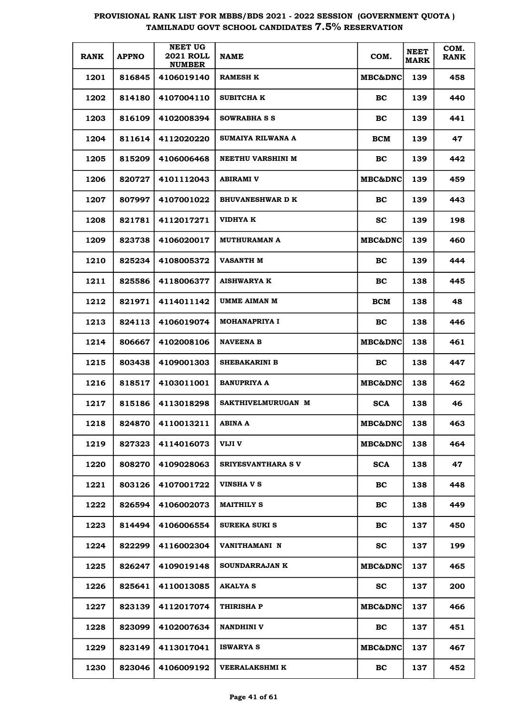| <b>RANK</b> | <b>APPNO</b> | <b>NEET UG</b><br><b>2021 ROLL</b><br><b>NUMBER</b> | <b>NAME</b>               | COM.               | <b>NEET</b><br><b>MARK</b> | COM.<br><b>RANK</b> |
|-------------|--------------|-----------------------------------------------------|---------------------------|--------------------|----------------------------|---------------------|
| 1201        | 816845       | 4106019140                                          | <b>RAMESH K</b>           | <b>MBC&amp;DNC</b> | 139                        | 458                 |
| 1202        | 814180       | 4107004110                                          | <b>SUBITCHA K</b>         | BC                 | 139                        | 440                 |
| 1203        | 816109       | 4102008394                                          | SOWRABHA S S              | BC                 | 139                        | 441                 |
| 1204        | 811614       | 4112020220                                          | SUMAIYA RILWANA A         | BCM                | 139                        | 47                  |
| 1205        | 815209       | 4106006468                                          | <b>NEETHU VARSHINI M</b>  | BC                 | 139                        | 442                 |
| 1206        | 820727       | 4101112043                                          | <b>ABIRAMI V</b>          | <b>MBC&amp;DNC</b> | 139                        | 459                 |
| 1207        | 807997       | 4107001022                                          | <b>BHUVANESHWAR D K</b>   | BC.                | 139                        | 443                 |
| 1208        | 821781       | 4112017271                                          | <b>VIDHYA K</b>           | SC.                | 139                        | 198                 |
| 1209        | 823738       | 4106020017                                          | <b>MUTHURAMAN A</b>       | <b>MBC&amp;DNC</b> | 139                        | 460                 |
| 1210        | 825234       | 4108005372                                          | VASANTH M                 | BC.                | 139                        | 444                 |
| 1211        | 825586       | 4118006377                                          | <b>AISHWARYA K</b>        | BC                 | 138                        | 445                 |
| 1212        | 821971       | 4114011142                                          | UMME AIMAN M              | BCM                | 138                        | 48                  |
| 1213        | 824113       | 4106019074                                          | <b>MOHANAPRIYA I</b>      | <b>BC</b>          | 138                        | 446                 |
| 1214        | 806667       | 4102008106                                          | <b>NAVEENA B</b>          | <b>MBC&amp;DNC</b> | 138                        | 461                 |
| 1215        | 803438       | 4109001303                                          | <b>SHEBAKARINI B</b>      | BC.                | 138                        | 447                 |
| 1216        | 818517       | 4103011001                                          | <b>BANUPRIYA A</b>        | <b>MBC&amp;DNC</b> | 138                        | 462                 |
| 1217        | 815186       | 4113018298                                          | SAKTHIVELMURUGAN M        | <b>SCA</b>         | 138                        | 46                  |
| 1218        | 824870       | 4110013211                                          | ABINA A                   | <b>MBC&amp;DNC</b> | 138                        | 463                 |
| 1219        | 827323       | 4114016073                                          | VIJI V                    | MBC&DNC            | 138                        | 464                 |
| 1220        | 808270       | 4109028063                                          | <b>SRIYESVANTHARA S V</b> | <b>SCA</b>         | 138                        | 47                  |
| 1221        | 803126       | 4107001722                                          | <b>VINSHA V S</b>         | BC.                | 138                        | 448                 |
| 1222        | 826594       | 4106002073                                          | <b>MAITHILY S</b>         | BC.                | 138                        | 449                 |
| 1223        | 814494       | 4106006554                                          | <b>SUREKA SUKI S</b>      | BC                 | 137                        | 450                 |
| 1224        | 822299       | 4116002304                                          | VANITHAMANI N             | <b>SC</b>          | 137                        | 199                 |
| 1225        | 826247       | 4109019148                                          | <b>SOUNDARRAJAN K</b>     | MBC&DNC            | 137                        | 465                 |
| 1226        | 825641       | 4110013085                                          | AKALYA S                  | <b>SC</b>          | 137                        | 200                 |
| 1227        | 823139       | 4112017074                                          | THIRISHA P                | MBC&DNC            | 137                        | 466                 |
| 1228        | 823099       | 4102007634                                          | NANDHINI V                | <b>BC</b>          | 137                        | 451                 |
| 1229        | 823149       | 4113017041                                          | <b>ISWARYA S</b>          | MBC&DNC            | 137                        | 467                 |
| 1230        | 823046       | 4106009192                                          | VEERALAKSHMI K            | <b>BC</b>          | 137                        | 452                 |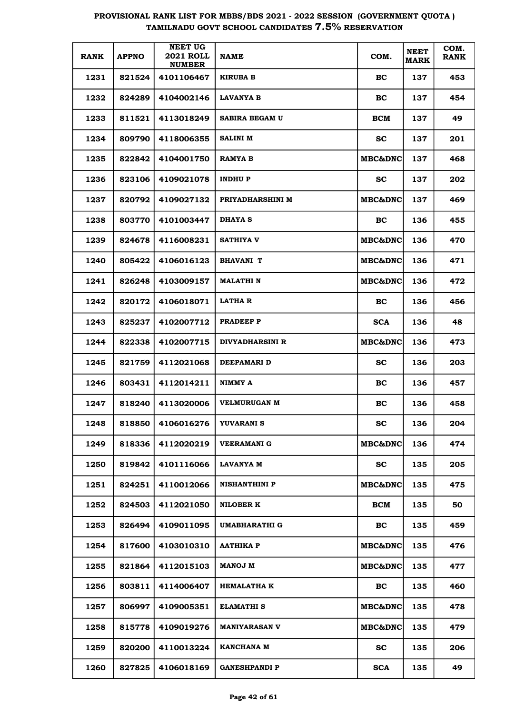| <b>RANK</b> | <b>APPNO</b> | <b>NEET UG</b><br><b>2021 ROLL</b><br><b>NUMBER</b> | <b>NAME</b>            | COM.               | <b>NEET</b><br><b>MARK</b> | COM.<br><b>RANK</b> |
|-------------|--------------|-----------------------------------------------------|------------------------|--------------------|----------------------------|---------------------|
| 1231        | 821524       | 4101106467                                          | <b>KIRUBA B</b>        | BC                 | 137                        | 453                 |
| 1232        | 824289       | 4104002146                                          | <b>LAVANYA B</b>       | BC                 | 137                        | 454                 |
| 1233        | 811521       | 4113018249                                          | <b>SABIRA BEGAM U</b>  | BCM                | 137                        | 49                  |
| 1234        | 809790       | 4118006355                                          | <b>SALINI M</b>        | <b>SC</b>          | 137                        | 201                 |
| 1235        | 822842       | 4104001750                                          | <b>RAMYA B</b>         | <b>MBC&amp;DNC</b> | 137                        | 468                 |
| 1236        | 823106       | 4109021078                                          | <b>INDHUP</b>          | SС                 | 137                        | 202                 |
| 1237        | 820792       | 4109027132                                          | PRIYADHARSHINI M       | <b>MBC&amp;DNC</b> | 137                        | 469                 |
| 1238        | 803770       | 4101003447                                          | <b>DHAYA S</b>         | BC.                | 136                        | 455                 |
| 1239        | 824678       | 4116008231                                          | <b>SATHIYA V</b>       | <b>MBC&amp;DNC</b> | 136                        | 470                 |
| 1240        | 805422       | 4106016123                                          | <b>BHAVANI T</b>       | <b>MBC&amp;DNC</b> | 136                        | 471                 |
| 1241        | 826248       | 4103009157                                          | <b>MALATHI N</b>       | <b>MBC&amp;DNC</b> | 136                        | 472                 |
| 1242        | 820172       | 4106018071                                          | LATHA R                | BC.                | 136                        | 456                 |
| 1243        | 825237       | 4102007712                                          | <b>PRADEEP P</b>       | <b>SCA</b>         | 136                        | 48                  |
| 1244        | 822338       | 4102007715                                          | <b>DIVYADHARSINI R</b> | <b>MBC&amp;DNC</b> | 136                        | 473                 |
| 1245        | 821759       | 4112021068                                          | DEEPAMARI D            | SС                 | 136                        | 203                 |
| 1246        | 803431       | 4112014211                                          | NIMMY A                | BC.                | 136                        | 457                 |
| 1247        | 818240       | 4113020006                                          | <b>VELMURUGAN M</b>    | BC                 | 136                        | 458                 |
| 1248        | 818850       | 4106016276                                          | YUVARANI S             | SC                 | 136                        | 204                 |
| 1249        | 818336       | 4112020219                                          | <b>VEERAMANI G</b>     | MBC&DNC            | 136                        | 474                 |
| 1250        | 819842       | 4101116066                                          | <b>LAVANYA M</b>       | <b>SC</b>          | 135                        | 205                 |
| 1251        | 824251       | 4110012066                                          | <b>NISHANTHINI P</b>   | <b>MBC&amp;DNC</b> | 135                        | 475                 |
| 1252        | 824503       | 4112021050                                          | <b>NILOBER K</b>       | BCM                | 135                        | 50                  |
| 1253        | 826494       | 4109011095                                          | UMABHARATHI G          | BC                 | 135                        | 459                 |
| 1254        | 817600       | 4103010310                                          | <b>AATHIKA P</b>       | <b>MBC&amp;DNC</b> | 135                        | 476                 |
| 1255        | 821864       | 4112015103                                          | <b>MANOJ M</b>         | MBC&DNC            | 135                        | 477                 |
| 1256        | 803811       | 4114006407                                          | <b>HEMALATHA K</b>     | <b>BC</b>          | 135                        | 460                 |
| 1257        | 806997       | 4109005351                                          | ELAMATHI S             | MBC&DNC            | 135                        | 478                 |
| 1258        | 815778       | 4109019276                                          | <b>MANIYARASAN V</b>   | MBC&DNC            | 135                        | 479                 |
| 1259        | 820200       | 4110013224                                          | KANCHANA M             | <b>SC</b>          | 135                        | 206                 |
| 1260        | 827825       | 4106018169                                          | <b>GANESHPANDI P</b>   | <b>SCA</b>         | 135                        | 49                  |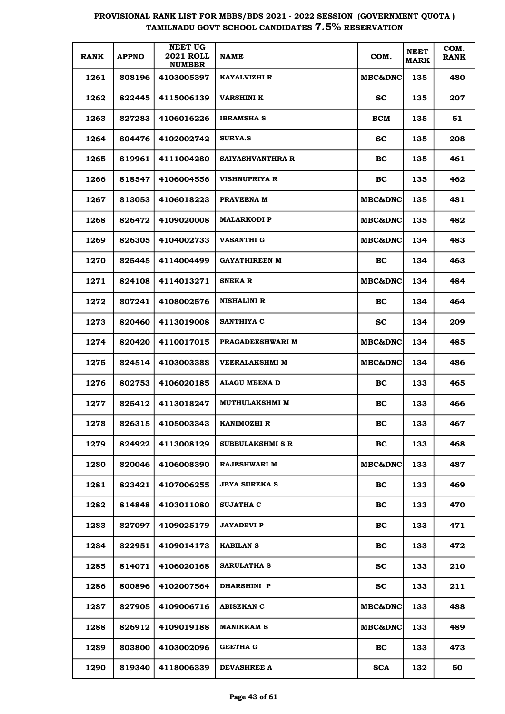| <b>RANK</b> | <b>APPNO</b> | <b>NEET UG</b><br><b>2021 ROLL</b><br><b>NUMBER</b> | <b>NAME</b>             | COM.               | <b>NEET</b><br><b>MARK</b> | COM.<br><b>RANK</b> |
|-------------|--------------|-----------------------------------------------------|-------------------------|--------------------|----------------------------|---------------------|
| 1261        | 808196       | 4103005397                                          | KAYALVIZHI R            | <b>MBC&amp;DNC</b> | 135                        | 480                 |
| 1262        | 822445       | 4115006139                                          | VARSHINI K              | <b>SC</b>          | 135                        | 207                 |
| 1263        | 827283       | 4106016226                                          | <b>IBRAMSHA S</b>       | BCM                | 135                        | 51                  |
| 1264        | 804476       | 4102002742                                          | <b>SURYA.S</b>          | <b>SC</b>          | 135                        | 208                 |
| 1265        | 819961       | 4111004280                                          | SAIYASHVANTHRA R        | BC                 | 135                        | 461                 |
| 1266        | 818547       | 4106004556                                          | VISHNUPRIYA R           | BC                 | 135                        | 462                 |
| 1267        | 813053       | 4106018223                                          | PRAVEENA M              | <b>MBC&amp;DNC</b> | 135                        | 481                 |
| 1268        | 826472       | 4109020008                                          | <b>MALARKODI P</b>      | MBC&DNC            | 135                        | 482                 |
| 1269        | 826305       | 4104002733                                          | VASANTHI G              | <b>MBC&amp;DNC</b> | 134                        | 483                 |
| 1270        | 825445       | 4114004499                                          | GAYATHIREEN M           | BC                 | 134                        | 463                 |
| 1271        | 824108       | 4114013271                                          | <b>SNEKA R</b>          | <b>MBC&amp;DNC</b> | 134                        | 484                 |
| 1272        | 807241       | 4108002576                                          | NISHALINI R             | <b>BC</b>          | 134                        | 464                 |
| 1273        | 820460       | 4113019008                                          | <b>SANTHIYA C</b>       | <b>SC</b>          | 134                        | 209                 |
| 1274        | 820420       | 4110017015                                          | <b>PRAGADEESHWARI M</b> | MBC&DNC            | 134                        | 485                 |
| 1275        | 824514       | 4103003388                                          | VEERALAKSHMI M          | <b>MBC&amp;DNC</b> | 134                        | 486                 |
| 1276        | 802753       | 4106020185                                          | <b>ALAGU MEENA D</b>    | BC                 | 133                        | 465                 |
| 1277        | 825412       | 4113018247                                          | MUTHULAKSHMI M          | BC                 | 133                        | 466                 |
| 1278        | 826315       | 4105003343                                          | KANIMOZHI R             | BC                 | 133                        | 467                 |
| 1279        | 824922       | 4113008129                                          | SUBBULAKSHMI S R        | BC                 | 133                        | 468                 |
| 1280        | 820046       | 4106008390                                          | <b>RAJESHWARI M</b>     | <b>MBC&amp;DNC</b> | 133                        | 487                 |
| 1281        | 823421       | 4107006255                                          | <b>JEYA SUREKA S</b>    | BC                 | 133                        | 469                 |
| 1282        | 814848       | 4103011080                                          | <b>SUJATHA C</b>        | BC                 | 133                        | 470                 |
| 1283        | 827097       | 4109025179                                          | <b>JAYADEVI P</b>       | BC                 | 133                        | 471                 |
| 1284        | 822951       | 4109014173                                          | <b>KABILAN S</b>        | BC                 | 133                        | 472                 |
| 1285        | 814071       | 4106020168                                          | <b>SARULATHA S</b>      | <b>SC</b>          | 133                        | 210                 |
| 1286        | 800896       | 4102007564                                          | <b>DHARSHINI P</b>      | <b>SC</b>          | 133                        | 211                 |
| 1287        | 827905       | 4109006716                                          | <b>ABISEKAN C</b>       | <b>MBC&amp;DNC</b> | 133                        | 488                 |
| 1288        | 826912       | 4109019188                                          | MANIKKAM S              | <b>MBC&amp;DNC</b> | 133                        | 489                 |
| 1289        | 803800       | 4103002096                                          | GEETHA G                | <b>BC</b>          | 133                        | 473                 |
| 1290        | 819340       | 4118006339                                          | <b>DEVASHREE A</b>      | <b>SCA</b>         | 132                        | 50                  |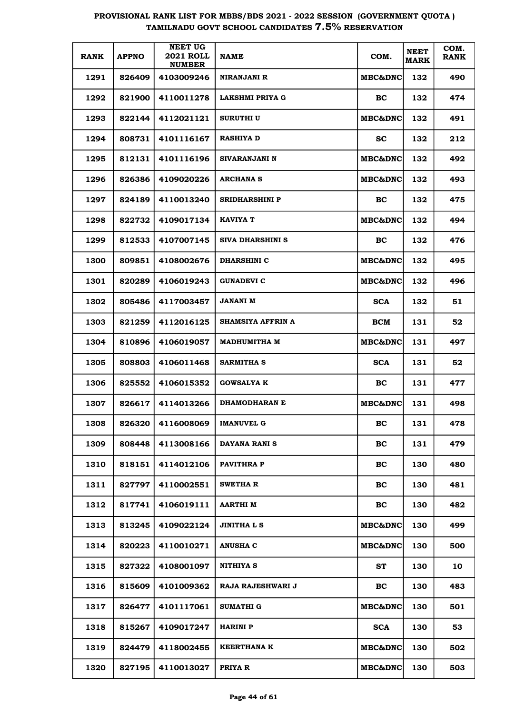| <b>RANK</b> | <b>APPNO</b> | NEET UG<br><b>2021 ROLL</b><br><b>NUMBER</b> | <b>NAME</b>             | COM.                | <b>NEET</b><br><b>MARK</b> | COM.<br><b>RANK</b> |
|-------------|--------------|----------------------------------------------|-------------------------|---------------------|----------------------------|---------------------|
| 1291        | 826409       | 4103009246                                   | NIRANJANI R             | <b>MBC&amp;DNC</b>  | 132                        | 490                 |
| 1292        | 821900       | 4110011278                                   | LAKSHMI PRIYA G         | BC                  | 132                        | 474                 |
| 1293        | 822144       | 4112021121                                   | <b>SURUTHI U</b>        | MBC&DNC             | 132                        | 491                 |
| 1294        | 808731       | 4101116167                                   | <b>RASHIYA D</b>        | <b>SC</b>           | 132                        | 212                 |
| 1295        | 812131       | 4101116196                                   | SIVARANJANI N           | <b>MBC&amp;DNC</b>  | 132                        | 492                 |
| 1296        | 826386       | 4109020226                                   | <b>ARCHANA S</b>        | <b>MBC&amp;DNC</b>  | 132                        | 493                 |
| 1297        | 824189       | 4110013240                                   | <b>SRIDHARSHINI P</b>   | BC                  | 132                        | 475                 |
| 1298        | 822732       | 4109017134                                   | <b>KAVIYA T</b>         | <b>MBC&amp;DNC </b> | 132                        | 494                 |
| 1299        | 812533       | 4107007145                                   | <b>SIVA DHARSHINI S</b> | BC                  | 132                        | 476                 |
| 1300        | 809851       | 4108002676                                   | <b>DHARSHINI C</b>      | <b>MBC&amp;DNC </b> | 132                        | 495                 |
| 1301        | 820289       | 4106019243                                   | <b>GUNADEVI C</b>       | <b>MBC&amp;DNC </b> | 132                        | 496                 |
| 1302        | 805486       | 4117003457                                   | <b>JANANI M</b>         | <b>SCA</b>          | 132                        | 51                  |
| 1303        | 821259       | 4112016125                                   | SHAMSIYA AFFRIN A       | BCM                 | 131                        | 52                  |
| 1304        | 810896       | 4106019057                                   | <b>MADHUMITHA M</b>     | <b>MBC&amp;DNC </b> | 131                        | 497                 |
| 1305        | 808803       | 4106011468                                   | SARMITHA S              | <b>SCA</b>          | 131                        | 52                  |
| 1306        | 825552       | 4106015352                                   | <b>GOWSALYA K</b>       | BC                  | 131                        | 477                 |
| 1307        | 826617       | 4114013266                                   | <b>DHAMODHARAN E</b>    | <b>MBC&amp;DNC</b>  | 131                        | 498                 |
| 1308        | 826320       | 4116008069                                   | <b>IMANUVEL G</b>       | ВC                  | 131                        | 478                 |
| 1309        | 808448       | 4113008166                                   | DAYANA RANI S           | BC                  | 131                        | 479                 |
| 1310        | 818151       | 4114012106                                   | PAVITHRA P              | BC                  | 130                        | 480                 |
| 1311        | 827797       | 4110002551                                   | <b>SWETHA R</b>         | BC                  | 130                        | 481                 |
| 1312        | 817741       | 4106019111                                   | <b>AARTHI M</b>         | BC                  | 130                        | 482                 |
| 1313        | 813245       | 4109022124                                   | <b>JINITHALS</b>        | <b>MBC&amp;DNC</b>  | 130                        | 499                 |
| 1314        | 820223       | 4110010271                                   | <b>ANUSHA C</b>         | MBC&DNC             | 130                        | 500                 |
| 1315        | 827322       | 4108001097                                   | NITHIYA S               | ST                  | 130                        | 10                  |
| 1316        | 815609       | 4101009362                                   | RAJA RAJESHWARI J       | BC                  | 130                        | 483                 |
| 1317        | 826477       | 4101117061                                   | <b>SUMATHI G</b>        | <b>MBC&amp;DNC</b>  | 130                        | 501                 |
| 1318        | 815267       | 4109017247                                   | <b>HARINI P</b>         | <b>SCA</b>          | 130                        | 53                  |
| 1319        | 824479       | 4118002455                                   | <b>KEERTHANA K</b>      | MBC&DNC             | 130                        | 502                 |
| 1320        | 827195       | 4110013027                                   | PRIYA R                 | MBC&DNC             | 130                        | 503                 |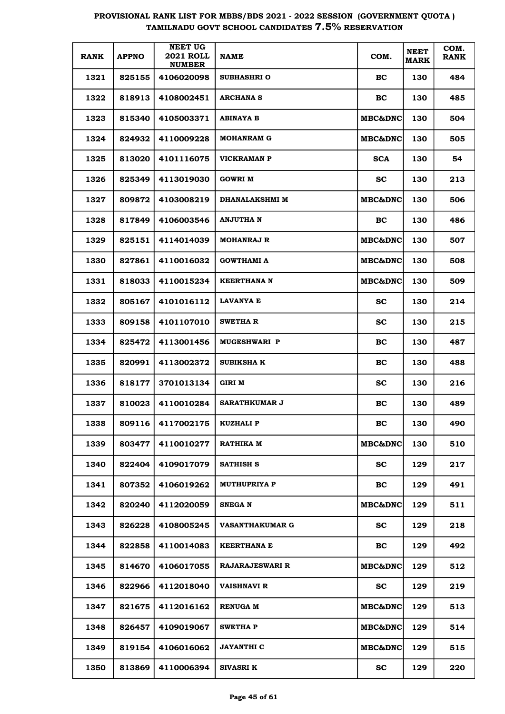| <b>RANK</b> | <b>APPNO</b> | <b>NEET UG</b><br><b>2021 ROLL</b><br><b>NUMBER</b> | <b>NAME</b>            | COM.               | <b>NEET</b><br><b>MARK</b> | COM.<br><b>RANK</b> |
|-------------|--------------|-----------------------------------------------------|------------------------|--------------------|----------------------------|---------------------|
| 1321        | 825155       | 4106020098                                          | <b>SUBHASHRI O</b>     | BC                 | 130                        | 484                 |
| 1322        | 818913       | 4108002451                                          | <b>ARCHANA S</b>       | BC                 | 130                        | 485                 |
| 1323        | 815340       | 4105003371                                          | ABINAYA B              | MBC&DNC            | 130                        | 504                 |
| 1324        | 824932       | 4110009228                                          | <b>MOHANRAM G</b>      | MBC&DNC            | 130                        | 505                 |
| 1325        | 813020       | 4101116075                                          | VICKRAMAN P            | <b>SCA</b>         | 130                        | 54                  |
| 1326        | 825349       | 4113019030                                          | <b>GOWRI M</b>         | <b>SC</b>          | 130                        | 213                 |
| 1327        | 809872       | 4103008219                                          | <b>DHANALAKSHMI M</b>  | <b>MBC&amp;DNC</b> | 130                        | 506                 |
| 1328        | 817849       | 4106003546                                          | ANJUTHA N              | BC                 | 130                        | 486                 |
| 1329        | 825151       | 4114014039                                          | <b>MOHANRAJ R</b>      | MBC&DNC            | 130                        | 507                 |
| 1330        | 827861       | 4110016032                                          | <b>GOWTHAMI A</b>      | MBC&DNC            | 130                        | 508                 |
| 1331        | 818033       | 4110015234                                          | <b>KEERTHANA N</b>     | <b>MBC&amp;DNC</b> | 130                        | 509                 |
| 1332        | 805167       | 4101016112                                          | LAVANYA E              | <b>SC</b>          | 130                        | 214                 |
| 1333        | 809158       | 4101107010                                          | <b>SWETHAR</b>         | <b>SC</b>          | 130                        | 215                 |
| 1334        | 825472       | 4113001456                                          | <b>MUGESHWARI P</b>    | BC                 | 130                        | 487                 |
| 1335        | 820991       | 4113002372                                          | <b>SUBIKSHA K</b>      | BC                 | 130                        | 488                 |
| 1336        | 818177       | 3701013134                                          | GIRI M                 | <b>SC</b>          | 130                        | 216                 |
| 1337        | 810023       | 4110010284                                          | <b>SARATHKUMAR J</b>   | BC                 | 130                        | 489                 |
| 1338        | 809116       | 4117002175                                          | <b>KUZHALI P</b>       | BC                 | 130                        | 490                 |
| 1339        | 803477       | 4110010277                                          | RATHIKA M              | <b>MBC&amp;DNC</b> | 130                        | 510                 |
| 1340        | 822404       | 4109017079                                          | SATHISH S              | <b>SC</b>          | 129                        | 217                 |
| 1341        | 807352       | 4106019262                                          | <b>MUTHUPRIYA P</b>    | BC                 | 129                        | 491                 |
| 1342        | 820240       | 4112020059                                          | <b>SNEGA N</b>         | <b>MBC&amp;DNC</b> | 129                        | 511                 |
| 1343        | 826228       | 4108005245                                          | <b>VASANTHAKUMAR G</b> | <b>SC</b>          | 129                        | 218                 |
| 1344        | 822858       | 4110014083                                          | <b>KEERTHANA E</b>     | BC                 | 129                        | 492                 |
| 1345        | 814670       | 4106017055                                          | <b>RAJARAJESWARI R</b> | <b>MBC&amp;DNC</b> | 129                        | 512                 |
| 1346        | 822966       | 4112018040                                          | <b>VAISHNAVI R</b>     | <b>SC</b>          | 129                        | 219                 |
| 1347        | 821675       | 4112016162                                          | <b>RENUGA M</b>        | <b>MBC&amp;DNC</b> | 129                        | 513                 |
| 1348        | 826457       | 4109019067                                          | <b>SWETHA P</b>        | <b>MBC&amp;DNC</b> | 129                        | 514                 |
| 1349        | 819154       | 4106016062                                          | JAYANTHI C             | <b>MBC&amp;DNC</b> | 129                        | 515                 |
| 1350        | 813869       | 4110006394                                          | <b>SIVASRI K</b>       | SC.                | 129                        | 220                 |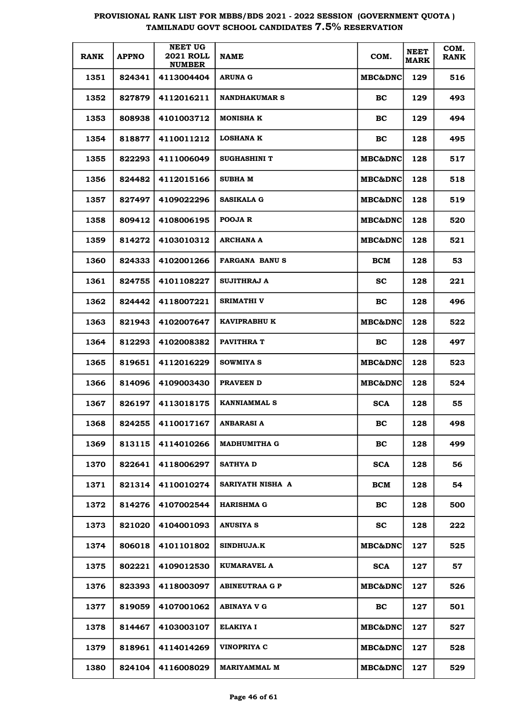| <b>RANK</b> | <b>APPNO</b> | <b>NEET UG</b><br><b>2021 ROLL</b><br><b>NUMBER</b> | <b>NAME</b>           | COM.               | <b>NEET</b><br><b>MARK</b> | COM.<br><b>RANK</b> |
|-------------|--------------|-----------------------------------------------------|-----------------------|--------------------|----------------------------|---------------------|
| 1351        | 824341       | 4113004404                                          | <b>ARUNA G</b>        | <b>MBC&amp;DNC</b> | 129                        | 516                 |
| 1352        | 827879       | 4112016211                                          | <b>NANDHAKUMAR S</b>  | BC                 | 129                        | 493                 |
| 1353        | 808938       | 4101003712                                          | <b>MONISHA K</b>      | BC                 | 129                        | 494                 |
| 1354        | 818877       | 4110011212                                          | <b>LOSHANA K</b>      | BC                 | 128                        | 495                 |
| 1355        | 822293       | 4111006049                                          | <b>SUGHASHINI T</b>   | <b>MBC&amp;DNC</b> | 128                        | 517                 |
| 1356        | 824482       | 4112015166                                          | <b>SUBHA M</b>        | <b>MBC&amp;DNC</b> | 128                        | 518                 |
| 1357        | 827497       | 4109022296                                          | <b>SASIKALA G</b>     | <b>MBC&amp;DNC</b> | 128                        | 519                 |
| 1358        | 809412       | 4108006195                                          | POOJA R               | <b>MBC&amp;DNC</b> | 128                        | 520                 |
| 1359        | 814272       | 4103010312                                          | <b>ARCHANA A</b>      | <b>MBC&amp;DNC</b> | 128                        | 521                 |
| 1360        | 824333       | 4102001266                                          | <b>FARGANA BANUS</b>  | BCM                | 128                        | 53                  |
| 1361        | 824755       | 4101108227                                          | <b>SUJITHRAJ A</b>    | sc                 | 128                        | 221                 |
| 1362        | 824442       | 4118007221                                          | <b>SRIMATHI V</b>     | BC                 | 128                        | 496                 |
| 1363        | 821943       | 4102007647                                          | <b>KAVIPRABHU K</b>   | <b>MBC&amp;DNC</b> | 128                        | 522                 |
| 1364        | 812293       | 4102008382                                          | <b>PAVITHRA T</b>     | BC                 | 128                        | 497                 |
| 1365        | 819651       | 4112016229                                          | SOWMIYA S             | <b>MBC&amp;DNC</b> | 128                        | 523                 |
| 1366        | 814096       | 4109003430                                          | PRAVEEN D             | <b>MBC&amp;DNC</b> | 128                        | 524                 |
| 1367        | 826197       | 4113018175                                          | <b>KANNIAMMAL S</b>   | <b>SCA</b>         | 128                        | 55                  |
| 1368        | 824255       | 4110017167                                          | ANBARASI A            | BС                 | 128                        | 498                 |
| 1369        | 813115       | 4114010266                                          | <b>MADHUMITHA G</b>   | BC                 | 128                        | 499                 |
| 1370        | 822641       | 4118006297                                          | <b>SATHYA D</b>       | <b>SCA</b>         | 128                        | 56                  |
| 1371        | 821314       | 4110010274                                          | SARIYATH NISHA A      | BCM                | 128                        | 54                  |
| 1372        | 814276       | 4107002544                                          | <b>HARISHMA G</b>     | BC                 | 128                        | 500                 |
| 1373        | 821020       | 4104001093                                          | ANUSIYA S             | <b>SC</b>          | 128                        | 222                 |
| 1374        | 806018       | 4101101802                                          | SINDHUJA.K            | MBC&DNC            | 127                        | 525                 |
| 1375        | 802221       | 4109012530                                          | KUMARAVEL A           | <b>SCA</b>         | 127                        | 57                  |
| 1376        | 823393       | 4118003097                                          | <b>ABINEUTRAA G P</b> | MBC&DNC            | 127                        | 526                 |
| 1377        | 819059       | 4107001062                                          | ABINAYA V G           | BC                 | 127                        | 501                 |
| 1378        | 814467       | 4103003107                                          | <b>ELAKIYA I</b>      | <b>MBC&amp;DNC</b> | 127                        | 527                 |
| 1379        | 818961       | 4114014269                                          | <b>VINOPRIYA C</b>    | <b>MBC&amp;DNC</b> | 127                        | 528                 |
| 1380        | 824104       | 4116008029                                          | <b>MARIYAMMAL M</b>   | <b>MBC&amp;DNC</b> | 127                        | 529                 |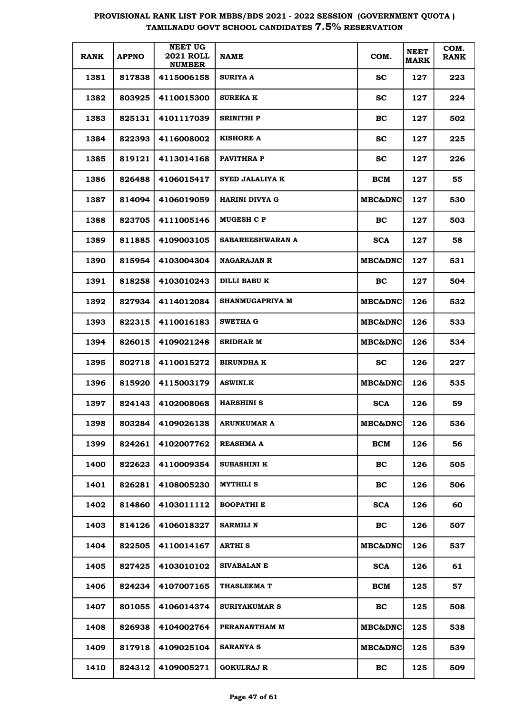| <b>RANK</b> | <b>APPNO</b> | <b>NEET UG</b><br><b>2021 ROLL</b><br><b>NUMBER</b> | <b>NAME</b>            | COM.               | <b>NEET</b><br><b>MARK</b> | COM.<br><b>RANK</b> |
|-------------|--------------|-----------------------------------------------------|------------------------|--------------------|----------------------------|---------------------|
| 1381        | 817838       | 4115006158                                          | <b>SURIYA A</b>        | <b>SC</b>          | 127                        | 223                 |
| 1382        | 803925       | 4110015300                                          | <b>SUREKA K</b>        | <b>SC</b>          | 127                        | 224                 |
| 1383        | 825131       | 4101117039                                          | <b>SRINITHI P</b>      | BC                 | 127                        | 502                 |
| 1384        | 822393       | 4116008002                                          | <b>KISHORE A</b>       | <b>SC</b>          | 127                        | 225                 |
| 1385        | 819121       | 4113014168                                          | PAVITHRA P             | <b>SC</b>          | 127                        | 226                 |
| 1386        | 826488       | 4106015417                                          | <b>SYED JALALIYA K</b> | BCM                | 127                        | 55                  |
| 1387        | 814094       | 4106019059                                          | HARINI DIVYA G         | <b>MBC&amp;DNC</b> | 127                        | 530                 |
| 1388        | 823705       | 4111005146                                          | <b>MUGESH C P</b>      | BC                 | 127                        | 503                 |
| 1389        | 811885       | 4109003105                                          | SABAREESHWARAN A       | <b>SCA</b>         | 127                        | 58                  |
| 1390        | 815954       | 4103004304                                          | <b>NAGARAJAN R</b>     | <b>MBC&amp;DNC</b> | 127                        | 531                 |
| 1391        | 818258       | 4103010243                                          | DILLI BABU K           | BC                 | 127                        | 504                 |
| 1392        | 827934       | 4114012084                                          | <b>SHANMUGAPRIYA M</b> | <b>MBC&amp;DNC</b> | 126                        | 532                 |
| 1393        | 822315       | 4110016183                                          | <b>SWETHA G</b>        | <b>MBC&amp;DNC</b> | 126                        | 533                 |
| 1394        | 826015       | 4109021248                                          | <b>SRIDHAR M</b>       | <b>MBC&amp;DNC</b> | 126                        | 534                 |
| 1395        | 802718       | 4110015272                                          | <b>BIRUNDHA K</b>      | <b>SC</b>          | 126                        | 227                 |
| 1396        | 815920       | 4115003179                                          | <b>ASWINI.K</b>        | <b>MBC&amp;DNC</b> | 126                        | 535                 |
| 1397        | 824143       | 4102008068                                          | <b>HARSHINI S</b>      | <b>SCA</b>         | 126                        | 59                  |
| 1398        | 803284       | 4109026138                                          | ARUNKUMAR A            | <b>MBC&amp;DNC</b> | 126                        | 536                 |
| 1399        | 824261       | 4102007762                                          | <b>REASHMA A</b>       | BCM                | 126                        | 56                  |
| 1400        | 822623       | 4110009354                                          | SUBASHINI K            | <b>BC</b>          | 126                        | 505                 |
| 1401        | 826281       | 4108005230                                          | <b>MYTHILI S</b>       | BC                 | 126                        | 506                 |
| 1402        | 814860       | 4103011112                                          | <b>BOOPATHI E</b>      | <b>SCA</b>         | 126                        | 60                  |
| 1403        | 814126       | 4106018327                                          | <b>SARMILI N</b>       | <b>BC</b>          | 126                        | 507                 |
| 1404        | 822505       | 4110014167                                          | ARTHI S                | <b>MBC&amp;DNC</b> | 126                        | 537                 |
| 1405        | 827425       | 4103010102                                          | <b>SIVABALAN E</b>     | <b>SCA</b>         | 126                        | 61                  |
| 1406        | 824234       | 4107007165                                          | <b>THASLEEMA T</b>     | BCM                | 125                        | 57                  |
| 1407        | 801055       | 4106014374                                          | <b>SURIYAKUMAR S</b>   | <b>BC</b>          | 125                        | 508                 |
| 1408        | 826938       | 4104002764                                          | PERANANTHAM M          | <b>MBC&amp;DNC</b> | 125                        | 538                 |
| 1409        | 817918       | 4109025104                                          | SARANYA S              | <b>MBC&amp;DNC</b> | 125                        | 539                 |
| 1410        | 824312       | 4109005271                                          | <b>GOKULRAJ R</b>      | <b>BC</b>          | 125                        | 509                 |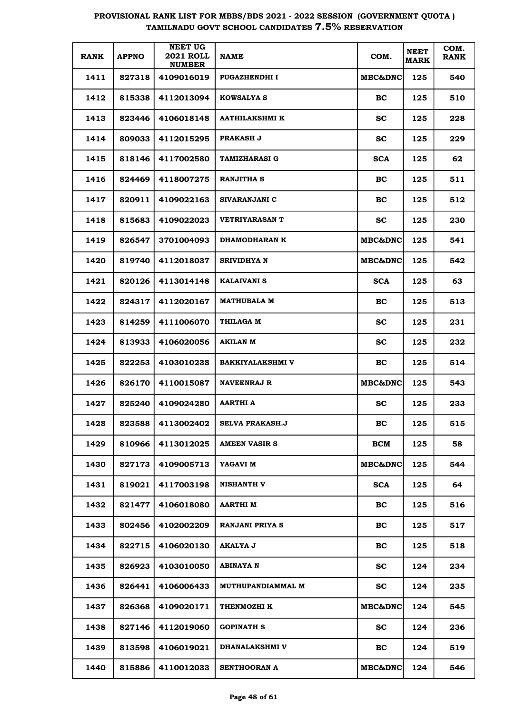| <b>RANK</b> | <b>APPNO</b> | <b>NEET UG</b><br><b>2021 ROLL</b><br><b>NUMBER</b> | <b>NAME</b>              | COM.               | <b>NEET</b><br><b>MARK</b> | COM.<br><b>RANK</b> |
|-------------|--------------|-----------------------------------------------------|--------------------------|--------------------|----------------------------|---------------------|
| 1411        | 827318       | 4109016019                                          | <b>PUGAZHENDHI I</b>     | <b>MBC&amp;DNC</b> | 125                        | 540                 |
| 1412        | 815338       | 4112013094                                          | <b>KOWSALYA S</b>        | BC.                | 125                        | 510                 |
| 1413        | 823446       | 4106018148                                          | <b>AATHILAKSHMI K</b>    | sc                 | 125                        | 228                 |
| 1414        | 809033       | 4112015295                                          | <b>PRAKASH J</b>         | <b>SC</b>          | 125                        | 229                 |
| 1415        | 818146       | 4117002580                                          | <b>TAMIZHARASI G</b>     | <b>SCA</b>         | 125                        | 62                  |
| 1416        | 824469       | 4118007275                                          | <b>RANJITHA S</b>        | BC.                | 125                        | 511                 |
| 1417        | 820911       | 4109022163                                          | SIVARANJANI C            | BC                 | 125                        | 512                 |
| 1418        | 815683       | 4109022023                                          | <b>VETRIYARASAN T</b>    | SС                 | 125                        | 230                 |
| 1419        | 826547       | 3701004093                                          | <b>DHAMODHARAN K</b>     | <b>MBC&amp;DNC</b> | 125                        | 541                 |
| 1420        | 819740       | 4112018037                                          | SRIVIDHYA N              | <b>MBC&amp;DNC</b> | 125                        | 542                 |
| 1421        | 820126       | 4113014148                                          | <b>KALAIVANI S</b>       | <b>SCA</b>         | 125                        | 63                  |
| 1422        | 824317       | 4112020167                                          | <b>MATHUBALA M</b>       | BC.                | 125                        | 513                 |
| 1423        | 814259       | 4111006070                                          | <b>THILAGA M</b>         | SС                 | 125                        | 231                 |
| 1424        | 813933       | 4106020056                                          | AKILAN M                 | SС                 | 125                        | 232                 |
| 1425        | 822253       | 4103010238                                          | <b>BAKKIYALAKSHMI V</b>  | BC                 | 125                        | 514                 |
| 1426        | 826170       | 4110015087                                          | NAVEENRAJ R              | <b>MBC&amp;DNC</b> | 125                        | 543                 |
| 1427        | 825240       | 4109024280                                          | <b>AARTHI A</b>          | SС                 | 125                        | 233                 |
| 1428        | 823588       | 4113002402                                          | <b>SELVA PRAKASH.J</b>   | BС                 | 125                        | 515                 |
| 1429        | 810966       | 4113012025                                          | <b>AMEEN VASIR S</b>     | <b>BCM</b>         | 125                        | 58                  |
| 1430        | 827173       | 4109005713                                          | YAGAVI M                 | <b>MBC&amp;DNC</b> | 125                        | 544                 |
| 1431        | 819021       | 4117003198                                          | <b>NISHANTH V</b>        | <b>SCA</b>         | 125                        | 64                  |
| 1432        | 821477       | 4106018080                                          | AARTHI M                 | BC.                | 125                        | 516                 |
| 1433        | 802456       | 4102002209                                          | <b>RANJANI PRIYA S</b>   | BC.                | 125                        | 517                 |
| 1434        | 822715       | 4106020130                                          | AKALYA J                 | BC                 | 125                        | 518                 |
| 1435        | 826923       | 4103010050                                          | ABINAYA N                | <b>SC</b>          | 124                        | 234                 |
| 1436        | 826441       | 4106006433                                          | <b>MUTHUPANDIAMMAL M</b> | <b>SC</b>          | 124                        | 235                 |
| 1437        | 826368       | 4109020171                                          | THENMOZHI K              | MBC&DNC            | 124                        | 545                 |
| 1438        | 827146       | 4112019060                                          | <b>GOPINATH S</b>        | <b>SC</b>          | 124                        | 236                 |
| 1439        | 813598       | 4106019021                                          | <b>DHANALAKSHMI V</b>    | BC                 | 124                        | 519                 |
| 1440        | 815886       | 4110012033                                          | SENTHOORAN A             | MBC&DNC            | 124                        | 546                 |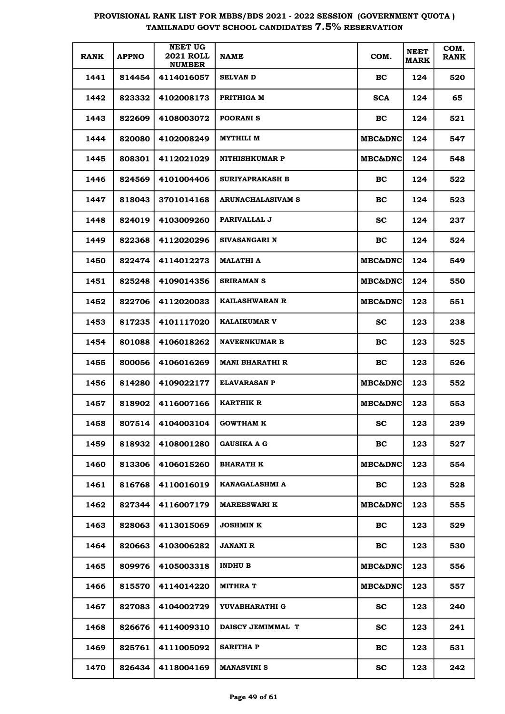| <b>RANK</b> | <b>APPNO</b> | <b>NEET UG</b><br><b>2021 ROLL</b><br><b>NUMBER</b> | <b>NAME</b>            | COM.               | <b>NEET</b><br><b>MARK</b> | COM.<br><b>RANK</b> |
|-------------|--------------|-----------------------------------------------------|------------------------|--------------------|----------------------------|---------------------|
| 1441        | 814454       | 4114016057                                          | <b>SELVAN D</b>        | BC                 | 124                        | 520                 |
| 1442        | 823332       | 4102008173                                          | PRITHIGA M             | <b>SCA</b>         | 124                        | 65                  |
| 1443        | 822609       | 4108003072                                          | <b>POORANIS</b>        | BC.                | 124                        | 521                 |
| 1444        | 820080       | 4102008249                                          | <b>MYTHILI M</b>       | <b>MBC&amp;DNC</b> | 124                        | 547                 |
| 1445        | 808301       | 4112021029                                          | <b>NITHISHKUMAR P</b>  | <b>MBC&amp;DNC</b> | 124                        | 548                 |
| 1446        | 824569       | 4101004406                                          | <b>SURIYAPRAKASH B</b> | BC.                | 124                        | 522                 |
| 1447        | 818043       | 3701014168                                          | ARUNACHALASIVAM S      | BC                 | 124                        | 523                 |
| 1448        | 824019       | 4103009260                                          | PARIVALLAL J           | SC.                | 124                        | 237                 |
| 1449        | 822368       | 4112020296                                          | SIVASANGARI N          | BC                 | 124                        | 524                 |
| 1450        | 822474       | 4114012273                                          | <b>MALATHI A</b>       | <b>MBC&amp;DNC</b> | 124                        | 549                 |
| 1451        | 825248       | 4109014356                                          | SRIRAMAN S             | <b>MBC&amp;DNC</b> | 124                        | 550                 |
| 1452        | 822706       | 4112020033                                          | <b>KAILASHWARAN R</b>  | <b>MBC&amp;DNC</b> | 123                        | 551                 |
| 1453        | 817235       | 4101117020                                          | <b>KALAIKUMAR V</b>    | SС                 | 123                        | 238                 |
| 1454        | 801088       | 4106018262                                          | <b>NAVEENKUMAR B</b>   | BC                 | 123                        | 525                 |
| 1455        | 800056       | 4106016269                                          | <b>MANI BHARATHI R</b> | BC                 | 123                        | 526                 |
| 1456        | 814280       | 4109022177                                          | <b>ELAVARASAN P</b>    | <b>MBC&amp;DNC</b> | 123                        | 552                 |
| 1457        | 818902       | 4116007166                                          | <b>KARTHIK R</b>       | <b>MBC&amp;DNC</b> | 123                        | 553                 |
| 1458        | 807514       | 4104003104                                          | <b>GOWTHAM K</b>       | SC.                | 123                        | 239                 |
| 1459        | 818932       | 4108001280                                          | <b>GAUSIKA A G</b>     | BC                 | 123                        | 527                 |
| 1460        | 813306       | 4106015260                                          | <b>BHARATH K</b>       | <b>MBC&amp;DNC</b> | 123                        | 554                 |
| 1461        | 816768       | 4110016019                                          | KANAGALASHMI A         | BC                 | 123                        | 528                 |
| 1462        | 827344       | 4116007179                                          | <b>MAREESWARI K</b>    | <b>MBC&amp;DNC</b> | 123                        | 555                 |
| 1463        | 828063       | 4113015069                                          | <b>JOSHMIN K</b>       | <b>BC</b>          | 123                        | 529                 |
| 1464        | 820663       | 4103006282                                          | <b>JANANI R</b>        | BC                 | 123                        | 530                 |
| 1465        | 809976       | 4105003318                                          | <b>INDHU B</b>         | MBC&DNC            | 123                        | 556                 |
| 1466        | 815570       | 4114014220                                          | <b>MITHRA T</b>        | MBC&DNC            | 123                        | 557                 |
| 1467        | 827083       | 4104002729                                          | YUVABHARATHI G         | <b>SC</b>          | 123                        | 240                 |
| 1468        | 826676       | 4114009310                                          | DAISCY JEMIMMAL T      | <b>SC</b>          | 123                        | 241                 |
| 1469        | 825761       | 4111005092                                          | <b>SARITHA P</b>       | BC                 | 123                        | 531                 |
| 1470        | 826434       | 4118004169                                          | <b>MANASVINI S</b>     | SC                 | 123                        | 242                 |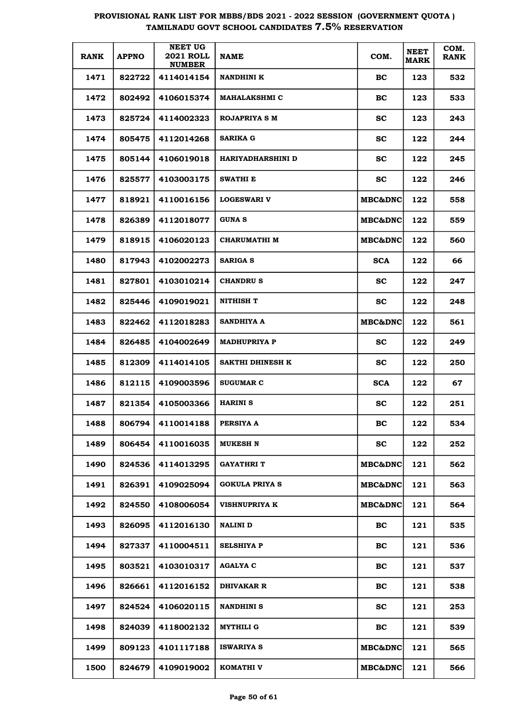| <b>RANK</b> | <b>APPNO</b> | <b>NEET UG</b><br><b>2021 ROLL</b><br><b>NUMBER</b> | <b>NAME</b>              | COM.               | <b>NEET</b><br><b>MARK</b> | COM.<br><b>RANK</b> |
|-------------|--------------|-----------------------------------------------------|--------------------------|--------------------|----------------------------|---------------------|
| 1471        | 822722       | 4114014154                                          | <b>NANDHINI K</b>        | BC.                | 123                        | 532                 |
| 1472        | 802492       | 4106015374                                          | <b>MAHALAKSHMI C</b>     | BC                 | 123                        | 533                 |
| 1473        | 825724       | 4114002323                                          | ROJAPRIYA S M            | sc                 | 123                        | 243                 |
| 1474        | 805475       | 4112014268                                          | <b>SARIKA G</b>          | <b>SC</b>          | 122                        | 244                 |
| 1475        | 805144       | 4106019018                                          | <b>HARIYADHARSHINI D</b> | <b>SC</b>          | 122                        | 245                 |
| 1476        | 825577       | 4103003175                                          | <b>SWATHI E</b>          | <b>SC</b>          | 122                        | 246                 |
| 1477        | 818921       | 4110016156                                          | <b>LOGESWARI V</b>       | <b>MBC&amp;DNC</b> | 122                        | 558                 |
| 1478        | 826389       | 4112018077                                          | <b>GUNAS</b>             | <b>MBC&amp;DNC</b> | 122                        | 559                 |
| 1479        | 818915       | 4106020123                                          | <b>CHARUMATHI M</b>      | <b>MBC&amp;DNC</b> | 122                        | 560                 |
| 1480        | 817943       | 4102002273                                          | <b>SARIGA S</b>          | <b>SCA</b>         | 122                        | 66                  |
| 1481        | 827801       | 4103010214                                          | <b>CHANDRUS</b>          | SC.                | 122                        | 247                 |
| 1482        | 825446       | 4109019021                                          | NITHISH T                | SС                 | 122                        | 248                 |
| 1483        | 822462       | 4112018283                                          | <b>SANDHIYA A</b>        | <b>MBC&amp;DNC</b> | 122                        | 561                 |
| 1484        | 826485       | 4104002649                                          | <b>MADHUPRIYA P</b>      | SС                 | 122                        | 249                 |
| 1485        | 812309       | 4114014105                                          | SAKTHI DHINESH K         | SС                 | 122                        | 250                 |
| 1486        | 812115       | 4109003596                                          | <b>SUGUMAR C</b>         | <b>SCA</b>         | 122                        | 67                  |
| 1487        | 821354       | 4105003366                                          | <b>HARINI S</b>          | SС                 | 122                        | 251                 |
| 1488        | 806794       | 4110014188                                          | PERSIYA A                | BC                 | 122                        | 534                 |
| 1489        | 806454       | 4110016035                                          | MUKESH N                 | <b>SC</b>          | 122                        | 252                 |
| 1490        | 824536       | 4114013295                                          | GAYATHRI T               | <b>MBC&amp;DNC</b> | 121                        | 562                 |
| 1491        | 826391       | 4109025094                                          | <b>GOKULA PRIYA S</b>    | <b>MBC&amp;DNC</b> | 121                        | 563                 |
| 1492        | 824550       | 4108006054                                          | <b>VISHNUPRIYA K</b>     | MBC&DNC            | 121                        | 564                 |
| 1493        | 826095       | 4112016130                                          | <b>NALINI D</b>          | <b>BC</b>          | 121                        | 535                 |
| 1494        | 827337       | 4110004511                                          | <b>SELSHIYA P</b>        | BC                 | 121                        | 536                 |
| 1495        | 803521       | 4103010317                                          | <b>AGALYA C</b>          | BC                 | 121                        | 537                 |
| 1496        | 826661       | 4112016152                                          | DHIVAKAR R               | BC                 | 121                        | 538                 |
| 1497        | 824524       | 4106020115                                          | <b>NANDHINI S</b>        | <b>SC</b>          | 121                        | 253                 |
| 1498        | 824039       | 4118002132                                          | MYTHILI G                | BC                 | 121                        | 539                 |
| 1499        | 809123       | 4101117188                                          | <b>ISWARIYA S</b>        | MBC&DNC            | 121                        | 565                 |
| 1500        | 824679       | 4109019002                                          | KOMATHI V                | MBC&DNC            | 121                        | 566                 |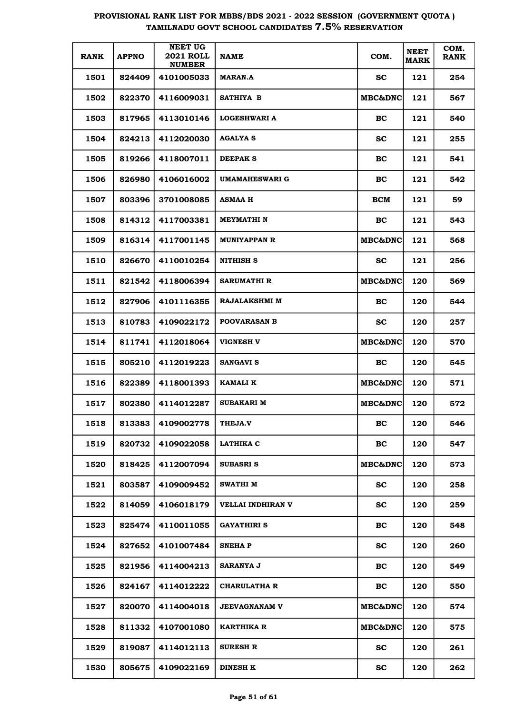| <b>RANK</b> | <b>APPNO</b> | <b>NEET UG</b><br><b>2021 ROLL</b><br><b>NUMBER</b> | NAME                  | COM.               | <b>NEET</b><br><b>MARK</b> | COM.<br><b>RANK</b> |
|-------------|--------------|-----------------------------------------------------|-----------------------|--------------------|----------------------------|---------------------|
| 1501        | 824409       | 4101005033                                          | <b>MARAN.A</b>        | <b>SC</b>          | 121                        | 254                 |
| 1502        | 822370       | 4116009031                                          | SATHIYA B             | <b>MBC&amp;DNC</b> | 121                        | 567                 |
| 1503        | 817965       | 4113010146                                          | <b>LOGESHWARI A</b>   | BC.                | 121                        | 540                 |
| 1504        | 824213       | 4112020030                                          | <b>AGALYA S</b>       | <b>SC</b>          | 121                        | 255                 |
| 1505        | 819266       | 4118007011                                          | DEEPAK S              | BC                 | 121                        | 541                 |
| 1506        | 826980       | 4106016002                                          | <b>UMAMAHESWARI G</b> | BC                 | 121                        | 542                 |
| 1507        | 803396       | 3701008085                                          | <b>ASMAA H</b>        | BCM                | 121                        | 59                  |
| 1508        | 814312       | 4117003381                                          | MEYMATHI N            | BC.                | 121                        | 543                 |
| 1509        | 816314       | 4117001145                                          | <b>MUNIYAPPAN R</b>   | <b>MBC&amp;DNC</b> | 121                        | 568                 |
| 1510        | 826670       | 4110010254                                          | <b>NITHISH S</b>      | SС                 | 121                        | 256                 |
| 1511        | 821542       | 4118006394                                          | <b>SARUMATHI R</b>    | <b>MBC&amp;DNC</b> | 120                        | 569                 |
| 1512        | 827906       | 4101116355                                          | <b>RAJALAKSHMI M</b>  | BC.                | 120                        | 544                 |
| 1513        | 810783       | 4109022172                                          | <b>POOVARASAN B</b>   | SС                 | 120                        | 257                 |
| 1514        | 811741       | 4112018064                                          | <b>VIGNESH V</b>      | <b>MBC&amp;DNC</b> | 120                        | 570                 |
| 1515        | 805210       | 4112019223                                          | <b>SANGAVI S</b>      | BC.                | 120                        | 545                 |
| 1516        | 822389       | 4118001393                                          | KAMALI K              | <b>MBC&amp;DNC</b> | 120                        | 571                 |
| 1517        | 802380       | 4114012287                                          | SUBAKARI M            | <b>MBC&amp;DNC</b> | 120                        | 572                 |
| 1518        | 813383       | 4109002778                                          | <b>THEJA.V</b>        | BC                 | 120                        | 546                 |
| 1519        | 820732       | 4109022058                                          | <b>LATHIKA C</b>      | BC                 | 120                        | 547                 |
| 1520        | 818425       | 4112007094                                          | SUBASRI S             | <b>MBC&amp;DNC</b> | 120                        | 573                 |
| 1521        | 803587       | 4109009452                                          | SWATHI M              | <b>SC</b>          | 120                        | 258                 |
| 1522        | 814059       | 4106018179                                          | VELLAI INDHIRAN V     | <b>SC</b>          | 120                        | 259                 |
| 1523        | 825474       | 4110011055                                          | GAYATHIRI S           | BC                 | 120                        | 548                 |
| 1524        | 827652       | 4101007484                                          | <b>SNEHAP</b>         | <b>SC</b>          | 120                        | 260                 |
| 1525        | 821956       | 4114004213                                          | <b>SARANYA J</b>      | BC                 | 120                        | 549                 |
| 1526        | 824167       | 4114012222                                          | CHARULATHA R          | BC                 | 120                        | 550                 |
| 1527        | 820070       | 4114004018                                          | <b>JEEVAGNANAM V</b>  | MBC&DNC            | 120                        | 574                 |
| 1528        | 811332       | 4107001080                                          | KARTHIKA R            | MBC&DNC            | 120                        | 575                 |
| 1529        | 819087       | 4114012113                                          | <b>SURESH R</b>       | <b>SC</b>          | 120                        | 261                 |
| 1530        | 805675       | 4109022169                                          | <b>DINESH K</b>       | SC                 | 120                        | 262                 |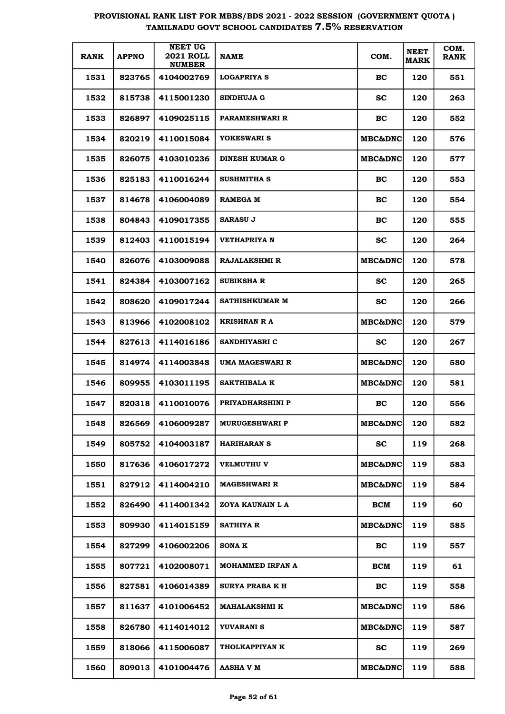| <b>RANK</b> | <b>APPNO</b> | <b>NEET UG</b><br><b>2021 ROLL</b><br><b>NUMBER</b> | <b>NAME</b>            | COM.               | <b>NEET</b><br><b>MARK</b> | COM.<br><b>RANK</b> |
|-------------|--------------|-----------------------------------------------------|------------------------|--------------------|----------------------------|---------------------|
| 1531        | 823765       | 4104002769                                          | <b>LOGAPRIYA S</b>     | BC                 | 120                        | 551                 |
| 1532        | 815738       | 4115001230                                          | <b>SINDHUJA G</b>      | <b>SC</b>          | 120                        | 263                 |
| 1533        | 826897       | 4109025115                                          | PARAMESHWARI R         | BC                 | 120                        | 552                 |
| 1534        | 820219       | 4110015084                                          | YOKESWARI S            | <b>MBC&amp;DNC</b> | 120                        | 576                 |
| 1535        | 826075       | 4103010236                                          | DINESH KUMAR G         | <b>MBC&amp;DNC</b> | 120                        | 577                 |
| 1536        | 825183       | 4110016244                                          | SUSHMITHA S            | BC                 | 120                        | 553                 |
| 1537        | 814678       | 4106004089                                          | <b>RAMEGA M</b>        | BC                 | 120                        | 554                 |
| 1538        | 804843       | 4109017355                                          | <b>SARASU J</b>        | BC                 | 120                        | 555                 |
| 1539        | 812403       | 4110015194                                          | <b>VETHAPRIYA N</b>    | <b>SC</b>          | 120                        | 264                 |
| 1540        | 826076       | 4103009088                                          | <b>RAJALAKSHMI R</b>   | <b>MBC&amp;DNC</b> | 120                        | 578                 |
| 1541        | 824384       | 4103007162                                          | <b>SUBIKSHA R</b>      | <b>SC</b>          | 120                        | 265                 |
| 1542        | 808620       | 4109017244                                          | <b>SATHISHKUMAR M</b>  | sc                 | 120                        | 266                 |
| 1543        | 813966       | 4102008102                                          | <b>KRISHNAN R A</b>    | <b>MBC&amp;DNC</b> | 120                        | 579                 |
| 1544        | 827613       | 4114016186                                          | SANDHIYASRI C          | <b>SC</b>          | 120                        | 267                 |
| 1545        | 814974       | 4114003848                                          | UMA MAGESWARI R        | <b>MBC&amp;DNC</b> | 120                        | 580                 |
| 1546        | 809955       | 4103011195                                          | <b>SAKTHIBALA K</b>    | <b>MBC&amp;DNC</b> | 120                        | 581                 |
| 1547        | 820318       | 4110010076                                          | PRIYADHARSHINI P       | BC                 | 120                        | 556                 |
| 1548        | 826569       | 4106009287                                          | <b>MURUGESHWARI P</b>  | <b>MBC&amp;DNC</b> | 120                        | 582                 |
| 1549        | 805752       | 4104003187                                          | <b>HARIHARAN S</b>     | <b>SC</b>          | 119                        | 268                 |
| 1550        | 817636       | 4106017272                                          | <b>VELMUTHU V</b>      | <b>MBC&amp;DNC</b> | 119                        | 583                 |
| 1551        | 827912       | 4114004210                                          | <b>MAGESHWARI R</b>    | <b>MBC&amp;DNC</b> | 119                        | 584                 |
| 1552        | 826490       | 4114001342                                          | ZOYA KAUNAIN L A       | BCM                | 119                        | 60                  |
| 1553        | 809930       | 4114015159                                          | SATHIYA R              | <b>MBC&amp;DNC</b> | 119                        | 585                 |
| 1554        | 827299       | 4106002206                                          | <b>SONAK</b>           | BC                 | 119                        | 557                 |
| 1555        | 807721       | 4102008071                                          | MOHAMMED IRFAN A       | BCM                | 119                        | 61                  |
| 1556        | 827581       | 4106014389                                          | <b>SURYA PRABA K H</b> | <b>BC</b>          | 119                        | 558                 |
| 1557        | 811637       | 4101006452                                          | MAHALAKSHMI K          | <b>MBC&amp;DNC</b> | 119                        | 586                 |
| 1558        | 826780       | 4114014012                                          | YUVARANI S             | <b>MBC&amp;DNC</b> | 119                        | 587                 |
| 1559        | 818066       | 4115006087                                          | THOLKAPPIYAN K         | <b>SC</b>          | 119                        | 269                 |
| 1560        | 809013       | 4101004476                                          | <b>AASHA V M</b>       | <b>MBC&amp;DNC</b> | 119                        | 588                 |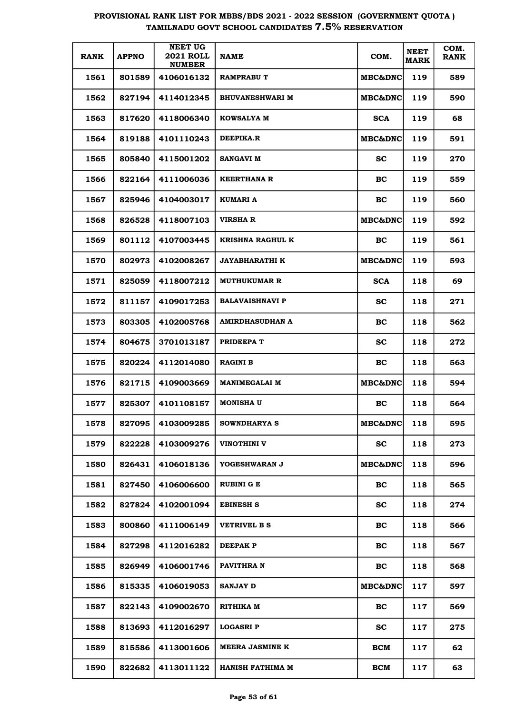| <b>RANK</b> | <b>APPNO</b> | <b>NEET UG</b><br><b>2021 ROLL</b><br><b>NUMBER</b> | <b>NAME</b>             | COM.                | <b>NEET</b><br><b>MARK</b> | COM.<br><b>RANK</b> |
|-------------|--------------|-----------------------------------------------------|-------------------------|---------------------|----------------------------|---------------------|
| 1561        | 801589       | 4106016132                                          | <b>RAMPRABU T</b>       | <b>MBC&amp;DNC</b>  | 119                        | 589                 |
| 1562        | 827194       | 4114012345                                          | <b>BHUVANESHWARI M</b>  | <b>MBC&amp;DNC </b> | 119                        | 590                 |
| 1563        | 817620       | 4118006340                                          | <b>KOWSALYA M</b>       | <b>SCA</b>          | 119                        | 68                  |
| 1564        | 819188       | 4101110243                                          | <b>DEEPIKA.R</b>        | <b>MBC&amp;DNC</b>  | 119                        | 591                 |
| 1565        | 805840       | 4115001202                                          | <b>SANGAVI M</b>        | <b>SC</b>           | 119                        | 270                 |
| 1566        | 822164       | 4111006036                                          | <b>KEERTHANA R</b>      | BC                  | 119                        | 559                 |
| 1567        | 825946       | 4104003017                                          | KUMARI A                | BC                  | 119                        | 560                 |
| 1568        | 826528       | 4118007103                                          | <b>VIRSHA R</b>         | <b>MBC&amp;DNC</b>  | 119                        | 592                 |
| 1569        | 801112       | 4107003445                                          | <b>KRISHNA RAGHUL K</b> | BC                  | 119                        | 561                 |
| 1570        | 802973       | 4102008267                                          | <b>JAYABHARATHI K</b>   | <b>MBC&amp;DNC</b>  | 119                        | 593                 |
| 1571        | 825059       | 4118007212                                          | <b>MUTHUKUMAR R</b>     | <b>SCA</b>          | 118                        | 69                  |
| 1572        | 811157       | 4109017253                                          | <b>BALAVAISHNAVI P</b>  | sc                  | 118                        | 271                 |
| 1573        | 803305       | 4102005768                                          | <b>AMIRDHASUDHAN A</b>  | BC                  | 118                        | 562                 |
| 1574        | 804675       | 3701013187                                          | PRIDEEPA T              | <b>SC</b>           | 118                        | 272                 |
| 1575        | 820224       | 4112014080                                          | <b>RAGINI B</b>         | BC                  | 118                        | 563                 |
| 1576        | 821715       | 4109003669                                          | <b>MANIMEGALAI M</b>    | <b>MBC&amp;DNC</b>  | 118                        | 594                 |
| 1577        | 825307       | 4101108157                                          | <b>MONISHA U</b>        | BC                  | 118                        | 564                 |
| 1578        | 827095       | 4103009285                                          | SOWNDHARYA S            | MBC&DNC             | 118                        | 595                 |
| 1579        | 822228       | 4103009276                                          | VINOTHINI V             | <b>SC</b>           | 118                        | 273                 |
| 1580        | 826431       | 4106018136                                          | YOGESHWARAN J           | <b>MBC&amp;DNC</b>  | 118                        | 596                 |
| 1581        | 827450       | 4106006600                                          | RUBINI G E              | BC                  | 118                        | 565                 |
| 1582        | 827824       | 4102001094                                          | EBINESH S               | sc                  | 118                        | 274                 |
| 1583        | 800860       | 4111006149                                          | <b>VETRIVEL B S</b>     | BC                  | 118                        | 566                 |
| 1584        | 827298       | 4112016282                                          | DEEPAK P                | BC                  | 118                        | 567                 |
| 1585        | 826949       | 4106001746                                          | PAVITHRA N              | BC                  | 118                        | 568                 |
| 1586        | 815335       | 4106019053                                          | <b>SANJAY D</b>         | <b>MBC&amp;DNC</b>  | 117                        | 597                 |
| 1587        | 822143       | 4109002670                                          | RITHIKA M               | BC                  | 117                        | 569                 |
| 1588        | 813693       | 4112016297                                          | <b>LOGASRIP</b>         | <b>SC</b>           | 117                        | 275                 |
| 1589        | 815586       | 4113001606                                          | MEERA JASMINE K         | <b>BCM</b>          | 117                        | 62                  |
| 1590        | 822682       | 4113011122                                          | <b>HANISH FATHIMA M</b> | <b>BCM</b>          | 117                        | 63                  |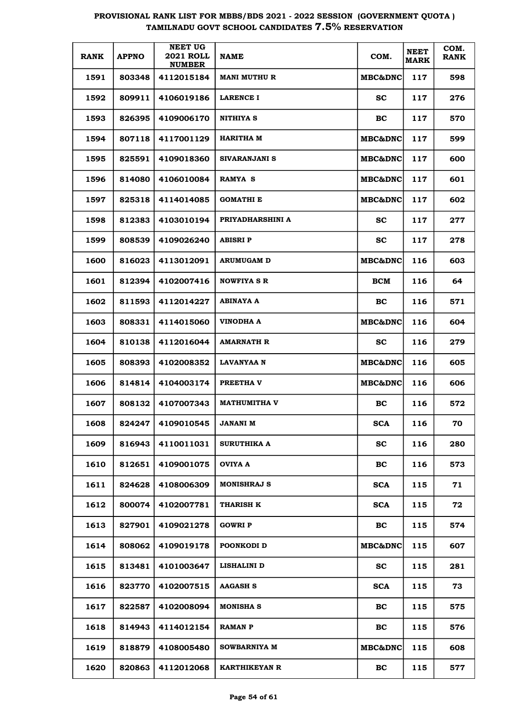| <b>RANK</b> | <b>APPNO</b> | <b>NEET UG</b><br><b>2021 ROLL</b><br><b>NUMBER</b> | <b>NAME</b>          | COM.               | <b>NEET</b><br><b>MARK</b> | COM.<br><b>RANK</b> |
|-------------|--------------|-----------------------------------------------------|----------------------|--------------------|----------------------------|---------------------|
| 1591        | 803348       | 4112015184                                          | <b>MANI MUTHU R</b>  | <b>MBC&amp;DNC</b> | 117                        | 598                 |
| 1592        | 809911       | 4106019186                                          | <b>LARENCE I</b>     | <b>SC</b>          | 117                        | 276                 |
| 1593        | 826395       | 4109006170                                          | NITHIYA S            | <b>BC</b>          | 117                        | 570                 |
| 1594        | 807118       | 4117001129                                          | HARITHA M            | <b>MBC&amp;DNC</b> | 117                        | 599                 |
| 1595        | 825591       | 4109018360                                          | SIVARANJANI S        | <b>MBC&amp;DNC</b> | 117                        | 600                 |
| 1596        | 814080       | 4106010084                                          | RAMYA S              | <b>MBC&amp;DNC</b> | 117                        | 601                 |
| 1597        | 825318       | 4114014085                                          | <b>GOMATHI E</b>     | <b>MBC&amp;DNC</b> | 117                        | 602                 |
| 1598        | 812383       | 4103010194                                          | PRIYADHARSHINI A     | <b>SC</b>          | 117                        | 277                 |
| 1599        | 808539       | 4109026240                                          | ABISRI P             | <b>SC</b>          | 117                        | 278                 |
| 1600        | 816023       | 4113012091                                          | <b>ARUMUGAM D</b>    | <b>MBC&amp;DNC</b> | 116                        | 603                 |
| 1601        | 812394       | 4102007416                                          | <b>NOWFIYA S R</b>   | BCM                | 116                        | 64                  |
| 1602        | 811593       | 4112014227                                          | ABINAYA A            | <b>BC</b>          | 116                        | 571                 |
| 1603        | 808331       | 4114015060                                          | VINODHA A            | <b>MBC&amp;DNC</b> | 116                        | 604                 |
| 1604        | 810138       | 4112016044                                          | AMARNATH R           | <b>SC</b>          | 116                        | 279                 |
| 1605        | 808393       | 4102008352                                          | LAVANYAA N           | <b>MBC&amp;DNC</b> | 116                        | 605                 |
| 1606        | 814814       | 4104003174                                          | PREETHA V            | <b>MBC&amp;DNC</b> | 116                        | 606                 |
| 1607        | 808132       | 4107007343                                          | <b>MATHUMITHA V</b>  | <b>BC</b>          | 116                        | 572                 |
| 1608        | 824247       | 4109010545                                          | JANANI M             | <b>SCA</b>         | 116                        | 70                  |
| 1609        | 816943       | 4110011031                                          | <b>SURUTHIKA A</b>   | <b>SC</b>          | 116                        | 280                 |
| 1610        | 812651       | 4109001075                                          | OVIYA A              | <b>BC</b>          | 116                        | 573                 |
| 1611        | 824628       | 4108006309                                          | <b>MONISHRAJ S</b>   | <b>SCA</b>         | 115                        | 71                  |
| 1612        | 800074       | 4102007781                                          | <b>THARISH K</b>     | <b>SCA</b>         | 115                        | 72                  |
| 1613        | 827901       | 4109021278                                          | <b>GOWRI P</b>       | <b>BC</b>          | 115                        | 574                 |
| 1614        | 808062       | 4109019178                                          | POONKODI D           | <b>MBC&amp;DNC</b> | 115                        | 607                 |
| 1615        | 813481       | 4101003647                                          | LISHALINI D          | <b>SC</b>          | 115                        | 281                 |
| 1616        | 823770       | 4102007515                                          | <b>AAGASH S</b>      | <b>SCA</b>         | 115                        | 73                  |
| 1617        | 822587       | 4102008094                                          | <b>MONISHA S</b>     | BC                 | 115                        | 575                 |
| 1618        | 814943       | 4114012154                                          | <b>RAMAN P</b>       | BC                 | 115                        | 576                 |
| 1619        | 818879       | 4108005480                                          | <b>SOWBARNIYA M</b>  | <b>MBC&amp;DNC</b> | 115                        | 608                 |
| 1620        | 820863       | 4112012068                                          | <b>KARTHIKEYAN R</b> | <b>BC</b>          | 115                        | 577                 |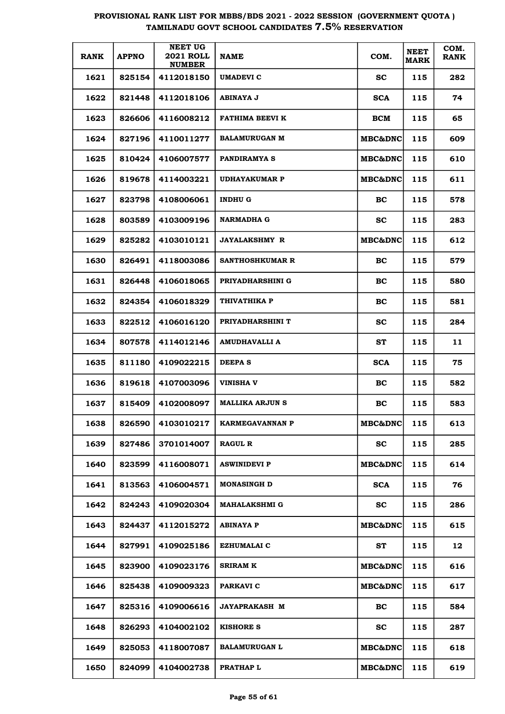| <b>RANK</b> | <b>APPNO</b> | <b>NEET UG</b><br><b>2021 ROLL</b><br><b>NUMBER</b> | <b>NAME</b>            | COM.               | <b>NEET</b><br><b>MARK</b> | COM.<br><b>RANK</b> |
|-------------|--------------|-----------------------------------------------------|------------------------|--------------------|----------------------------|---------------------|
| 1621        | 825154       | 4112018150                                          | UMADEVI C              | SC.                | 115                        | 282                 |
| 1622        | 821448       | 4112018106                                          | ABINAYA J              | <b>SCA</b>         | 115                        | 74                  |
| 1623        | 826606       | 4116008212                                          | FATHIMA BEEVI K        | BCM                | 115                        | 65                  |
| 1624        | 827196       | 4110011277                                          | <b>BALAMURUGAN M</b>   | <b>MBC&amp;DNC</b> | 115                        | 609                 |
| 1625        | 810424       | 4106007577                                          | <b>PANDIRAMYA S</b>    | <b>MBC&amp;DNC</b> | 115                        | 610                 |
| 1626        | 819678       | 4114003221                                          | <b>UDHAYAKUMAR P</b>   | <b>MBC&amp;DNC</b> | 115                        | 611                 |
| 1627        | 823798       | 4108006061                                          | <b>INDHU G</b>         | BC.                | 115                        | 578                 |
| 1628        | 803589       | 4103009196                                          | <b>NARMADHA G</b>      | sc                 | 115                        | 283                 |
| 1629        | 825282       | 4103010121                                          | <b>JAYALAKSHMY R</b>   | <b>MBC&amp;DNC</b> | 115                        | 612                 |
| 1630        | 826491       | 4118003086                                          | <b>SANTHOSHKUMAR R</b> | BC.                | 115                        | 579                 |
| 1631        | 826448       | 4106018065                                          | PRIYADHARSHINI G       | BC                 | 115                        | 580                 |
| 1632        | 824354       | 4106018329                                          | THIVATHIKA P           | BC.                | 115                        | 581                 |
| 1633        | 822512       | 4106016120                                          | PRIYADHARSHINI T       | <b>SC</b>          | 115                        | 284                 |
| 1634        | 807578       | 4114012146                                          | AMUDHAVALLI A          | <b>ST</b>          | 115                        | 11                  |
| 1635        | 811180       | 4109022215                                          | DEEPA S                | <b>SCA</b>         | 115                        | 75                  |
| 1636        | 819618       | 4107003096                                          | VINISHA V              | BC.                | 115                        | 582                 |
| 1637        | 815409       | 4102008097                                          | <b>MALLIKA ARJUN S</b> | BC                 | 115                        | 583                 |
| 1638        | 826590       | 4103010217                                          | KARMEGAVANNAN P        | <b>MBC&amp;DNC</b> | 115                        | 613                 |
| 1639        | 827486       | 3701014007                                          | <b>RAGUL R</b>         | <b>SC</b>          | 115                        | 285                 |
| 1640        | 823599       | 4116008071                                          | <b>ASWINIDEVI P</b>    | <b>MBC&amp;DNC</b> | 115                        | 614                 |
| 1641        | 813563       | 4106004571                                          | <b>MONASINGH D</b>     | <b>SCA</b>         | 115                        | 76                  |
| 1642        | 824243       | 4109020304                                          | MAHALAKSHMI G          | <b>SC</b>          | 115                        | 286                 |
| 1643        | 824437       | 4112015272                                          | <b>ABINAYA P</b>       | MBC&DNC            | 115                        | 615                 |
| 1644        | 827991       | 4109025186                                          | <b>EZHUMALAI C</b>     | ST                 | 115                        | 12                  |
| 1645        | 823900       | 4109023176                                          | SRIRAM K               | MBC&DNC            | 115                        | 616                 |
| 1646        | 825438       | 4109009323                                          | PARKAVI C              | MBC&DNC            | 115                        | 617                 |
| 1647        | 825316       | 4109006616                                          | <b>JAYAPRAKASH M</b>   | BC                 | 115                        | 584                 |
| 1648        | 826293       | 4104002102                                          | <b>KISHORE S</b>       | <b>SC</b>          | 115                        | 287                 |
| 1649        | 825053       | 4118007087                                          | <b>BALAMURUGAN L</b>   | MBC&DNC            | 115                        | 618                 |
| 1650        | 824099       | 4104002738                                          | PRATHAP L              | MBC&DNC            | 115                        | 619                 |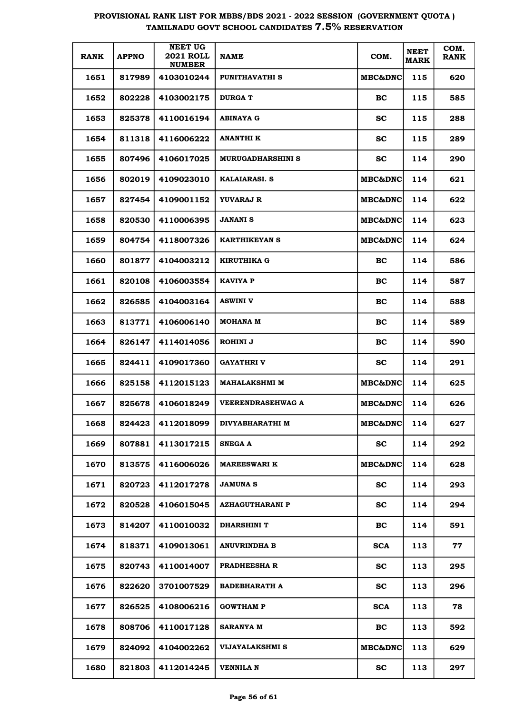| <b>RANK</b> | <b>APPNO</b> | <b>NEET UG</b><br><b>2021 ROLL</b><br><b>NUMBER</b> | <b>NAME</b>              | COM.               | <b>NEET</b><br><b>MARK</b> | COM.<br><b>RANK</b> |
|-------------|--------------|-----------------------------------------------------|--------------------------|--------------------|----------------------------|---------------------|
| 1651        | 817989       | 4103010244                                          | PUNITHAVATHI S           | <b>MBC&amp;DNC</b> | 115                        | 620                 |
| 1652        | 802228       | 4103002175                                          | <b>DURGA T</b>           | BC                 | 115                        | 585                 |
| 1653        | 825378       | 4110016194                                          | ABINAYA G                | sc                 | 115                        | 288                 |
| 1654        | 811318       | 4116006222                                          | ANANTHI K                | sc                 | 115                        | 289                 |
| 1655        | 807496       | 4106017025                                          | <b>MURUGADHARSHINI S</b> | <b>SC</b>          | 114                        | 290                 |
| 1656        | 802019       | 4109023010                                          | <b>KALAIARASI. S</b>     | <b>MBC&amp;DNC</b> | 114                        | 621                 |
| 1657        | 827454       | 4109001152                                          | YUVARAJ R                | <b>MBC&amp;DNC</b> | 114                        | 622                 |
| 1658        | 820530       | 4110006395                                          | <b>JANANI S</b>          | <b>MBC&amp;DNC</b> | 114                        | 623                 |
| 1659        | 804754       | 4118007326                                          | <b>KARTHIKEYAN S</b>     | <b>MBC&amp;DNC</b> | 114                        | 624                 |
| 1660        | 801877       | 4104003212                                          | <b>KIRUTHIKA G</b>       | BC                 | 114                        | 586                 |
| 1661        | 820108       | 4106003554                                          | <b>KAVIYA P</b>          | BC                 | 114                        | 587                 |
| 1662        | 826585       | 4104003164                                          | <b>ASWINI V</b>          | BC                 | 114                        | 588                 |
| 1663        | 813771       | 4106006140                                          | <b>MOHANA M</b>          | BC                 | 114                        | 589                 |
| 1664        | 826147       | 4114014056                                          | ROHINI J                 | BC                 | 114                        | 590                 |
| 1665        | 824411       | 4109017360                                          | GAYATHRI V               | <b>SC</b>          | 114                        | 291                 |
| 1666        | 825158       | 4112015123                                          | <b>MAHALAKSHMI M</b>     | <b>MBC&amp;DNC</b> | 114                        | 625                 |
| 1667        | 825678       | 4106018249                                          | <b>VEERENDRASEHWAG A</b> | MBC&DNC            | 114                        | 626                 |
| 1668        | 824423       | 4112018099                                          | DIVYABHARATHI M          | MBC&DNC            | 114                        | 627                 |
| 1669        | 807881       | 4113017215                                          | <b>SNEGA A</b>           | <b>SC</b>          | 114                        | 292                 |
| 1670        | 813575       | 4116006026                                          | <b>MAREESWARI K</b>      | <b>MBC&amp;DNC</b> | 114                        | 628                 |
| 1671        | 820723       | 4112017278                                          | <b>JAMUNA S</b>          | <b>SC</b>          | 114                        | 293                 |
| 1672        | 820528       | 4106015045                                          | <b>AZHAGUTHARANI P</b>   | sc                 | 114                        | 294                 |
| 1673        | 814207       | 4110010032                                          | <b>DHARSHINI T</b>       | BC                 | 114                        | 591                 |
| 1674        | 818371       | 4109013061                                          | <b>ANUVRINDHA B</b>      | <b>SCA</b>         | 113                        | 77                  |
| 1675        | 820743       | 4110014007                                          | <b>PRADHEESHA R</b>      | <b>SC</b>          | 113                        | 295                 |
| 1676        | 822620       | 3701007529                                          | <b>BADEBHARATH A</b>     | <b>SC</b>          | 113                        | 296                 |
| 1677        | 826525       | 4108006216                                          | <b>GOWTHAM P</b>         | <b>SCA</b>         | 113                        | 78                  |
| 1678        | 808706       | 4110017128                                          | <b>SARANYA M</b>         | BC                 | 113                        | 592                 |
| 1679        | 824092       | 4104002262                                          | VIJAYALAKSHMI S          | MBC&DNC            | 113                        | 629                 |
| 1680        | 821803       | 4112014245                                          | <b>VENNILA N</b>         | <b>SC</b>          | 113                        | 297                 |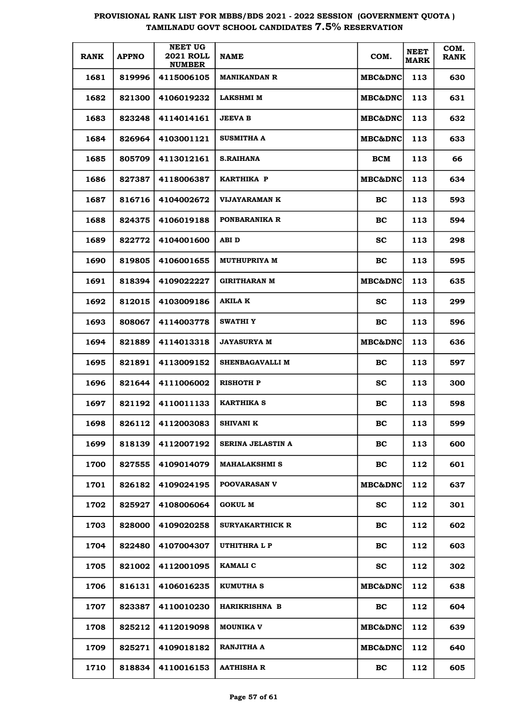| <b>RANK</b> | <b>APPNO</b> | <b>NEET UG</b><br><b>2021 ROLL</b><br><b>NUMBER</b> | <b>NAME</b>              | COM.               | <b>NEET</b><br><b>MARK</b> | COM.<br><b>RANK</b> |
|-------------|--------------|-----------------------------------------------------|--------------------------|--------------------|----------------------------|---------------------|
| 1681        | 819996       | 4115006105                                          | <b>MANIKANDAN R</b>      | MBC&DNC            | 113                        | 630                 |
| 1682        | 821300       | 4106019232                                          | <b>LAKSHMI M</b>         | MBC&DNC            | 113                        | 631                 |
| 1683        | 823248       | 4114014161                                          | <b>JEEVA B</b>           | MBC&DNC            | 113                        | 632                 |
| 1684        | 826964       | 4103001121                                          | <b>SUSMITHA A</b>        | MBC&DNC            | 113                        | 633                 |
| 1685        | 805709       | 4113012161                                          | <b>S.RAIHANA</b>         | <b>BCM</b>         | 113                        | 66                  |
| 1686        | 827387       | 4118006387                                          | KARTHIKA P               | <b>MBC&amp;DNC</b> | 113                        | 634                 |
| 1687        | 816716       | 4104002672                                          | VIJAYARAMAN K            | BC                 | 113                        | 593                 |
| 1688        | 824375       | 4106019188                                          | PONBARANIKA R            | BC                 | 113                        | 594                 |
| 1689        | 822772       | 4104001600                                          | ABI D                    | <b>SC</b>          | 113                        | 298                 |
| 1690        | 819805       | 4106001655                                          | MUTHUPRIYA M             | BC                 | 113                        | 595                 |
| 1691        | 818394       | 4109022227                                          | GIRITHARAN M             | <b>MBC&amp;DNC</b> | 113                        | 635                 |
| 1692        | 812015       | 4103009186                                          | AKILA K                  | <b>SC</b>          | 113                        | 299                 |
| 1693        | 808067       | 4114003778                                          | <b>SWATHIY</b>           | BC                 | 113                        | 596                 |
| 1694        | 821889       | 4114013318                                          | <b>JAYASURYA M</b>       | MBC&DNC            | 113                        | 636                 |
| 1695        | 821891       | 4113009152                                          | SHENBAGAVALLI M          | BC                 | 113                        | 597                 |
| 1696        | 821644       | 4111006002                                          | <b>RISHOTH P</b>         | <b>SC</b>          | 113                        | 300                 |
| 1697        | 821192       | 4110011133                                          | KARTHIKA S               | BC                 | 113                        | 598                 |
| 1698        | 826112       | 4112003083                                          | <b>SHIVANI K</b>         | BC                 | 113                        | 599                 |
| 1699        | 818139       | 4112007192                                          | <b>SERINA JELASTIN A</b> | BC                 | 113                        | 600                 |
| 1700        | 827555       | 4109014079                                          | <b>MAHALAKSHMI S</b>     | BC                 | 112                        | 601                 |
| 1701        | 826182       | 4109024195                                          | <b>POOVARASAN V</b>      | <b>MBC&amp;DNC</b> | 112                        | 637                 |
| 1702        | 825927       | 4108006064                                          | <b>GOKUL M</b>           | <b>SC</b>          | 112                        | 301                 |
| 1703        | 828000       | 4109020258                                          | <b>SURYAKARTHICK R</b>   | BC                 | 112                        | 602                 |
| 1704        | 822480       | 4107004307                                          | UTHITHRA L P             | BC                 | 112                        | 603                 |
| 1705        | 821002       | 4112001095                                          | <b>KAMALI C</b>          | <b>SC</b>          | 112                        | 302                 |
| 1706        | 816131       | 4106016235                                          | <b>KUMUTHA S</b>         | MBC&DNC            | 112                        | 638                 |
| 1707        | 823387       | 4110010230                                          | <b>HARIKRISHNA B</b>     | BC                 | 112                        | 604                 |
| 1708        | 825212       | 4112019098                                          | <b>MOUNIKA V</b>         | <b>MBC&amp;DNC</b> | 112                        | 639                 |
| 1709        | 825271       | 4109018182                                          | <b>RANJITHA A</b>        | <b>MBC&amp;DNC</b> | 112                        | 640                 |
| 1710        | 818834       | 4110016153                                          | <b>AATHISHA R</b>        | <b>BC</b>          | 112                        | 605                 |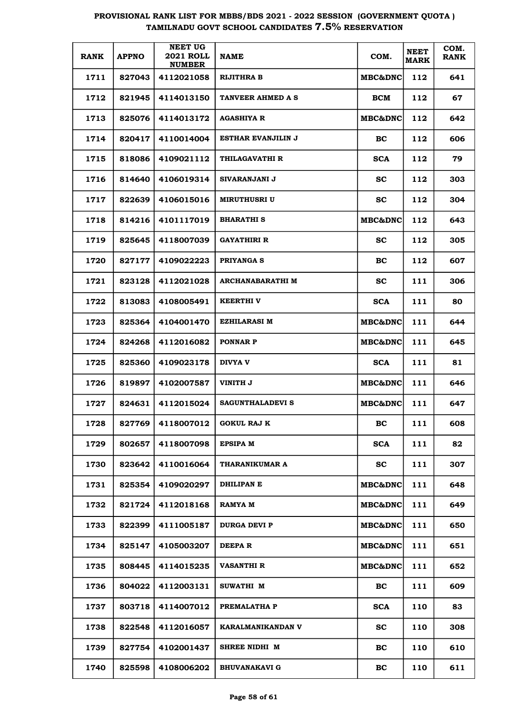| <b>RANK</b> | <b>APPNO</b> | <b>NEET UG</b><br><b>2021 ROLL</b><br><b>NUMBER</b> | <b>NAME</b>             | COM.               | <b>NEET</b><br><b>MARK</b> | COM.<br><b>RANK</b> |
|-------------|--------------|-----------------------------------------------------|-------------------------|--------------------|----------------------------|---------------------|
| 1711        | 827043       | 4112021058                                          | <b>RIJITHRA B</b>       | <b>MBC&amp;DNC</b> | 112                        | 641                 |
| 1712        | 821945       | 4114013150                                          | TANVEER AHMED A S       | BCM                | 112                        | 67                  |
| 1713        | 825076       | 4114013172                                          | <b>AGASHIYA R</b>       | <b>MBC&amp;DNC</b> | 112                        | 642                 |
| 1714        | 820417       | 4110014004                                          | ESTHAR EVANJILIN J      | <b>BC</b>          | 112                        | 606                 |
| 1715        | 818086       | 4109021112                                          | THILAGAVATHI R          | <b>SCA</b>         | 112                        | 79                  |
| 1716        | 814640       | 4106019314                                          | SIVARANJANI J           | <b>SC</b>          | 112                        | 303                 |
| 1717        | 822639       | 4106015016                                          | MIRUTHUSRI U            | <b>SC</b>          | 112                        | 304                 |
| 1718        | 814216       | 4101117019                                          | <b>BHARATHI S</b>       | <b>MBC&amp;DNC</b> | 112                        | 643                 |
| 1719        | 825645       | 4118007039                                          | <b>GAYATHIRI R</b>      | <b>SC</b>          | 112                        | 305                 |
| 1720        | 827177       | 4109022223                                          | PRIYANGA S              | <b>BC</b>          | 112                        | 607                 |
| 1721        | 823128       | 4112021028                                          | ARCHANABARATHI M        | <b>SC</b>          | 111                        | 306                 |
| 1722        | 813083       | 4108005491                                          | <b>KEERTHI V</b>        | <b>SCA</b>         | 111                        | 80                  |
| 1723        | 825364       | 4104001470                                          | <b>EZHILARASI M</b>     | <b>MBC&amp;DNC</b> | 111                        | 644                 |
| 1724        | 824268       | 4112016082                                          | <b>PONNAR P</b>         | <b>MBC&amp;DNC</b> | 111                        | 645                 |
| 1725        | 825360       | 4109023178                                          | <b>DIVYA V</b>          | <b>SCA</b>         | 111                        | 81                  |
| 1726        | 819897       | 4102007587                                          | VINITH J                | <b>MBC&amp;DNC</b> | 111                        | 646                 |
| 1727        | 824631       | 4112015024                                          | <b>SAGUNTHALADEVI S</b> | MBC&DNC            | 111                        | 647                 |
| 1728        | 827769       | 4118007012                                          | <b>GOKUL RAJ K</b>      | <b>BC</b>          | 111                        | 608                 |
| 1729        | 802657       | 4118007098                                          | <b>EPSIPA M</b>         | <b>SCA</b>         | 111                        | 82                  |
| 1730        | 823642       | 4110016064                                          | THARANIKUMAR A          | <b>SC</b>          | 111                        | 307                 |
| 1731        | 825354       | 4109020297                                          | <b>DHILIPAN E</b>       | MBC&DNC            | 111                        | 648                 |
| 1732        | 821724       | 4112018168                                          | <b>RAMYA M</b>          | MBC&DNC            | 111                        | 649                 |
| 1733        | 822399       | 4111005187                                          | <b>DURGA DEVI P</b>     | MBC&DNC            | 111                        | 650                 |
| 1734        | 825147       | 4105003207                                          | DEEPA R                 | MBC&DNC            | 111                        | 651                 |
| 1735        | 808445       | 4114015235                                          | <b>VASANTHI R</b>       | MBC&DNC            | 111                        | 652                 |
| 1736        | 804022       | 4112003131                                          | <b>SUWATHI M</b>        | BC                 | 111                        | 609                 |
| 1737        | 803718       | 4114007012                                          | PREMALATHA P            | <b>SCA</b>         | 110                        | 83                  |
| 1738        | 822548       | 4112016057                                          | KARALMANIKANDAN V       | <b>SC</b>          | 110                        | 308                 |
| 1739        | 827754       | 4102001437                                          | SHREE NIDHI M           | <b>BC</b>          | 110                        | 610                 |
| 1740        | 825598       | 4108006202                                          | <b>BHUVANAKAVI G</b>    | BC                 | 110                        | 611                 |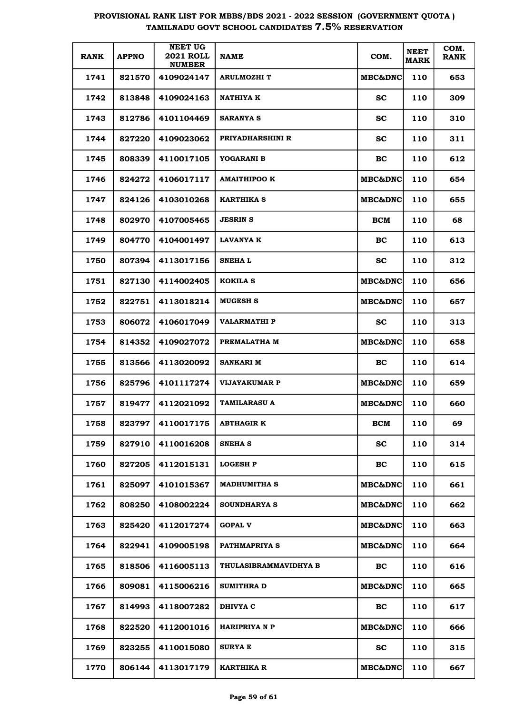| <b>RANK</b> | <b>APPNO</b> | <b>NEET UG</b><br><b>2021 ROLL</b><br><b>NUMBER</b> | <b>NAME</b>           | COM.               | <b>NEET</b><br><b>MARK</b> | COM.<br><b>RANK</b> |
|-------------|--------------|-----------------------------------------------------|-----------------------|--------------------|----------------------------|---------------------|
| 1741        | 821570       | 4109024147                                          | <b>ARULMOZHI T</b>    | <b>MBC&amp;DNC</b> | 110                        | 653                 |
| 1742        | 813848       | 4109024163                                          | NATHIYA K             | <b>SC</b>          | 110                        | 309                 |
| 1743        | 812786       | 4101104469                                          | <b>SARANYA S</b>      | sc                 | 110                        | 310                 |
| 1744        | 827220       | 4109023062                                          | PRIYADHARSHINI R      | <b>SC</b>          | 110                        | 311                 |
| 1745        | 808339       | 4110017105                                          | YOGARANI B            | BC                 | 110                        | 612                 |
| 1746        | 824272       | 4106017117                                          | <b>AMAITHIPOO K</b>   | <b>MBC&amp;DNC</b> | 110                        | 654                 |
| 1747        | 824126       | 4103010268                                          | <b>KARTHIKA S</b>     | <b>MBC&amp;DNC</b> | 110                        | 655                 |
| 1748        | 802970       | 4107005465                                          | <b>JESRIN S</b>       | <b>BCM</b>         | 110                        | 68                  |
| 1749        | 804770       | 4104001497                                          | LAVANYA K             | <b>BC</b>          | 110                        | 613                 |
| 1750        | 807394       | 4113017156                                          | SNEHA L               | <b>SC</b>          | 110                        | 312                 |
| 1751        | 827130       | 4114002405                                          | <b>KOKILA S</b>       | <b>MBC&amp;DNC</b> | 110                        | 656                 |
| 1752        | 822751       | 4113018214                                          | <b>MUGESH S</b>       | <b>MBC&amp;DNC</b> | 110                        | 657                 |
| 1753        | 806072       | 4106017049                                          | VALARMATHI P          | SС                 | 110                        | 313                 |
| 1754        | 814352       | 4109027072                                          | PREMALATHA M          | <b>MBC&amp;DNC</b> | 110                        | 658                 |
| 1755        | 813566       | 4113020092                                          | SANKARI M             | BC.                | 110                        | 614                 |
| 1756        | 825796       | 4101117274                                          | <b>VIJAYAKUMAR P</b>  | <b>MBC&amp;DNC</b> | 110                        | 659                 |
| 1757        | 819477       | 4112021092                                          | <b>TAMILARASU A</b>   | <b>MBC&amp;DNC</b> | 110                        | 660                 |
| 1758        | 823797       | 4110017175                                          | <b>ABTHAGIR K</b>     | <b>BCM</b>         | 110                        | 69                  |
| 1759        | 827910       | 4110016208                                          | <b>SNEHA S</b>        | <b>SC</b>          | 110                        | 314                 |
| 1760        | 827205       | 4112015131                                          | <b>LOGESH P</b>       | BC                 | 110                        | 615                 |
| 1761        | 825097       | 4101015367                                          | <b>MADHUMITHA S</b>   | <b>MBC&amp;DNC</b> | 110                        | 661                 |
| 1762        | 808250       | 4108002224                                          | <b>SOUNDHARYA S</b>   | MBC&DNC            | 110                        | 662                 |
| 1763        | 825420       | 4112017274                                          | <b>GOPAL V</b>        | <b>MBC&amp;DNC</b> | 110                        | 663                 |
| 1764        | 822941       | 4109005198                                          | PATHMAPRIYA S         | MBC&DNC            | 110                        | 664                 |
| 1765        | 818506       | 4116005113                                          | THULASIBRAMMAVIDHYA B | <b>BC</b>          | 110                        | 616                 |
| 1766        | 809081       | 4115006216                                          | <b>SUMITHRA D</b>     | MBC&DNC            | 110                        | 665                 |
| 1767        | 814993       | 4118007282                                          | DHIVYA C              | <b>BC</b>          | 110                        | 617                 |
| 1768        | 822520       | 4112001016                                          | <b>HARIPRIYA N P</b>  | MBC&DNC            | 110                        | 666                 |
| 1769        | 823255       | 4110015080                                          | <b>SURYA E</b>        | <b>SC</b>          | 110                        | 315                 |
| 1770        | 806144       | 4113017179                                          | KARTHIKA R            | MBC&DNC            | 110                        | 667                 |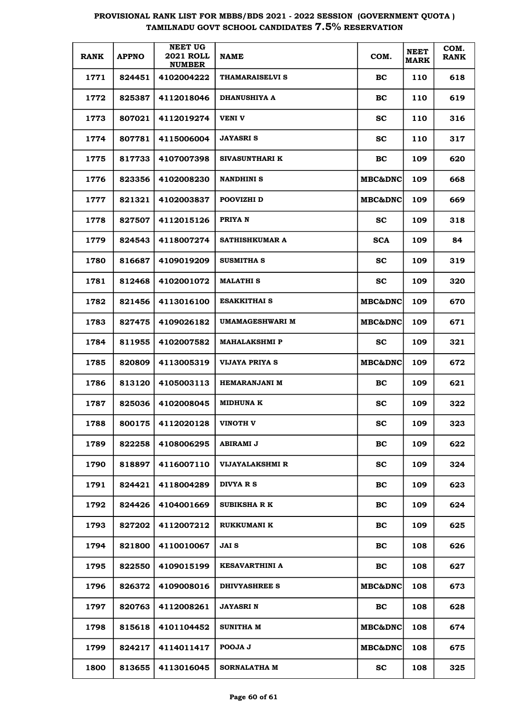| <b>RANK</b> | <b>APPNO</b> | <b>NEET UG</b><br><b>2021 ROLL</b><br><b>NUMBER</b> | <b>NAME</b>           | COM.               | <b>NEET</b><br><b>MARK</b> | COM.<br><b>RANK</b> |
|-------------|--------------|-----------------------------------------------------|-----------------------|--------------------|----------------------------|---------------------|
| 1771        | 824451       | 4102004222                                          | THAMARAISELVI S       | BC.                | 110                        | 618                 |
| 1772        | 825387       | 4112018046                                          | <b>DHANUSHIYA A</b>   | BC                 | 110                        | 619                 |
| 1773        | 807021       | 4112019274                                          | VENI V                | SC.                | 110                        | 316                 |
| 1774        | 807781       | 4115006004                                          | JAYASRI S             | SC.                | 110                        | 317                 |
| 1775        | 817733       | 4107007398                                          | <b>SIVASUNTHARI K</b> | <b>BC</b>          | 109                        | 620                 |
| 1776        | 823356       | 4102008230                                          | <b>NANDHINI S</b>     | <b>MBC&amp;DNC</b> | 109                        | 668                 |
| 1777        | 821321       | 4102003837                                          | POOVIZHI D            | <b>MBC&amp;DNC</b> | 109                        | 669                 |
| 1778        | 827507       | 4112015126                                          | PRIYA N               | <b>SC</b>          | 109                        | 318                 |
| 1779        | 824543       | 4118007274                                          | SATHISHKUMAR A        | <b>SCA</b>         | 109                        | 84                  |
| 1780        | 816687       | 4109019209                                          | <b>SUSMITHA S</b>     | SC.                | 109                        | 319                 |
| 1781        | 812468       | 4102001072                                          | MALATHI S             | <b>SC</b>          | 109                        | 320                 |
| 1782        | 821456       | 4113016100                                          | ESAKKITHAI S          | <b>MBC&amp;DNC</b> | 109                        | 670                 |
| 1783        | 827475       | 4109026182                                          | UMAMAGESHWARI M       | <b>MBC&amp;DNC</b> | 109                        | 671                 |
| 1784        | 811955       | 4102007582                                          | MAHALAKSHMI P         | <b>SC</b>          | 109                        | 321                 |
| 1785        | 820809       | 4113005319                                          | VIJAYA PRIYA S        | <b>MBC&amp;DNC</b> | 109                        | 672                 |
| 1786        | 813120       | 4105003113                                          | <b>HEMARANJANI M</b>  | BC.                | 109                        | 621                 |
| 1787        | 825036       | 4102008045                                          | MIDHUNA K             | <b>SC</b>          | 109                        | 322                 |
| 1788        | 800175       | 4112020128                                          | VINOTH V              | SC.                | 109                        | 323                 |
| 1789        | 822258       | 4108006295                                          | ABIRAMI J             | <b>BC</b>          | 109                        | 622                 |
| 1790        | 818897       | 4116007110                                          | VIJAYALAKSHMI R       | <b>SC</b>          | 109                        | 324                 |
| 1791        | 824421       | 4118004289                                          | DIVYA R S             | BC                 | 109                        | 623                 |
| 1792        | 824426       | 4104001669                                          | <b>SUBIKSHA R K</b>   | <b>BC</b>          | 109                        | 624                 |
| 1793        | 827202       | 4112007212                                          | <b>RUKKUMANI K</b>    | <b>BC</b>          | 109                        | 625                 |
| 1794        | 821800       | 4110010067                                          | JAI S                 | <b>BC</b>          | 108                        | 626                 |
| 1795        | 822550       | 4109015199                                          | KESAVARTHINI A        | BC                 | 108                        | 627                 |
| 1796        | 826372       | 4109008016                                          | <b>DHIVYASHREE S</b>  | MBC&DNC            | 108                        | 673                 |
| 1797        | 820763       | 4112008261                                          | JAYASRI N             | BC                 | 108                        | 628                 |
| 1798        | 815618       | 4101104452                                          | SUNITHA M             | MBC&DNC            | 108                        | 674                 |
| 1799        | 824217       | 4114011417                                          | POOJA J               | MBC&DNC            | 108                        | 675                 |
| 1800        | 813655       | 4113016045                                          | SORNALATHA M          | <b>SC</b>          | 108                        | 325                 |